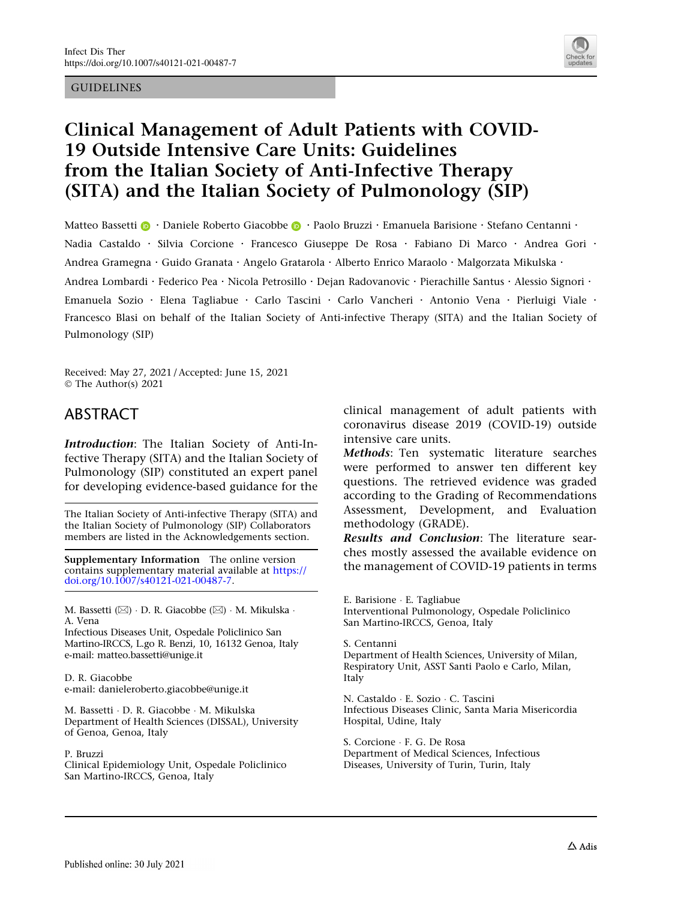#### GUIDELINES



# Clinical Management of Adult Patients with COVID-19 Outside Intensive Care Units: Guidelines from the Italian Society of Anti-Infective Therapy (SITA) and the Italian Society of Pulmonology (SIP)

Matt[e](http://orcid.org/0000-0003-2385-1759)o Bassetti **D** · Daniele Roberto Giacobbe **D** · Paolo Bruzzi · Emanuela Barisione · Stefano Centanni · Nadia Castaldo · Silvia Corcione · Francesco Giuseppe De Rosa · Fabiano Di Marco · Andrea Gori · Andrea Gramegna · Guido Granata · Angelo Gratarola · Alberto Enrico Maraolo · Malgorzata Mikulska · Andrea Lombardi · Federico Pea · Nicola Petrosillo · Dejan Radovanovic · Pierachille Santus · Alessio Signori · Emanuela Sozio . Elena Tagliabue . Carlo Tascini . Carlo Vancheri . Antonio Vena . Pierluigi Viale . Francesco Blasi on behalf of the Italian Society of Anti-infective Therapy (SITA) and the Italian Society of Pulmonology (SIP)

Received: May 27, 2021 / Accepted: June 15, 2021 © The Author(s) 2021

# ABSTRACT

Introduction: The Italian Society of Anti-Infective Therapy (SITA) and the Italian Society of Pulmonology (SIP) constituted an expert panel for developing evidence-based guidance for the

The Italian Society of Anti-infective Therapy (SITA) and the Italian Society of Pulmonology (SIP) Collaborators members are listed in the Acknowledgements section.

Supplementary Information The online version contains supplementary material available at [https://](https://doi.org/10.1007/s40121-021-00487-7) [doi.org/10.1007/s40121-021-00487-7.](https://doi.org/10.1007/s40121-021-00487-7)

M. Bassetti (⊠) · D. R. Giacobbe (⊠) · M. Mikulska · A. Vena

Infectious Diseases Unit, Ospedale Policlinico San Martino-IRCCS, L.go R. Benzi, 10, 16132 Genoa, Italy e-mail: matteo.bassetti@unige.it

D. R. Giacobbe e-mail: danieleroberto.giacobbe@unige.it

M. Bassetti - D. R. Giacobbe - M. Mikulska Department of Health Sciences (DISSAL), University of Genoa, Genoa, Italy

P. Bruzzi

Clinical Epidemiology Unit, Ospedale Policlinico San Martino-IRCCS, Genoa, Italy

clinical management of adult patients with coronavirus disease 2019 (COVID-19) outside intensive care units.

Methods: Ten systematic literature searches were performed to answer ten different key questions. The retrieved evidence was graded according to the Grading of Recommendations Assessment, Development, and Evaluation methodology (GRADE).

Results and Conclusion: The literature searches mostly assessed the available evidence on the management of COVID-19 patients in terms

E. Barisione - E. Tagliabue Interventional Pulmonology, Ospedale Policlinico San Martino-IRCCS, Genoa, Italy

S. Centanni

Department of Health Sciences, University of Milan, Respiratory Unit, ASST Santi Paolo e Carlo, Milan, Italy

N. Castaldo - E. Sozio - C. Tascini Infectious Diseases Clinic, Santa Maria Misericordia Hospital, Udine, Italy

S. Corcione - F. G. De Rosa Department of Medical Sciences, Infectious Diseases, University of Turin, Turin, Italy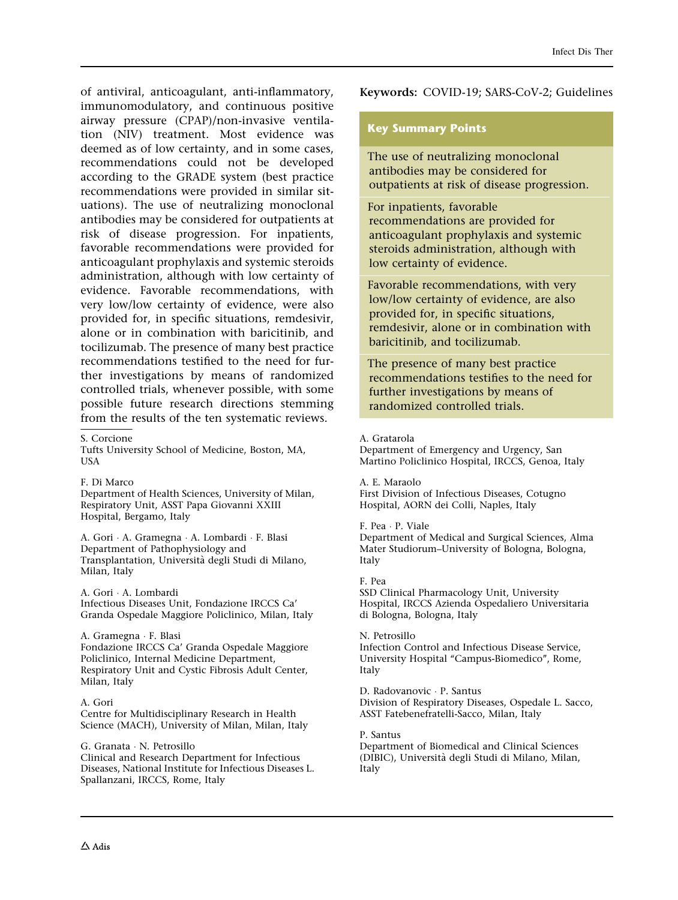of antiviral, anticoagulant, anti-inflammatory, immunomodulatory, and continuous positive airway pressure (CPAP)/non-invasive ventilation (NIV) treatment. Most evidence was deemed as of low certainty, and in some cases, recommendations could not be developed according to the GRADE system (best practice recommendations were provided in similar situations). The use of neutralizing monoclonal antibodies may be considered for outpatients at risk of disease progression. For inpatients, favorable recommendations were provided for anticoagulant prophylaxis and systemic steroids administration, although with low certainty of evidence. Favorable recommendations, with very low/low certainty of evidence, were also provided for, in specific situations, remdesivir, alone or in combination with baricitinib, and tocilizumab. The presence of many best practice recommendations testified to the need for further investigations by means of randomized controlled trials, whenever possible, with some possible future research directions stemming from the results of the ten systematic reviews.

S. Corcione

Tufts University School of Medicine, Boston, MA, USA

F. Di Marco

Department of Health Sciences, University of Milan, Respiratory Unit, ASST Papa Giovanni XXIII Hospital, Bergamo, Italy

A. Gori - A. Gramegna - A. Lombardi - F. Blasi Department of Pathophysiology and Transplantation, Universita` degli Studi di Milano, Milan, Italy

A. Gori - A. Lombardi Infectious Diseases Unit, Fondazione IRCCS Ca' Granda Ospedale Maggiore Policlinico, Milan, Italy

A. Gramegna - F. Blasi Fondazione IRCCS Ca' Granda Ospedale Maggiore Policlinico, Internal Medicine Department, Respiratory Unit and Cystic Fibrosis Adult Center, Milan, Italy

#### A. Gori

Centre for Multidisciplinary Research in Health Science (MACH), University of Milan, Milan, Italy

G. Granata - N. Petrosillo Clinical and Research Department for Infectious Diseases, National Institute for Infectious Diseases L. Spallanzani, IRCCS, Rome, Italy

Keywords: COVID-19; SARS-CoV-2; Guidelines

#### Key Summary Points

The use of neutralizing monoclonal antibodies may be considered for outpatients at risk of disease progression.

For inpatients, favorable recommendations are provided for anticoagulant prophylaxis and systemic steroids administration, although with low certainty of evidence.

Favorable recommendations, with very low/low certainty of evidence, are also provided for, in specific situations, remdesivir, alone or in combination with baricitinib, and tocilizumab.

The presence of many best practice recommendations testifies to the need for further investigations by means of randomized controlled trials.

#### A. Gratarola

Department of Emergency and Urgency, San Martino Policlinico Hospital, IRCCS, Genoa, Italy

#### A. E. Maraolo

First Division of Infectious Diseases, Cotugno Hospital, AORN dei Colli, Naples, Italy

#### F. Pea - P. Viale

Department of Medical and Surgical Sciences, Alma Mater Studiorum–University of Bologna, Bologna, Italy

#### F. Pea

SSD Clinical Pharmacology Unit, University Hospital, IRCCS Azienda Ospedaliero Universitaria di Bologna, Bologna, Italy

#### N. Petrosillo

Infection Control and Infectious Disease Service, University Hospital "Campus-Biomedico", Rome, Italy

D. Radovanovic - P. Santus Division of Respiratory Diseases, Ospedale L. Sacco, ASST Fatebenefratelli-Sacco, Milan, Italy

#### P. Santus

Department of Biomedical and Clinical Sciences (DIBIC), Universita` degli Studi di Milano, Milan, Italy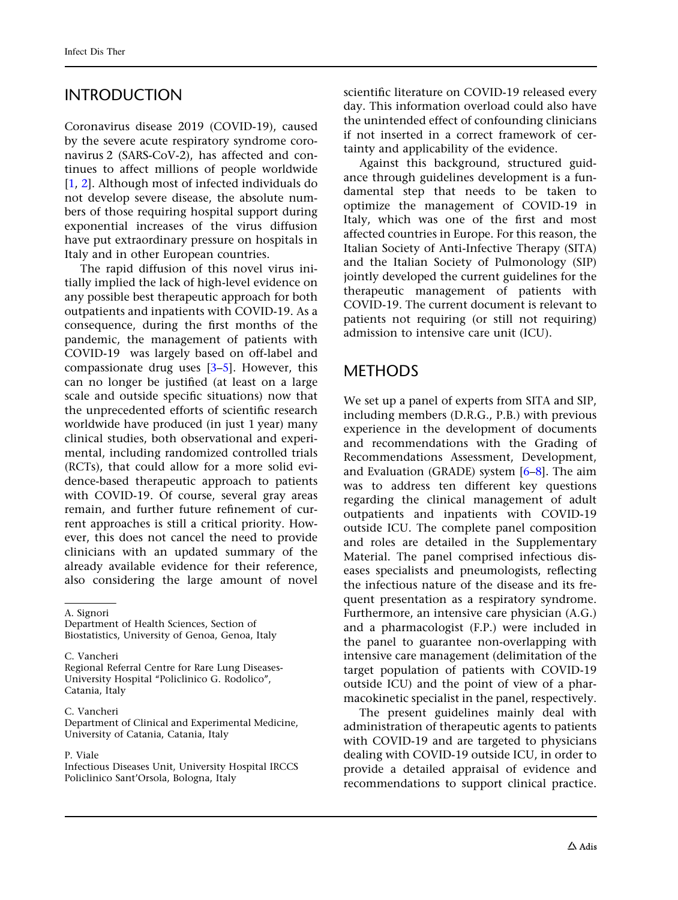# INTRODUCTION

Coronavirus disease 2019 (COVID-19), caused by the severe acute respiratory syndrome coronavirus 2 (SARS-CoV-2), has affected and continues to affect millions of people worldwide [\[1,](#page-36-0) [2](#page-36-0)]. Although most of infected individuals do not develop severe disease, the absolute numbers of those requiring hospital support during exponential increases of the virus diffusion have put extraordinary pressure on hospitals in Italy and in other European countries.

The rapid diffusion of this novel virus initially implied the lack of high-level evidence on any possible best therapeutic approach for both outpatients and inpatients with COVID-19. As a consequence, during the first months of the pandemic, the management of patients with COVID-19 was largely based on off-label and compassionate drug uses [[3–5](#page-36-0)]. However, this can no longer be justified (at least on a large scale and outside specific situations) now that the unprecedented efforts of scientific research worldwide have produced (in just 1 year) many clinical studies, both observational and experimental, including randomized controlled trials (RCTs), that could allow for a more solid evidence-based therapeutic approach to patients with COVID-19. Of course, several gray areas remain, and further future refinement of current approaches is still a critical priority. However, this does not cancel the need to provide clinicians with an updated summary of the already available evidence for their reference, also considering the large amount of novel

A. Signori

Department of Health Sciences, Section of Biostatistics, University of Genoa, Genoa, Italy

C. Vancheri

Regional Referral Centre for Rare Lung Diseases-University Hospital ''Policlinico G. Rodolico'', Catania, Italy

C. Vancheri

Department of Clinical and Experimental Medicine, University of Catania, Catania, Italy

#### P. Viale

Infectious Diseases Unit, University Hospital IRCCS Policlinico Sant'Orsola, Bologna, Italy

scientific literature on COVID-19 released every day. This information overload could also have the unintended effect of confounding clinicians if not inserted in a correct framework of certainty and applicability of the evidence.

Against this background, structured guidance through guidelines development is a fundamental step that needs to be taken to optimize the management of COVID-19 in Italy, which was one of the first and most affected countries in Europe. For this reason, the Italian Society of Anti-Infective Therapy (SITA) and the Italian Society of Pulmonology (SIP) jointly developed the current guidelines for the therapeutic management of patients with COVID-19. The current document is relevant to patients not requiring (or still not requiring) admission to intensive care unit (ICU).

# **METHODS**

We set up a panel of experts from SITA and SIP, including members (D.R.G., P.B.) with previous experience in the development of documents and recommendations with the Grading of Recommendations Assessment, Development, and Evaluation (GRADE) system [[6–8](#page-36-0)]. The aim was to address ten different key questions regarding the clinical management of adult outpatients and inpatients with COVID-19 outside ICU. The complete panel composition and roles are detailed in the Supplementary Material. The panel comprised infectious diseases specialists and pneumologists, reflecting the infectious nature of the disease and its frequent presentation as a respiratory syndrome. Furthermore, an intensive care physician (A.G.) and a pharmacologist (F.P.) were included in the panel to guarantee non-overlapping with intensive care management (delimitation of the target population of patients with COVID-19 outside ICU) and the point of view of a pharmacokinetic specialist in the panel, respectively.

The present guidelines mainly deal with administration of therapeutic agents to patients with COVID-19 and are targeted to physicians dealing with COVID-19 outside ICU, in order to provide a detailed appraisal of evidence and recommendations to support clinical practice.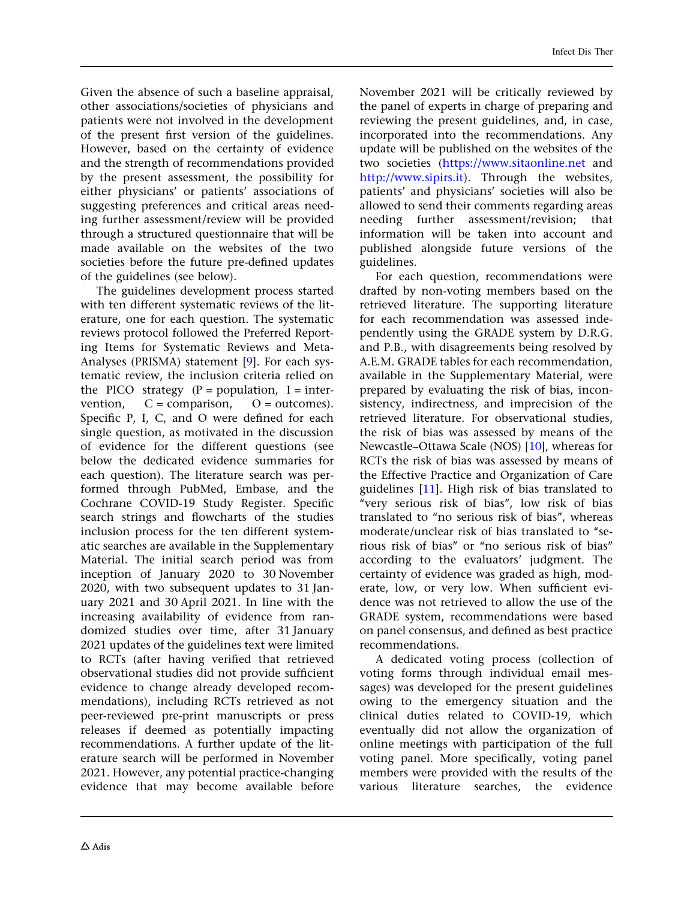Given the absence of such a baseline appraisal, other associations/societies of physicians and patients were not involved in the development of the present first version of the guidelines. However, based on the certainty of evidence and the strength of recommendations provided by the present assessment, the possibility for either physicians' or patients' associations of suggesting preferences and critical areas needing further assessment/review will be provided through a structured questionnaire that will be made available on the websites of the two societies before the future pre-defined updates of the guidelines (see below).

The guidelines development process started with ten different systematic reviews of the literature, one for each question. The systematic reviews protocol followed the Preferred Reporting Items for Systematic Reviews and Meta-Analyses (PRISMA) statement [\[9](#page-36-0)]. For each systematic review, the inclusion criteria relied on the PICO strategy  $(P = population, I = inter$ vention,  $C =$  comparison,  $O =$  outcomes). Specific P, I, C, and O were defined for each single question, as motivated in the discussion of evidence for the different questions (see below the dedicated evidence summaries for each question). The literature search was performed through PubMed, Embase, and the Cochrane COVID-19 Study Register. Specific search strings and flowcharts of the studies inclusion process for the ten different systematic searches are available in the Supplementary Material. The initial search period was from inception of January 2020 to 30 November 2020, with two subsequent updates to 31 January 2021 and 30 April 2021. In line with the increasing availability of evidence from randomized studies over time, after 31 January 2021 updates of the guidelines text were limited to RCTs (after having verified that retrieved observational studies did not provide sufficient evidence to change already developed recommendations), including RCTs retrieved as not peer-reviewed pre-print manuscripts or press releases if deemed as potentially impacting recommendations. A further update of the literature search will be performed in November 2021. However, any potential practice-changing evidence that may become available before

November 2021 will be critically reviewed by the panel of experts in charge of preparing and reviewing the present guidelines, and, in case, incorporated into the recommendations. Any update will be published on the websites of the two societies (<https://www.sitaonline.net> and <http://www.sipirs.it>). Through the websites, patients' and physicians' societies will also be allowed to send their comments regarding areas needing further assessment/revision; that information will be taken into account and published alongside future versions of the guidelines.

For each question, recommendations were drafted by non-voting members based on the retrieved literature. The supporting literature for each recommendation was assessed independently using the GRADE system by D.R.G. and P.B., with disagreements being resolved by A.E.M. GRADE tables for each recommendation, available in the Supplementary Material, were prepared by evaluating the risk of bias, inconsistency, indirectness, and imprecision of the retrieved literature. For observational studies, the risk of bias was assessed by means of the Newcastle–Ottawa Scale (NOS) [[10\]](#page-36-0), whereas for RCTs the risk of bias was assessed by means of the Effective Practice and Organization of Care guidelines [\[11\]](#page-37-0). High risk of bias translated to ''very serious risk of bias'', low risk of bias translated to ''no serious risk of bias'', whereas moderate/unclear risk of bias translated to ''serious risk of bias'' or ''no serious risk of bias'' according to the evaluators' judgment. The certainty of evidence was graded as high, moderate, low, or very low. When sufficient evidence was not retrieved to allow the use of the GRADE system, recommendations were based on panel consensus, and defined as best practice recommendations.

A dedicated voting process (collection of voting forms through individual email messages) was developed for the present guidelines owing to the emergency situation and the clinical duties related to COVID-19, which eventually did not allow the organization of online meetings with participation of the full voting panel. More specifically, voting panel members were provided with the results of the various literature searches, the evidence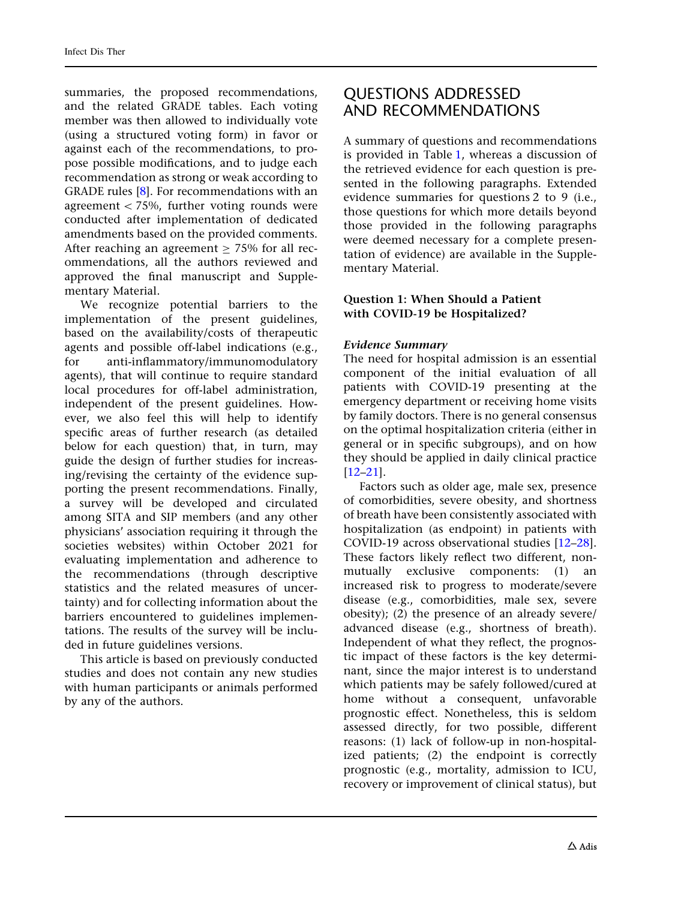summaries, the proposed recommendations, and the related GRADE tables. Each voting member was then allowed to individually vote (using a structured voting form) in favor or against each of the recommendations, to propose possible modifications, and to judge each recommendation as strong or weak according to GRADE rules [[8](#page-36-0)]. For recommendations with an agreement  $<$  75%, further voting rounds were conducted after implementation of dedicated amendments based on the provided comments. After reaching an agreement  $> 75\%$  for all recommendations, all the authors reviewed and approved the final manuscript and Supplementary Material.

We recognize potential barriers to the implementation of the present guidelines, based on the availability/costs of therapeutic agents and possible off-label indications (e.g., for anti-inflammatory/immunomodulatory agents), that will continue to require standard local procedures for off-label administration, independent of the present guidelines. However, we also feel this will help to identify specific areas of further research (as detailed below for each question) that, in turn, may guide the design of further studies for increasing/revising the certainty of the evidence supporting the present recommendations. Finally, a survey will be developed and circulated among SITA and SIP members (and any other physicians' association requiring it through the societies websites) within October 2021 for evaluating implementation and adherence to the recommendations (through descriptive statistics and the related measures of uncertainty) and for collecting information about the barriers encountered to guidelines implementations. The results of the survey will be included in future guidelines versions.

This article is based on previously conducted studies and does not contain any new studies with human participants or animals performed by any of the authors.

# QUESTIONS ADDRESSED AND RECOMMENDATIONS

A summary of questions and recommendations is provided in Table [1,](#page-5-0) whereas a discussion of the retrieved evidence for each question is presented in the following paragraphs. Extended evidence summaries for questions 2 to 9 (i.e., those questions for which more details beyond those provided in the following paragraphs were deemed necessary for a complete presentation of evidence) are available in the Supplementary Material.

### Question 1: When Should a Patient with COVID-19 be Hospitalized?

### Evidence Summary

The need for hospital admission is an essential component of the initial evaluation of all patients with COVID-19 presenting at the emergency department or receiving home visits by family doctors. There is no general consensus on the optimal hospitalization criteria (either in general or in specific subgroups), and on how they should be applied in daily clinical practice [\[12–21](#page-37-0)].

Factors such as older age, male sex, presence of comorbidities, severe obesity, and shortness of breath have been consistently associated with hospitalization (as endpoint) in patients with COVID-19 across observational studies [\[12–28](#page-37-0)]. These factors likely reflect two different, nonmutually exclusive components: (1) an increased risk to progress to moderate/severe disease (e.g., comorbidities, male sex, severe obesity); (2) the presence of an already severe/ advanced disease (e.g., shortness of breath). Independent of what they reflect, the prognostic impact of these factors is the key determinant, since the major interest is to understand which patients may be safely followed/cured at home without a consequent, unfavorable prognostic effect. Nonetheless, this is seldom assessed directly, for two possible, different reasons: (1) lack of follow-up in non-hospitalized patients; (2) the endpoint is correctly prognostic (e.g., mortality, admission to ICU, recovery or improvement of clinical status), but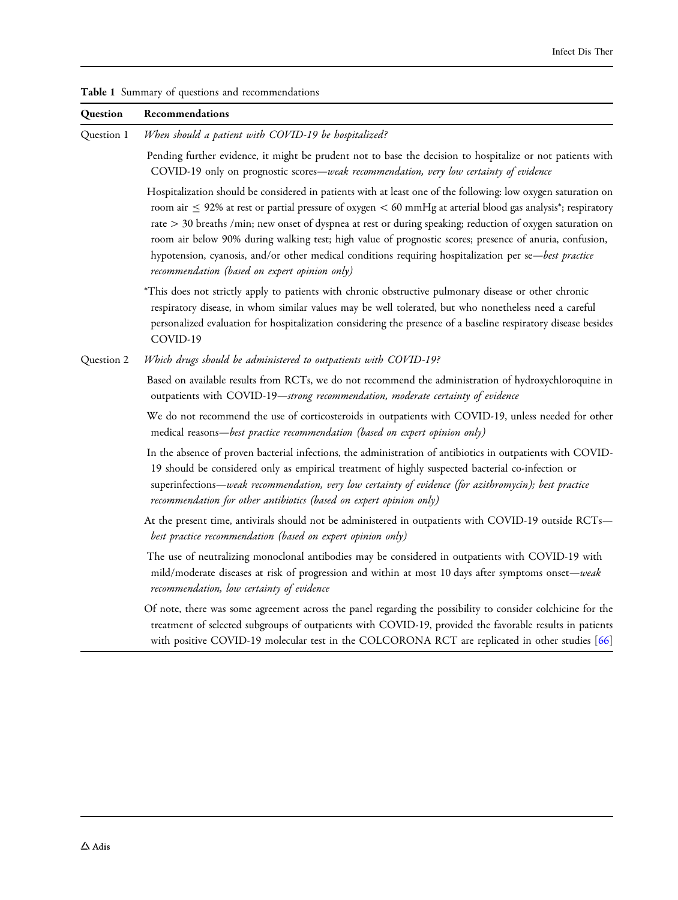| Question   | Recommendations                                                                                                                                                                                                                                                                                                                                                                                                                                                                                                                                                                                                                     |
|------------|-------------------------------------------------------------------------------------------------------------------------------------------------------------------------------------------------------------------------------------------------------------------------------------------------------------------------------------------------------------------------------------------------------------------------------------------------------------------------------------------------------------------------------------------------------------------------------------------------------------------------------------|
| Question 1 | When should a patient with COVID-19 be hospitalized?                                                                                                                                                                                                                                                                                                                                                                                                                                                                                                                                                                                |
|            | Pending further evidence, it might be prudent not to base the decision to hospitalize or not patients with<br>COVID-19 only on prognostic scores-weak recommendation, very low certainty of evidence                                                                                                                                                                                                                                                                                                                                                                                                                                |
|            | Hospitalization should be considered in patients with at least one of the following: low oxygen saturation on<br>room air $\leq$ 92% at rest or partial pressure of oxygen $<$ 60 mmHg at arterial blood gas analysis <sup>*</sup> ; respiratory<br>rate > 30 breaths /min; new onset of dyspnea at rest or during speaking; reduction of oxygen saturation on<br>room air below 90% during walking test; high value of prognostic scores; presence of anuria, confusion,<br>hypotension, cyanosis, and/or other medical conditions requiring hospitalization per se-best practice<br>recommendation (based on expert opinion only) |
|            | *This does not strictly apply to patients with chronic obstructive pulmonary disease or other chronic<br>respiratory disease, in whom similar values may be well tolerated, but who nonetheless need a careful<br>personalized evaluation for hospitalization considering the presence of a baseline respiratory disease besides<br>COVID-19                                                                                                                                                                                                                                                                                        |
| Question 2 | Which drugs should be administered to outpatients with COVID-19?                                                                                                                                                                                                                                                                                                                                                                                                                                                                                                                                                                    |
|            | Based on available results from RCTs, we do not recommend the administration of hydroxychloroquine in<br>outpatients with COVID-19-strong recommendation, moderate certainty of evidence                                                                                                                                                                                                                                                                                                                                                                                                                                            |
|            | We do not recommend the use of corticosteroids in outpatients with COVID-19, unless needed for other<br>medical reasons-best practice recommendation (based on expert opinion only)                                                                                                                                                                                                                                                                                                                                                                                                                                                 |
|            | In the absence of proven bacterial infections, the administration of antibiotics in outpatients with COVID-<br>19 should be considered only as empirical treatment of highly suspected bacterial co-infection or<br>superinfections—weak recommendation, very low certainty of evidence (for azithromycin); best practice<br>recommendation for other antibiotics (based on expert opinion only)                                                                                                                                                                                                                                    |
|            | At the present time, antivirals should not be administered in outpatients with COVID-19 outside RCTs-<br>best practice recommendation (based on expert opinion only)                                                                                                                                                                                                                                                                                                                                                                                                                                                                |
|            | The use of neutralizing monoclonal antibodies may be considered in outpatients with COVID-19 with<br>mild/moderate diseases at risk of progression and within at most 10 days after symptoms onset—weak<br>recommendation, low certainty of evidence                                                                                                                                                                                                                                                                                                                                                                                |
|            | Of note, there was some agreement across the panel regarding the possibility to consider colchicine for the<br>treatment of selected subgroups of outpatients with COVID-19, provided the favorable results in patients<br>with positive COVID-19 molecular test in the COLCORONA RCT are replicated in other studies [66]                                                                                                                                                                                                                                                                                                          |

<span id="page-5-0"></span>Table 1 Summary of questions and recommendations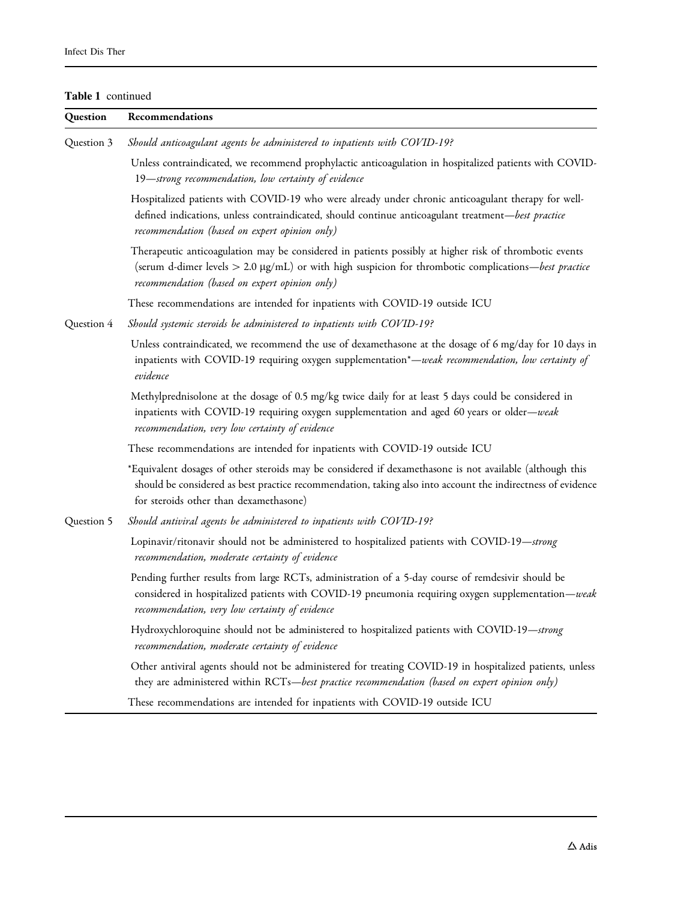#### Table 1 continued

| Question   | Recommendations                                                                                                                                                                                                                                                                    |  |
|------------|------------------------------------------------------------------------------------------------------------------------------------------------------------------------------------------------------------------------------------------------------------------------------------|--|
| Question 3 | Should anticoagulant agents be administered to inpatients with COVID-19?                                                                                                                                                                                                           |  |
|            | Unless contraindicated, we recommend prophylactic anticoagulation in hospitalized patients with COVID-<br>19-strong recommendation, low certainty of evidence                                                                                                                      |  |
|            | Hospitalized patients with COVID-19 who were already under chronic anticoagulant therapy for well-<br>defined indications, unless contraindicated, should continue anticoagulant treatment—best practice<br>recommendation (based on expert opinion only)                          |  |
|            | Therapeutic anticoagulation may be considered in patients possibly at higher risk of thrombotic events<br>(serum d-dimer levels $> 2.0 \text{ µg/mL}$ ) or with high suspicion for thrombotic complications— <i>best practice</i><br>recommendation (based on expert opinion only) |  |
|            | These recommendations are intended for inpatients with COVID-19 outside ICU                                                                                                                                                                                                        |  |
| Question 4 | Should systemic steroids be administered to inpatients with COVID-19?                                                                                                                                                                                                              |  |
|            | Unless contraindicated, we recommend the use of dexamethasone at the dosage of 6 mg/day for 10 days in<br>inpatients with COVID-19 requiring oxygen supplementation*-weak recommendation, low certainty of<br>evidence                                                             |  |
|            | Methylprednisolone at the dosage of 0.5 mg/kg twice daily for at least 5 days could be considered in<br>inpatients with COVID-19 requiring oxygen supplementation and aged 60 years or older-weak<br>recommendation, very low certainty of evidence                                |  |
|            | These recommendations are intended for inpatients with COVID-19 outside ICU                                                                                                                                                                                                        |  |
|            | *Equivalent dosages of other steroids may be considered if dexamethasone is not available (although this<br>should be considered as best practice recommendation, taking also into account the indirectness of evidence<br>for steroids other than dexamethasone)                  |  |
| Question 5 | Should antiviral agents be administered to inpatients with COVID-19?                                                                                                                                                                                                               |  |
|            | Lopinavir/ritonavir should not be administered to hospitalized patients with COVID-19-strong<br>recommendation, moderate certainty of evidence                                                                                                                                     |  |
|            | Pending further results from large RCTs, administration of a 5-day course of remdesivir should be<br>considered in hospitalized patients with COVID-19 pneumonia requiring oxygen supplementation—weak<br>recommendation, very low certainty of evidence                           |  |
|            | Hydroxychloroquine should not be administered to hospitalized patients with COVID-19-strong<br>recommendation, moderate certainty of evidence                                                                                                                                      |  |
|            | Other antiviral agents should not be administered for treating COVID-19 in hospitalized patients, unless<br>they are administered within RCTs-best practice recommendation (based on expert opinion only)                                                                          |  |
|            | These recommendations are intended for inpatients with COVID-19 outside ICU                                                                                                                                                                                                        |  |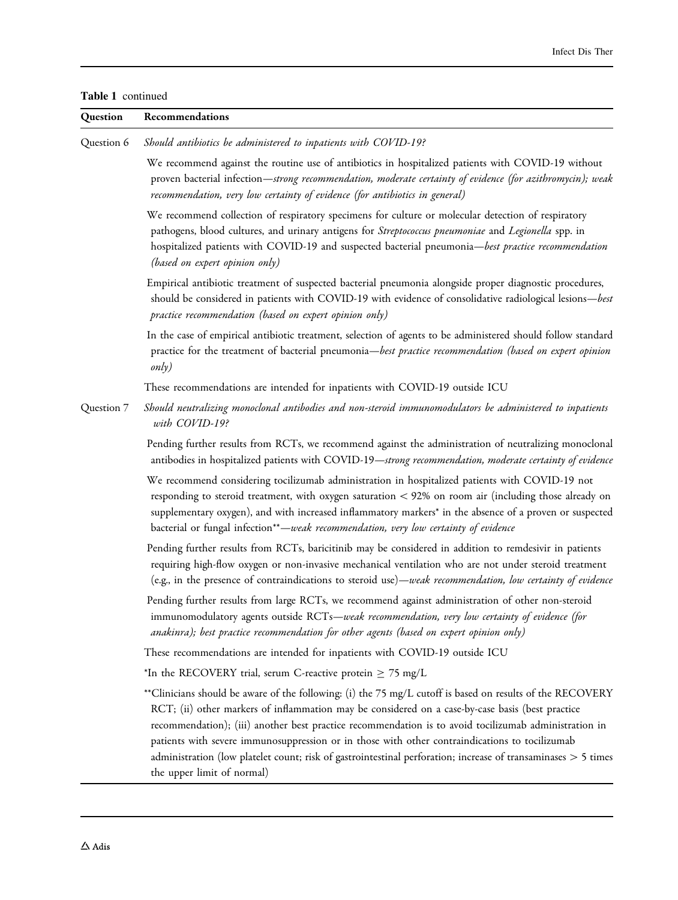Table 1 continued

| Question   | Recommendations                                                                                                                                                                                                                                                                                                                                                                                                                                                                                                                                                         |  |
|------------|-------------------------------------------------------------------------------------------------------------------------------------------------------------------------------------------------------------------------------------------------------------------------------------------------------------------------------------------------------------------------------------------------------------------------------------------------------------------------------------------------------------------------------------------------------------------------|--|
| Question 6 | Should antibiotics be administered to inpatients with COVID-19?                                                                                                                                                                                                                                                                                                                                                                                                                                                                                                         |  |
|            | We recommend against the routine use of antibiotics in hospitalized patients with COVID-19 without<br>proven bacterial infection—strong recommendation, moderate certainty of evidence (for azithromycin); weak<br>recommendation, very low certainty of evidence (for antibiotics in general)                                                                                                                                                                                                                                                                          |  |
|            | We recommend collection of respiratory specimens for culture or molecular detection of respiratory<br>pathogens, blood cultures, and urinary antigens for Streptococcus pneumoniae and Legionella spp. in<br>hospitalized patients with COVID-19 and suspected bacterial pneumonia-best practice recommendation<br>(based on expert opinion only)                                                                                                                                                                                                                       |  |
|            | Empirical antibiotic treatment of suspected bacterial pneumonia alongside proper diagnostic procedures,<br>should be considered in patients with COVID-19 with evidence of consolidative radiological lesions-best<br>practice recommendation (based on expert opinion only)                                                                                                                                                                                                                                                                                            |  |
|            | In the case of empirical antibiotic treatment, selection of agents to be administered should follow standard<br>practice for the treatment of bacterial pneumonia-best practice recommendation (based on expert opinion<br>only)                                                                                                                                                                                                                                                                                                                                        |  |
|            | These recommendations are intended for inpatients with COVID-19 outside ICU                                                                                                                                                                                                                                                                                                                                                                                                                                                                                             |  |
| Question 7 | Should neutralizing monoclonal antibodies and non-steroid immunomodulators be administered to inpatients<br>with COVID-19?                                                                                                                                                                                                                                                                                                                                                                                                                                              |  |
|            | Pending further results from RCTs, we recommend against the administration of neutralizing monoclonal<br>antibodies in hospitalized patients with COVID-19-strong recommendation, moderate certainty of evidence                                                                                                                                                                                                                                                                                                                                                        |  |
|            | We recommend considering tocilizumab administration in hospitalized patients with COVID-19 not<br>responding to steroid treatment, with oxygen saturation < 92% on room air (including those already on<br>supplementary oxygen), and with increased inflammatory markers* in the absence of a proven or suspected<br>bacterial or fungal infection**-weak recommendation, very low certainty of evidence                                                                                                                                                               |  |
|            | Pending further results from RCTs, baricitinib may be considered in addition to remdesivir in patients<br>requiring high-flow oxygen or non-invasive mechanical ventilation who are not under steroid treatment<br>(e.g., in the presence of contraindications to steroid use)—weak recommendation, low certainty of evidence                                                                                                                                                                                                                                           |  |
|            | Pending further results from large RCTs, we recommend against administration of other non-steroid<br>immunomodulatory agents outside RCTs-weak recommendation, very low certainty of evidence (for<br>anakinra); best practice recommendation for other agents (based on expert opinion only)                                                                                                                                                                                                                                                                           |  |
|            | These recommendations are intended for inpatients with COVID-19 outside ICU                                                                                                                                                                                                                                                                                                                                                                                                                                                                                             |  |
|            | *In the RECOVERY trial, serum C-reactive protein $\geq$ 75 mg/L                                                                                                                                                                                                                                                                                                                                                                                                                                                                                                         |  |
|            | **Clinicians should be aware of the following: (i) the 75 mg/L cutoff is based on results of the RECOVERY<br>RCT; (ii) other markers of inflammation may be considered on a case-by-case basis (best practice<br>recommendation); (iii) another best practice recommendation is to avoid tocilizumab administration in<br>patients with severe immunosuppression or in those with other contraindications to tocilizumab<br>administration (low platelet count; risk of gastrointestinal perforation; increase of transaminases > 5 times<br>the upper limit of normal) |  |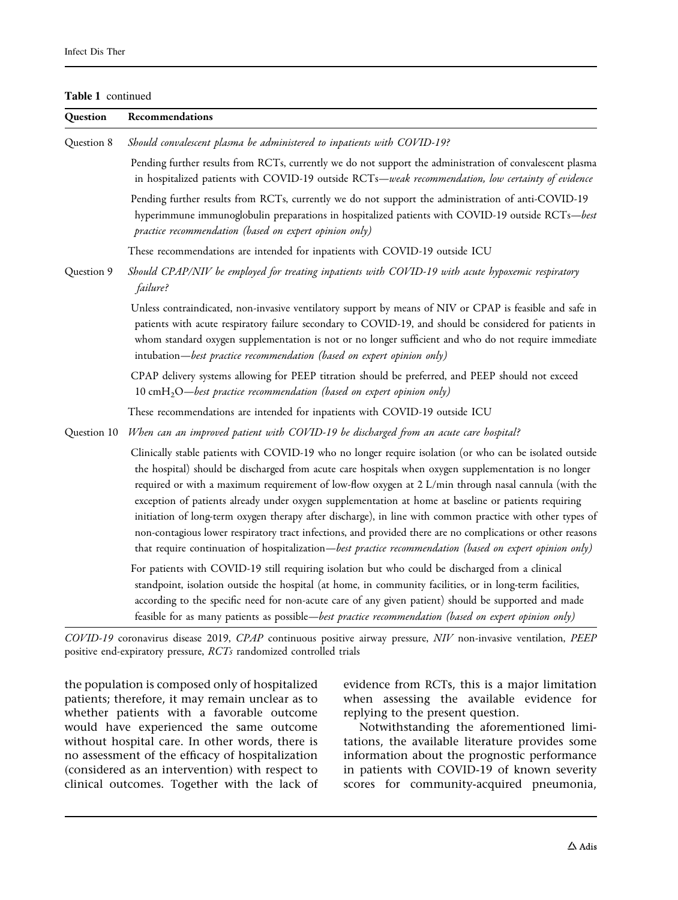Table 1 continued

| Question    | Recommendations                                                                                                                                                                                                                                                                                                                                                                                                                                                                                                                                                                                                                                                                                                                                                           |  |
|-------------|---------------------------------------------------------------------------------------------------------------------------------------------------------------------------------------------------------------------------------------------------------------------------------------------------------------------------------------------------------------------------------------------------------------------------------------------------------------------------------------------------------------------------------------------------------------------------------------------------------------------------------------------------------------------------------------------------------------------------------------------------------------------------|--|
| Question 8  | Should convalescent plasma be administered to inpatients with COVID-19?                                                                                                                                                                                                                                                                                                                                                                                                                                                                                                                                                                                                                                                                                                   |  |
|             | Pending further results from RCTs, currently we do not support the administration of convalescent plasma<br>in hospitalized patients with COVID-19 outside RCTs-weak recommendation, low certainty of evidence                                                                                                                                                                                                                                                                                                                                                                                                                                                                                                                                                            |  |
|             | Pending further results from RCTs, currently we do not support the administration of anti-COVID-19<br>hyperimmune immunoglobulin preparations in hospitalized patients with COVID-19 outside RCTs-best<br>practice recommendation (based on expert opinion only)                                                                                                                                                                                                                                                                                                                                                                                                                                                                                                          |  |
|             | These recommendations are intended for inpatients with COVID-19 outside ICU                                                                                                                                                                                                                                                                                                                                                                                                                                                                                                                                                                                                                                                                                               |  |
| Question 9  | Should CPAP/NIV be employed for treating inpatients with COVID-19 with acute hypoxemic respiratory<br>failure?                                                                                                                                                                                                                                                                                                                                                                                                                                                                                                                                                                                                                                                            |  |
|             | Unless contraindicated, non-invasive ventilatory support by means of NIV or CPAP is feasible and safe in<br>patients with acute respiratory failure secondary to COVID-19, and should be considered for patients in<br>whom standard oxygen supplementation is not or no longer sufficient and who do not require immediate<br>intubation-best practice recommendation (based on expert opinion only)                                                                                                                                                                                                                                                                                                                                                                     |  |
|             | CPAP delivery systems allowing for PEEP titration should be preferred, and PEEP should not exceed<br>10 cmH <sub>2</sub> O-best practice recommendation (based on expert opinion only)                                                                                                                                                                                                                                                                                                                                                                                                                                                                                                                                                                                    |  |
|             | These recommendations are intended for inpatients with COVID-19 outside ICU                                                                                                                                                                                                                                                                                                                                                                                                                                                                                                                                                                                                                                                                                               |  |
| Question 10 | When can an improved patient with COVID-19 be discharged from an acute care hospital?                                                                                                                                                                                                                                                                                                                                                                                                                                                                                                                                                                                                                                                                                     |  |
|             | Clinically stable patients with COVID-19 who no longer require isolation (or who can be isolated outside<br>the hospital) should be discharged from acute care hospitals when oxygen supplementation is no longer<br>required or with a maximum requirement of low-flow oxygen at 2 L/min through nasal cannula (with the<br>exception of patients already under oxygen supplementation at home at baseline or patients requiring<br>initiation of long-term oxygen therapy after discharge), in line with common practice with other types of<br>non-contagious lower respiratory tract infections, and provided there are no complications or other reasons<br>that require continuation of hospitalization—best practice recommendation (based on expert opinion only) |  |
|             | For patients with COVID-19 still requiring isolation but who could be discharged from a clinical<br>standpoint, isolation outside the hospital (at home, in community facilities, or in long-term facilities,<br>according to the specific need for non-acute care of any given patient) should be supported and made<br>feasible for as many patients as possible—best practice recommendation (based on expert opinion only)                                                                                                                                                                                                                                                                                                                                            |  |

COVID-19 coronavirus disease 2019, CPAP continuous positive airway pressure, NIV non-invasive ventilation, PEEP positive end-expiratory pressure, RCTs randomized controlled trials

the population is composed only of hospitalized patients; therefore, it may remain unclear as to whether patients with a favorable outcome would have experienced the same outcome without hospital care. In other words, there is no assessment of the efficacy of hospitalization (considered as an intervention) with respect to clinical outcomes. Together with the lack of evidence from RCTs, this is a major limitation when assessing the available evidence for replying to the present question.

Notwithstanding the aforementioned limitations, the available literature provides some information about the prognostic performance in patients with COVID-19 of known severity scores for community-acquired pneumonia,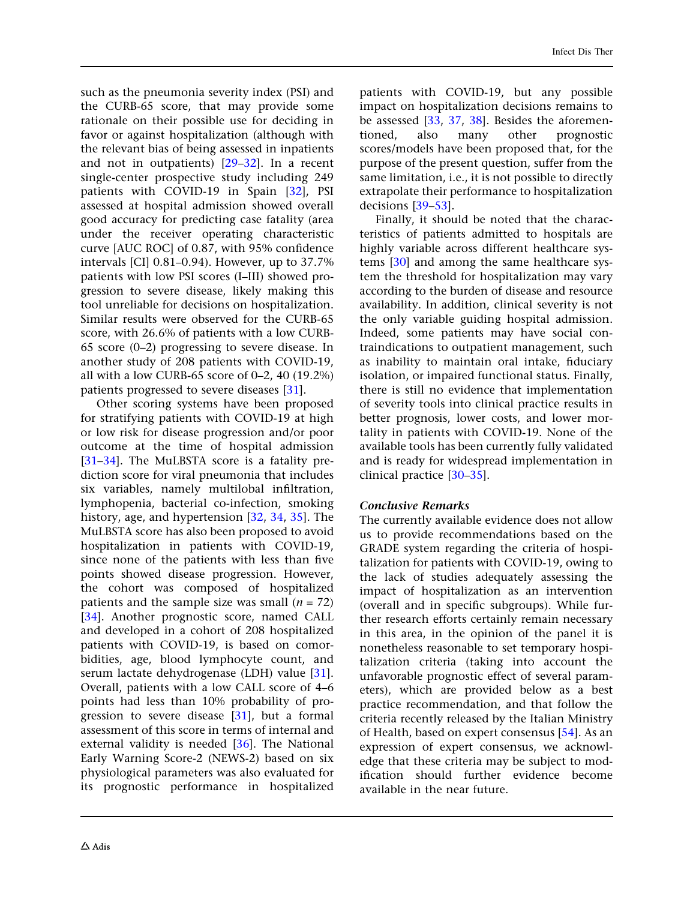such as the pneumonia severity index (PSI) and the CURB-65 score, that may provide some rationale on their possible use for deciding in favor or against hospitalization (although with the relevant bias of being assessed in inpatients and not in outpatients) [[29–32\]](#page-37-0). In a recent single-center prospective study including 249 patients with COVID-19 in Spain [\[32](#page-37-0)], PSI assessed at hospital admission showed overall good accuracy for predicting case fatality (area under the receiver operating characteristic curve [AUC ROC] of 0.87, with 95% confidence intervals [CI] 0.81–0.94). However, up to 37.7% patients with low PSI scores (I–III) showed progression to severe disease, likely making this tool unreliable for decisions on hospitalization. Similar results were observed for the CURB-65 score, with 26.6% of patients with a low CURB-65 score (0–2) progressing to severe disease. In another study of 208 patients with COVID-19, all with a low CURB-65 score of 0–2, 40 (19.2%) patients progressed to severe diseases [[31](#page-37-0)].

Other scoring systems have been proposed for stratifying patients with COVID-19 at high or low risk for disease progression and/or poor outcome at the time of hospital admission [\[31–](#page-37-0)[34](#page-38-0)]. The MuLBSTA score is a fatality prediction score for viral pneumonia that includes six variables, namely multilobal infiltration, lymphopenia, bacterial co-infection, smoking history, age, and hypertension [\[32,](#page-37-0) [34,](#page-38-0) [35](#page-38-0)]. The MuLBSTA score has also been proposed to avoid hospitalization in patients with COVID-19, since none of the patients with less than five points showed disease progression. However, the cohort was composed of hospitalized patients and the sample size was small  $(n = 72)$ [\[34\]](#page-38-0). Another prognostic score, named CALL and developed in a cohort of 208 hospitalized patients with COVID-19, is based on comorbidities, age, blood lymphocyte count, and serum lactate dehydrogenase (LDH) value [[31](#page-37-0)]. Overall, patients with a low CALL score of 4–6 points had less than 10% probability of progression to severe disease [\[31\]](#page-37-0), but a formal assessment of this score in terms of internal and external validity is needed [[36](#page-38-0)]. The National Early Warning Score-2 (NEWS-2) based on six physiological parameters was also evaluated for its prognostic performance in hospitalized patients with COVID-19, but any possible impact on hospitalization decisions remains to be assessed [[33](#page-38-0), [37](#page-38-0), [38\]](#page-38-0). Besides the aforementioned, also many other prognostic scores/models have been proposed that, for the purpose of the present question, suffer from the same limitation, i.e., it is not possible to directly extrapolate their performance to hospitalization decisions [\[39–53](#page-38-0)].

Finally, it should be noted that the characteristics of patients admitted to hospitals are highly variable across different healthcare systems [[30\]](#page-37-0) and among the same healthcare system the threshold for hospitalization may vary according to the burden of disease and resource availability. In addition, clinical severity is not the only variable guiding hospital admission. Indeed, some patients may have social contraindications to outpatient management, such as inability to maintain oral intake, fiduciary isolation, or impaired functional status. Finally, there is still no evidence that implementation of severity tools into clinical practice results in better prognosis, lower costs, and lower mortality in patients with COVID-19. None of the available tools has been currently fully validated and is ready for widespread implementation in clinical practice [[30–](#page-37-0)[35](#page-38-0)].

## Conclusive Remarks

The currently available evidence does not allow us to provide recommendations based on the GRADE system regarding the criteria of hospitalization for patients with COVID-19, owing to the lack of studies adequately assessing the impact of hospitalization as an intervention (overall and in specific subgroups). While further research efforts certainly remain necessary in this area, in the opinion of the panel it is nonetheless reasonable to set temporary hospitalization criteria (taking into account the unfavorable prognostic effect of several parameters), which are provided below as a best practice recommendation, and that follow the criteria recently released by the Italian Ministry of Health, based on expert consensus [\[54\]](#page-38-0). As an expression of expert consensus, we acknowledge that these criteria may be subject to modification should further evidence become available in the near future.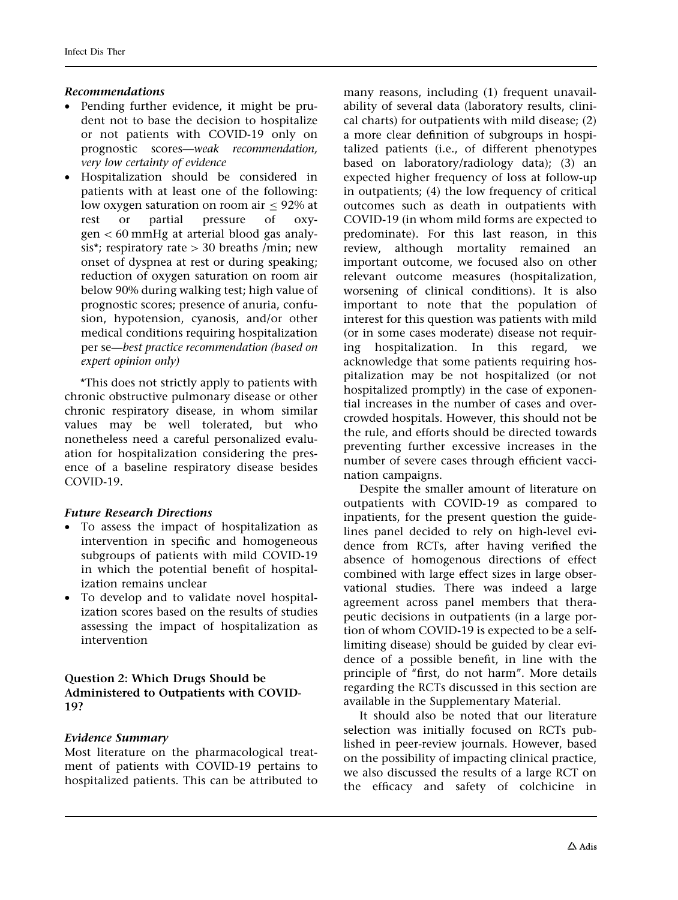## Recommendations

- Pending further evidence, it might be prudent not to base the decision to hospitalize or not patients with COVID-19 only on prognostic scores—weak recommendation, very low certainty of evidence
- Hospitalization should be considered in patients with at least one of the following: low oxygen saturation on room air  $\leq 92\%$  at rest or partial pressure of oxy $gen < 60$  mmHg at arterial blood gas analysis\*; respiratory rate  $> 30$  breaths /min; new onset of dyspnea at rest or during speaking; reduction of oxygen saturation on room air below 90% during walking test; high value of prognostic scores; presence of anuria, confusion, hypotension, cyanosis, and/or other medical conditions requiring hospitalization per se—best practice recommendation (based on expert opinion only)

\*This does not strictly apply to patients with chronic obstructive pulmonary disease or other chronic respiratory disease, in whom similar values may be well tolerated, but who nonetheless need a careful personalized evaluation for hospitalization considering the presence of a baseline respiratory disease besides COVID-19.

### Future Research Directions

- To assess the impact of hospitalization as intervention in specific and homogeneous subgroups of patients with mild COVID-19 in which the potential benefit of hospitalization remains unclear
- To develop and to validate novel hospitalization scores based on the results of studies assessing the impact of hospitalization as intervention

## Question 2: Which Drugs Should be Administered to Outpatients with COVID-19?

### Evidence Summary

Most literature on the pharmacological treatment of patients with COVID-19 pertains to hospitalized patients. This can be attributed to many reasons, including (1) frequent unavailability of several data (laboratory results, clinical charts) for outpatients with mild disease; (2) a more clear definition of subgroups in hospitalized patients (i.e., of different phenotypes based on laboratory/radiology data); (3) an expected higher frequency of loss at follow-up in outpatients; (4) the low frequency of critical outcomes such as death in outpatients with COVID-19 (in whom mild forms are expected to predominate). For this last reason, in this review, although mortality remained an important outcome, we focused also on other relevant outcome measures (hospitalization, worsening of clinical conditions). It is also important to note that the population of interest for this question was patients with mild (or in some cases moderate) disease not requiring hospitalization. In this regard, we acknowledge that some patients requiring hospitalization may be not hospitalized (or not hospitalized promptly) in the case of exponential increases in the number of cases and overcrowded hospitals. However, this should not be the rule, and efforts should be directed towards preventing further excessive increases in the number of severe cases through efficient vaccination campaigns.

Despite the smaller amount of literature on outpatients with COVID-19 as compared to inpatients, for the present question the guidelines panel decided to rely on high-level evidence from RCTs, after having verified the absence of homogenous directions of effect combined with large effect sizes in large observational studies. There was indeed a large agreement across panel members that therapeutic decisions in outpatients (in a large portion of whom COVID-19 is expected to be a selflimiting disease) should be guided by clear evidence of a possible benefit, in line with the principle of ''first, do not harm''. More details regarding the RCTs discussed in this section are available in the Supplementary Material.

It should also be noted that our literature selection was initially focused on RCTs published in peer-review journals. However, based on the possibility of impacting clinical practice, we also discussed the results of a large RCT on the efficacy and safety of colchicine in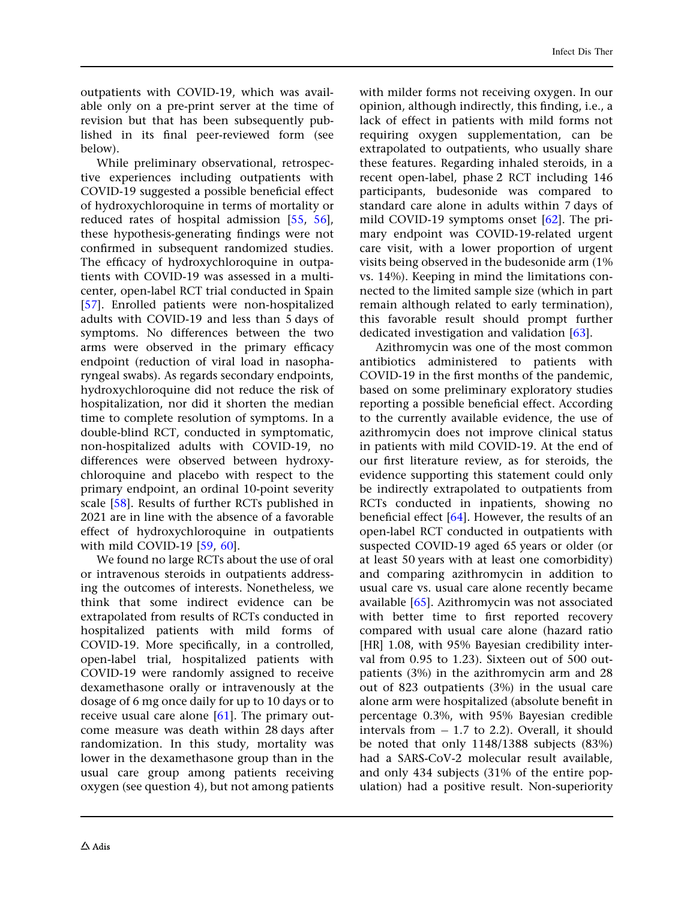outpatients with COVID-19, which was available only on a pre-print server at the time of revision but that has been subsequently published in its final peer-reviewed form (see below).

While preliminary observational, retrospective experiences including outpatients with COVID-19 suggested a possible beneficial effect of hydroxychloroquine in terms of mortality or reduced rates of hospital admission [[55](#page-39-0), [56](#page-39-0)], these hypothesis-generating findings were not confirmed in subsequent randomized studies. The efficacy of hydroxychloroquine in outpatients with COVID-19 was assessed in a multicenter, open-label RCT trial conducted in Spain [\[57\]](#page-39-0). Enrolled patients were non-hospitalized adults with COVID-19 and less than 5 days of symptoms. No differences between the two arms were observed in the primary efficacy endpoint (reduction of viral load in nasopharyngeal swabs). As regards secondary endpoints, hydroxychloroquine did not reduce the risk of hospitalization, nor did it shorten the median time to complete resolution of symptoms. In a double-blind RCT, conducted in symptomatic, non-hospitalized adults with COVID-19, no differences were observed between hydroxychloroquine and placebo with respect to the primary endpoint, an ordinal 10-point severity scale [[58](#page-39-0)]. Results of further RCTs published in 2021 are in line with the absence of a favorable effect of hydroxychloroquine in outpatients with mild COVID-19 [[59](#page-39-0), [60](#page-39-0)].

We found no large RCTs about the use of oral or intravenous steroids in outpatients addressing the outcomes of interests. Nonetheless, we think that some indirect evidence can be extrapolated from results of RCTs conducted in hospitalized patients with mild forms of COVID-19. More specifically, in a controlled, open-label trial, hospitalized patients with COVID-19 were randomly assigned to receive dexamethasone orally or intravenously at the dosage of 6 mg once daily for up to 10 days or to receive usual care alone  $[61]$  $[61]$  $[61]$ . The primary outcome measure was death within 28 days after randomization. In this study, mortality was lower in the dexamethasone group than in the usual care group among patients receiving oxygen (see question 4), but not among patients

with milder forms not receiving oxygen. In our opinion, although indirectly, this finding, i.e., a lack of effect in patients with mild forms not requiring oxygen supplementation, can be extrapolated to outpatients, who usually share these features. Regarding inhaled steroids, in a recent open-label, phase 2 RCT including 146 participants, budesonide was compared to standard care alone in adults within 7 days of mild COVID-19 symptoms onset [\[62\]](#page-39-0). The primary endpoint was COVID-19-related urgent care visit, with a lower proportion of urgent visits being observed in the budesonide arm (1% vs. 14%). Keeping in mind the limitations connected to the limited sample size (which in part remain although related to early termination), this favorable result should prompt further dedicated investigation and validation [\[63\]](#page-39-0).

Azithromycin was one of the most common antibiotics administered to patients with COVID-19 in the first months of the pandemic, based on some preliminary exploratory studies reporting a possible beneficial effect. According to the currently available evidence, the use of azithromycin does not improve clinical status in patients with mild COVID-19. At the end of our first literature review, as for steroids, the evidence supporting this statement could only be indirectly extrapolated to outpatients from RCTs conducted in inpatients, showing no beneficial effect [[64](#page-39-0)]. However, the results of an open-label RCT conducted in outpatients with suspected COVID-19 aged 65 years or older (or at least 50 years with at least one comorbidity) and comparing azithromycin in addition to usual care vs. usual care alone recently became available [[65](#page-39-0)]. Azithromycin was not associated with better time to first reported recovery compared with usual care alone (hazard ratio [HR] 1.08, with 95% Bayesian credibility interval from 0.95 to 1.23). Sixteen out of 500 outpatients (3%) in the azithromycin arm and 28 out of 823 outpatients (3%) in the usual care alone arm were hospitalized (absolute benefit in percentage 0.3%, with 95% Bayesian credible intervals from  $-1.7$  to 2.2). Overall, it should be noted that only 1148/1388 subjects (83%) had a SARS-CoV-2 molecular result available, and only 434 subjects (31% of the entire population) had a positive result. Non-superiority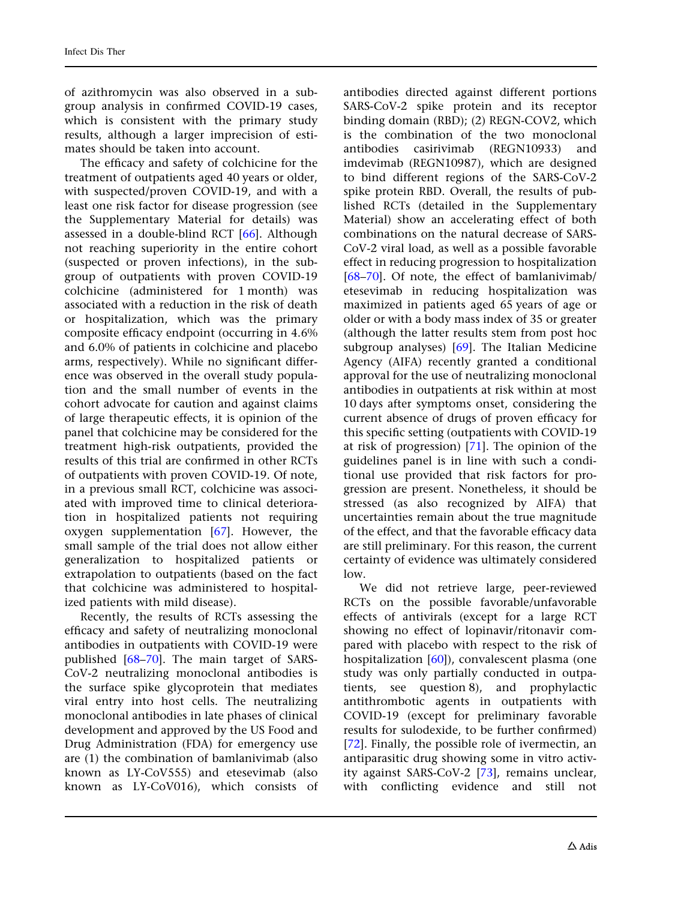of azithromycin was also observed in a subgroup analysis in confirmed COVID-19 cases, which is consistent with the primary study results, although a larger imprecision of estimates should be taken into account.

The efficacy and safety of colchicine for the treatment of outpatients aged 40 years or older, with suspected/proven COVID-19, and with a least one risk factor for disease progression (see the Supplementary Material for details) was assessed in a double-blind RCT [\[66](#page-39-0)]. Although not reaching superiority in the entire cohort (suspected or proven infections), in the subgroup of outpatients with proven COVID-19 colchicine (administered for 1 month) was associated with a reduction in the risk of death or hospitalization, which was the primary composite efficacy endpoint (occurring in 4.6% and 6.0% of patients in colchicine and placebo arms, respectively). While no significant difference was observed in the overall study population and the small number of events in the cohort advocate for caution and against claims of large therapeutic effects, it is opinion of the panel that colchicine may be considered for the treatment high-risk outpatients, provided the results of this trial are confirmed in other RCTs of outpatients with proven COVID-19. Of note, in a previous small RCT, colchicine was associated with improved time to clinical deterioration in hospitalized patients not requiring oxygen supplementation [[67](#page-39-0)]. However, the small sample of the trial does not allow either generalization to hospitalized patients or extrapolation to outpatients (based on the fact that colchicine was administered to hospitalized patients with mild disease).

Recently, the results of RCTs assessing the efficacy and safety of neutralizing monoclonal antibodies in outpatients with COVID-19 were published [[68–70\]](#page-39-0). The main target of SARS-CoV-2 neutralizing monoclonal antibodies is the surface spike glycoprotein that mediates viral entry into host cells. The neutralizing monoclonal antibodies in late phases of clinical development and approved by the US Food and Drug Administration (FDA) for emergency use are (1) the combination of bamlanivimab (also known as LY-CoV555) and etesevimab (also known as LY-CoV016), which consists of antibodies directed against different portions SARS-CoV-2 spike protein and its receptor binding domain (RBD); (2) REGN-COV2, which is the combination of the two monoclonal antibodies casirivimab (REGN10933) and imdevimab (REGN10987), which are designed to bind different regions of the SARS-CoV-2 spike protein RBD. Overall, the results of published RCTs (detailed in the Supplementary Material) show an accelerating effect of both combinations on the natural decrease of SARS-CoV-2 viral load, as well as a possible favorable effect in reducing progression to hospitalization [\[68–70](#page-39-0)]. Of note, the effect of bamlanivimab/ etesevimab in reducing hospitalization was maximized in patients aged 65 years of age or older or with a body mass index of 35 or greater (although the latter results stem from post hoc subgroup analyses) [[69\]](#page-39-0). The Italian Medicine Agency (AIFA) recently granted a conditional approval for the use of neutralizing monoclonal antibodies in outpatients at risk within at most 10 days after symptoms onset, considering the current absence of drugs of proven efficacy for this specific setting (outpatients with COVID-19 at risk of progression) [\[71\]](#page-39-0). The opinion of the guidelines panel is in line with such a conditional use provided that risk factors for progression are present. Nonetheless, it should be stressed (as also recognized by AIFA) that uncertainties remain about the true magnitude of the effect, and that the favorable efficacy data are still preliminary. For this reason, the current certainty of evidence was ultimately considered low.

We did not retrieve large, peer-reviewed RCTs on the possible favorable/unfavorable effects of antivirals (except for a large RCT showing no effect of lopinavir/ritonavir compared with placebo with respect to the risk of hospitalization [[60\]](#page-39-0)), convalescent plasma (one study was only partially conducted in outpatients, see question 8), and prophylactic antithrombotic agents in outpatients with COVID-19 (except for preliminary favorable results for sulodexide, to be further confirmed) [\[72\]](#page-39-0). Finally, the possible role of ivermectin, an antiparasitic drug showing some in vitro activity against SARS-CoV-2 [[73](#page-39-0)], remains unclear, with conflicting evidence and still not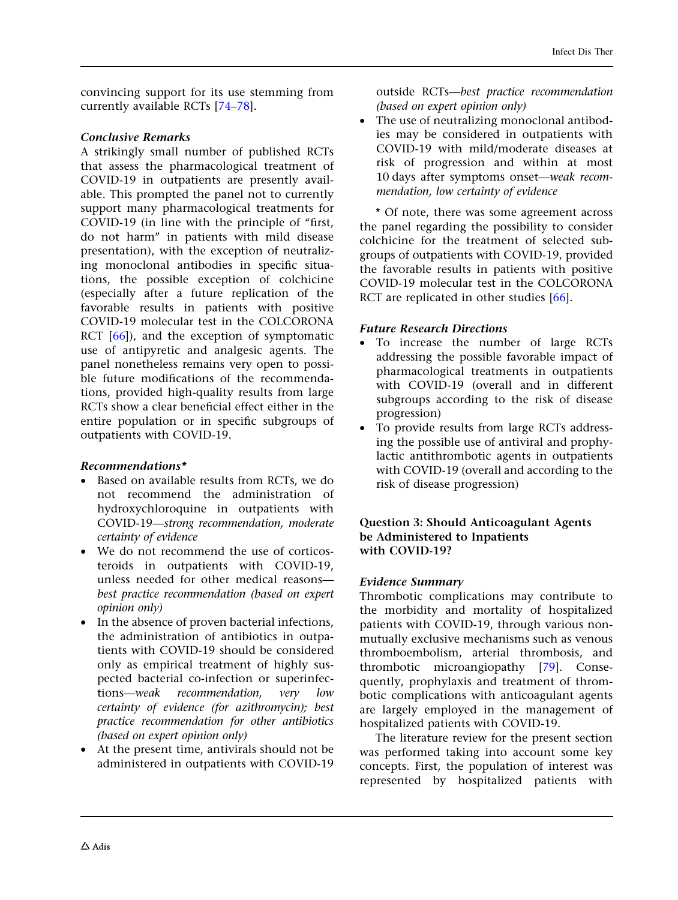convincing support for its use stemming from currently available RCTs [[74](#page-39-0)[–78\]](#page-40-0).

#### Conclusive Remarks

A strikingly small number of published RCTs that assess the pharmacological treatment of COVID-19 in outpatients are presently available. This prompted the panel not to currently support many pharmacological treatments for COVID-19 (in line with the principle of "first, do not harm'' in patients with mild disease presentation), with the exception of neutralizing monoclonal antibodies in specific situations, the possible exception of colchicine (especially after a future replication of the favorable results in patients with positive COVID-19 molecular test in the COLCORONA RCT [[66](#page-39-0)]), and the exception of symptomatic use of antipyretic and analgesic agents. The panel nonetheless remains very open to possible future modifications of the recommendations, provided high-quality results from large RCTs show a clear beneficial effect either in the entire population or in specific subgroups of outpatients with COVID-19.

### Recommendations\*

- Based on available results from RCTs, we do not recommend the administration of hydroxychloroquine in outpatients with COVID-19—strong recommendation, moderate certainty of evidence
- We do not recommend the use of corticosteroids in outpatients with COVID-19, unless needed for other medical reasons best practice recommendation (based on expert opinion only)
- In the absence of proven bacterial infections, the administration of antibiotics in outpatients with COVID-19 should be considered only as empirical treatment of highly suspected bacterial co-infection or superinfections—weak recommendation, very low certainty of evidence (for azithromycin); best practice recommendation for other antibiotics (based on expert opinion only)
- At the present time, antivirals should not be administered in outpatients with COVID-19

outside RCTs—best practice recommendation (based on expert opinion only)

• The use of neutralizing monoclonal antibodies may be considered in outpatients with COVID-19 with mild/moderate diseases at risk of progression and within at most 10 days after symptoms onset—weak recommendation, low certainty of evidence

\* Of note, there was some agreement across the panel regarding the possibility to consider colchicine for the treatment of selected subgroups of outpatients with COVID-19, provided the favorable results in patients with positive COVID-19 molecular test in the COLCORONA RCT are replicated in other studies [[66](#page-39-0)].

### Future Research Directions

- To increase the number of large RCTs addressing the possible favorable impact of pharmacological treatments in outpatients with COVID-19 (overall and in different subgroups according to the risk of disease progression)
- To provide results from large RCTs addressing the possible use of antiviral and prophylactic antithrombotic agents in outpatients with COVID-19 (overall and according to the risk of disease progression)

#### Question 3: Should Anticoagulant Agents be Administered to Inpatients with COVID-19?

#### Evidence Summary

Thrombotic complications may contribute to the morbidity and mortality of hospitalized patients with COVID-19, through various nonmutually exclusive mechanisms such as venous thromboembolism, arterial thrombosis, and thrombotic microangiopathy [[79](#page-40-0)]. Consequently, prophylaxis and treatment of thrombotic complications with anticoagulant agents are largely employed in the management of hospitalized patients with COVID-19.

The literature review for the present section was performed taking into account some key concepts. First, the population of interest was represented by hospitalized patients with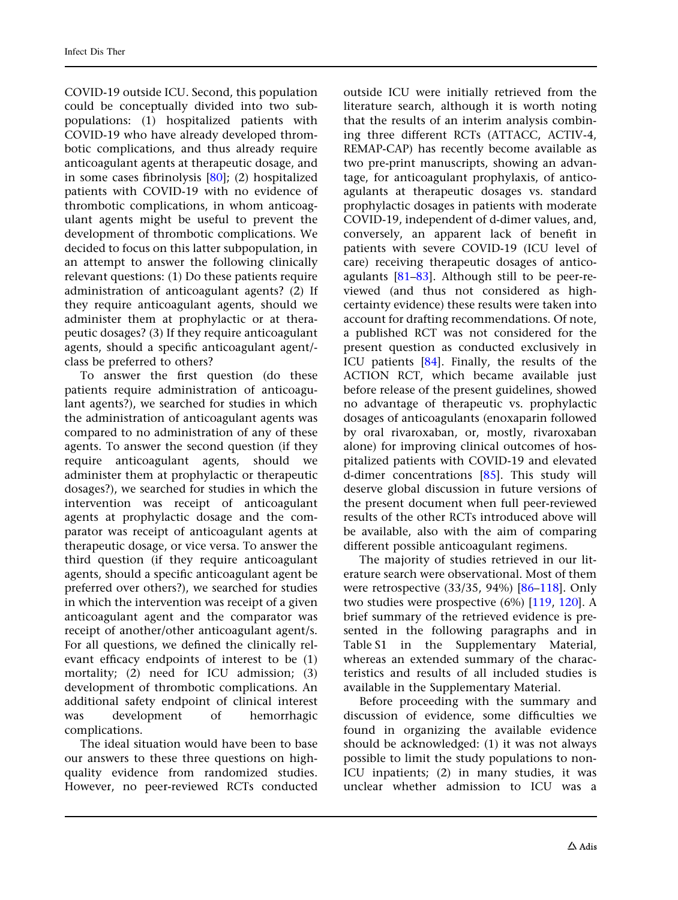COVID-19 outside ICU. Second, this population could be conceptually divided into two subpopulations: (1) hospitalized patients with COVID-19 who have already developed thrombotic complications, and thus already require anticoagulant agents at therapeutic dosage, and in some cases fibrinolysis [\[80\]](#page-40-0); (2) hospitalized patients with COVID-19 with no evidence of thrombotic complications, in whom anticoagulant agents might be useful to prevent the development of thrombotic complications. We decided to focus on this latter subpopulation, in an attempt to answer the following clinically relevant questions: (1) Do these patients require administration of anticoagulant agents? (2) If they require anticoagulant agents, should we administer them at prophylactic or at therapeutic dosages? (3) If they require anticoagulant agents, should a specific anticoagulant agent/ class be preferred to others?

To answer the first question (do these patients require administration of anticoagulant agents?), we searched for studies in which the administration of anticoagulant agents was compared to no administration of any of these agents. To answer the second question (if they require anticoagulant agents, should we administer them at prophylactic or therapeutic dosages?), we searched for studies in which the intervention was receipt of anticoagulant agents at prophylactic dosage and the comparator was receipt of anticoagulant agents at therapeutic dosage, or vice versa. To answer the third question (if they require anticoagulant agents, should a specific anticoagulant agent be preferred over others?), we searched for studies in which the intervention was receipt of a given anticoagulant agent and the comparator was receipt of another/other anticoagulant agent/s. For all questions, we defined the clinically relevant efficacy endpoints of interest to be (1) mortality; (2) need for ICU admission; (3) development of thrombotic complications. An additional safety endpoint of clinical interest was development of hemorrhagic complications.

The ideal situation would have been to base our answers to these three questions on highquality evidence from randomized studies. However, no peer-reviewed RCTs conducted outside ICU were initially retrieved from the literature search, although it is worth noting that the results of an interim analysis combining three different RCTs (ATTACC, ACTIV-4, REMAP-CAP) has recently become available as two pre-print manuscripts, showing an advantage, for anticoagulant prophylaxis, of anticoagulants at therapeutic dosages vs. standard prophylactic dosages in patients with moderate COVID-19, independent of d-dimer values, and, conversely, an apparent lack of benefit in patients with severe COVID-19 (ICU level of care) receiving therapeutic dosages of anticoagulants [\[81–83](#page-40-0)]. Although still to be peer-reviewed (and thus not considered as highcertainty evidence) these results were taken into account for drafting recommendations. Of note, a published RCT was not considered for the present question as conducted exclusively in ICU patients [[84](#page-40-0)]. Finally, the results of the ACTION RCT, which became available just before release of the present guidelines, showed no advantage of therapeutic vs. prophylactic dosages of anticoagulants (enoxaparin followed by oral rivaroxaban, or, mostly, rivaroxaban alone) for improving clinical outcomes of hospitalized patients with COVID-19 and elevated d-dimer concentrations [[85](#page-40-0)]. This study will deserve global discussion in future versions of the present document when full peer-reviewed results of the other RCTs introduced above will be available, also with the aim of comparing different possible anticoagulant regimens.

The majority of studies retrieved in our literature search were observational. Most of them were retrospective (33/35, 94%) [[86](#page-40-0)[–118](#page-41-0)]. Only two studies were prospective (6%) [[119,](#page-41-0) [120](#page-41-0)]. A brief summary of the retrieved evidence is presented in the following paragraphs and in Table S1 in the Supplementary Material, whereas an extended summary of the characteristics and results of all included studies is available in the Supplementary Material.

Before proceeding with the summary and discussion of evidence, some difficulties we found in organizing the available evidence should be acknowledged: (1) it was not always possible to limit the study populations to non-ICU inpatients; (2) in many studies, it was unclear whether admission to ICU was a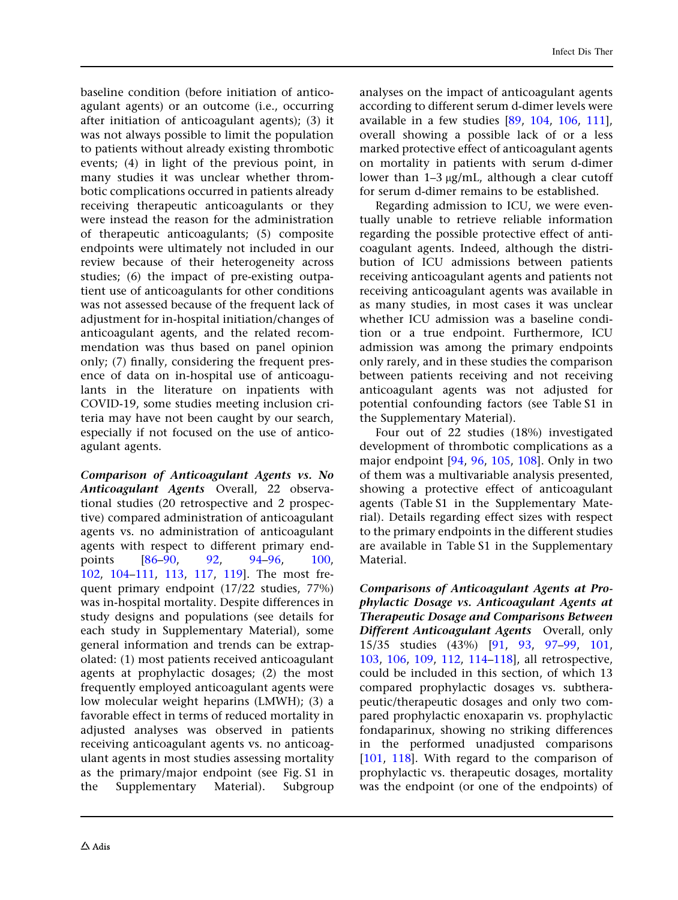baseline condition (before initiation of anticoagulant agents) or an outcome (i.e., occurring after initiation of anticoagulant agents); (3) it was not always possible to limit the population to patients without already existing thrombotic events; (4) in light of the previous point, in many studies it was unclear whether thrombotic complications occurred in patients already receiving therapeutic anticoagulants or they were instead the reason for the administration of therapeutic anticoagulants; (5) composite endpoints were ultimately not included in our review because of their heterogeneity across studies; (6) the impact of pre-existing outpatient use of anticoagulants for other conditions was not assessed because of the frequent lack of adjustment for in-hospital initiation/changes of anticoagulant agents, and the related recommendation was thus based on panel opinion only; (7) finally, considering the frequent presence of data on in-hospital use of anticoagulants in the literature on inpatients with COVID-19, some studies meeting inclusion criteria may have not been caught by our search, especially if not focused on the use of anticoagulant agents.

Comparison of Anticoagulant Agents vs. No Anticoagulant Agents Overall, 22 observational studies (20 retrospective and 2 prospective) compared administration of anticoagulant agents vs. no administration of anticoagulant agents with respect to different primary endpoints [\[86–90,](#page-40-0) [92,](#page-40-0) [94–96,](#page-40-0) [100](#page-41-0), [102](#page-41-0), [104–111](#page-41-0), [113,](#page-41-0) [117,](#page-41-0) [119](#page-41-0)]. The most frequent primary endpoint (17/22 studies, 77%) was in-hospital mortality. Despite differences in study designs and populations (see details for each study in Supplementary Material), some general information and trends can be extrapolated: (1) most patients received anticoagulant agents at prophylactic dosages; (2) the most frequently employed anticoagulant agents were low molecular weight heparins (LMWH); (3) a favorable effect in terms of reduced mortality in adjusted analyses was observed in patients receiving anticoagulant agents vs. no anticoagulant agents in most studies assessing mortality as the primary/major endpoint (see Fig. S1 in the Supplementary Material). Subgroup

analyses on the impact of anticoagulant agents according to different serum d-dimer levels were available in a few studies [[89](#page-40-0), [104,](#page-41-0) [106,](#page-41-0) [111](#page-41-0)], overall showing a possible lack of or a less marked protective effect of anticoagulant agents on mortality in patients with serum d-dimer lower than  $1-3 \mu$ g/mL, although a clear cutoff for serum d-dimer remains to be established.

Regarding admission to ICU, we were eventually unable to retrieve reliable information regarding the possible protective effect of anticoagulant agents. Indeed, although the distribution of ICU admissions between patients receiving anticoagulant agents and patients not receiving anticoagulant agents was available in as many studies, in most cases it was unclear whether ICU admission was a baseline condition or a true endpoint. Furthermore, ICU admission was among the primary endpoints only rarely, and in these studies the comparison between patients receiving and not receiving anticoagulant agents was not adjusted for potential confounding factors (see Table S1 in the Supplementary Material).

Four out of 22 studies (18%) investigated development of thrombotic complications as a major endpoint [\[94,](#page-40-0) [96](#page-40-0), [105,](#page-41-0) [108](#page-41-0)]. Only in two of them was a multivariable analysis presented, showing a protective effect of anticoagulant agents (Table S1 in the Supplementary Material). Details regarding effect sizes with respect to the primary endpoints in the different studies are available in Table S1 in the Supplementary Material.

Comparisons of Anticoagulant Agents at Prophylactic Dosage vs. Anticoagulant Agents at Therapeutic Dosage and Comparisons Between Different Anticoagulant Agents Overall, only 15/35 studies (43%) [\[91,](#page-40-0) [93](#page-40-0), [97](#page-40-0)[–99,](#page-41-0) [101,](#page-41-0) [103](#page-41-0), [106](#page-41-0), [109,](#page-41-0) [112,](#page-41-0) [114–118\]](#page-41-0), all retrospective, could be included in this section, of which 13 compared prophylactic dosages vs. subtherapeutic/therapeutic dosages and only two compared prophylactic enoxaparin vs. prophylactic fondaparinux, showing no striking differences in the performed unadjusted comparisons [\[101,](#page-41-0) [118](#page-41-0)]. With regard to the comparison of prophylactic vs. therapeutic dosages, mortality was the endpoint (or one of the endpoints) of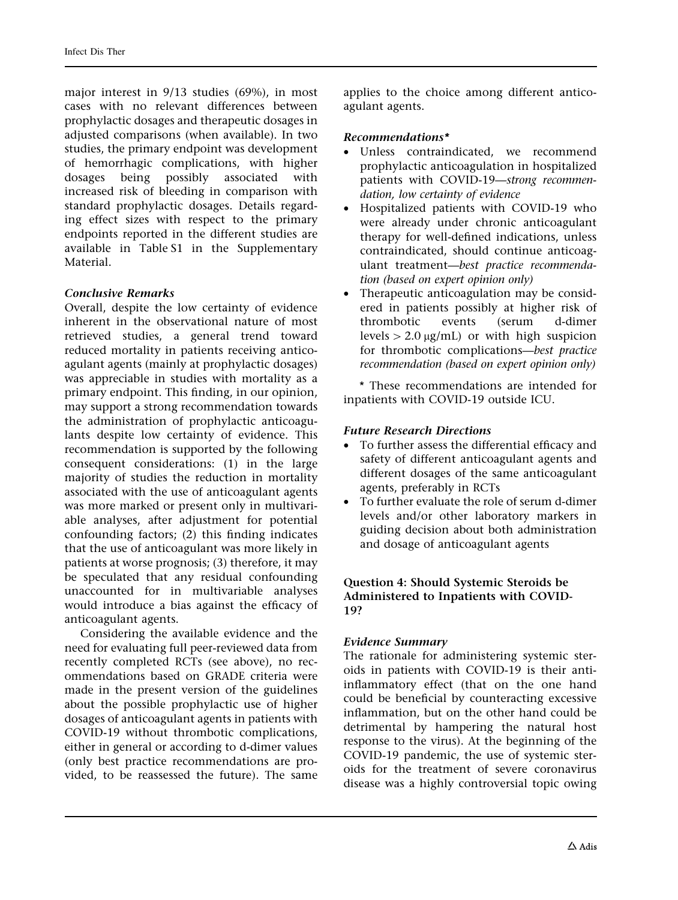major interest in 9/13 studies (69%), in most cases with no relevant differences between prophylactic dosages and therapeutic dosages in adjusted comparisons (when available). In two studies, the primary endpoint was development of hemorrhagic complications, with higher dosages being possibly associated with increased risk of bleeding in comparison with standard prophylactic dosages. Details regarding effect sizes with respect to the primary endpoints reported in the different studies are available in Table S1 in the Supplementary **Material** 

#### Conclusive Remarks

Overall, despite the low certainty of evidence inherent in the observational nature of most retrieved studies, a general trend toward reduced mortality in patients receiving anticoagulant agents (mainly at prophylactic dosages) was appreciable in studies with mortality as a primary endpoint. This finding, in our opinion, may support a strong recommendation towards the administration of prophylactic anticoagulants despite low certainty of evidence. This recommendation is supported by the following consequent considerations: (1) in the large majority of studies the reduction in mortality associated with the use of anticoagulant agents was more marked or present only in multivariable analyses, after adjustment for potential confounding factors; (2) this finding indicates that the use of anticoagulant was more likely in patients at worse prognosis; (3) therefore, it may be speculated that any residual confounding unaccounted for in multivariable analyses would introduce a bias against the efficacy of anticoagulant agents.

Considering the available evidence and the need for evaluating full peer-reviewed data from recently completed RCTs (see above), no recommendations based on GRADE criteria were made in the present version of the guidelines about the possible prophylactic use of higher dosages of anticoagulant agents in patients with COVID-19 without thrombotic complications, either in general or according to d-dimer values (only best practice recommendations are provided, to be reassessed the future). The same

applies to the choice among different anticoagulant agents.

## Recommendations\*

- Unless contraindicated, we recommend prophylactic anticoagulation in hospitalized patients with COVID-19—strong recommendation, low certainty of evidence
- Hospitalized patients with COVID-19 who were already under chronic anticoagulant therapy for well-defined indications, unless contraindicated, should continue anticoagulant treatment—best practice recommendation (based on expert opinion only)
- Therapeutic anticoagulation may be considered in patients possibly at higher risk of thrombotic events (serum d-dimer levels  $> 2.0 \mu g/mL$  or with high suspicion for thrombotic complications—best practice recommendation (based on expert opinion only)

\* These recommendations are intended for inpatients with COVID-19 outside ICU.

## Future Research Directions

- To further assess the differential efficacy and safety of different anticoagulant agents and different dosages of the same anticoagulant agents, preferably in RCTs
- To further evaluate the role of serum d-dimer levels and/or other laboratory markers in guiding decision about both administration and dosage of anticoagulant agents

## Question 4: Should Systemic Steroids be Administered to Inpatients with COVID-19?

## Evidence Summary

The rationale for administering systemic steroids in patients with COVID-19 is their antiinflammatory effect (that on the one hand could be beneficial by counteracting excessive inflammation, but on the other hand could be detrimental by hampering the natural host response to the virus). At the beginning of the COVID-19 pandemic, the use of systemic steroids for the treatment of severe coronavirus disease was a highly controversial topic owing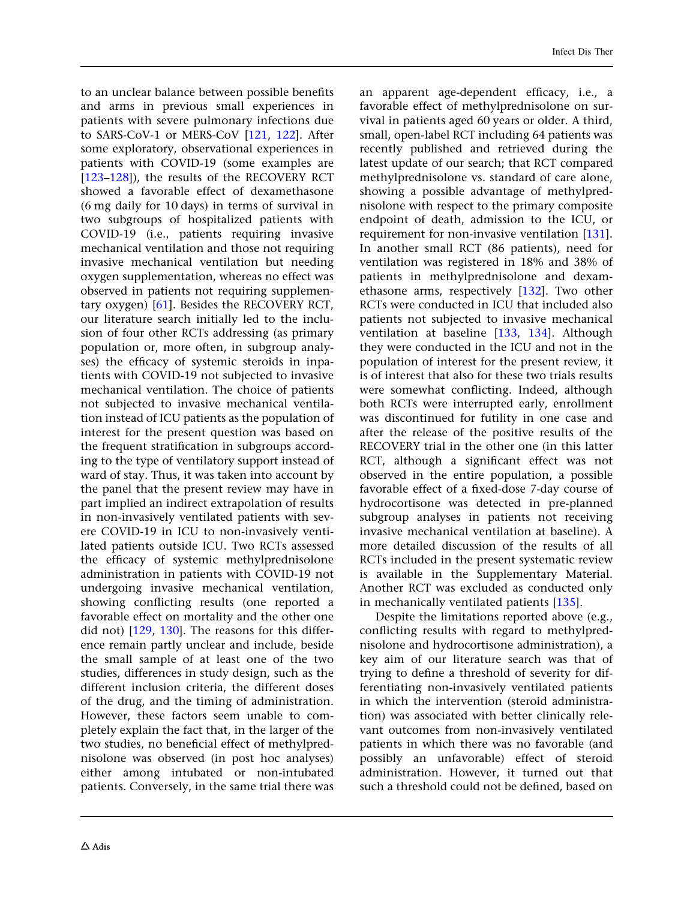to an unclear balance between possible benefits and arms in previous small experiences in patients with severe pulmonary infections due to SARS-CoV-1 or MERS-CoV [\[121](#page-42-0), [122\]](#page-42-0). After some exploratory, observational experiences in patients with COVID-19 (some examples are [\[123–128](#page-42-0)]), the results of the RECOVERY RCT showed a favorable effect of dexamethasone (6 mg daily for 10 days) in terms of survival in two subgroups of hospitalized patients with COVID-19 (i.e., patients requiring invasive mechanical ventilation and those not requiring invasive mechanical ventilation but needing oxygen supplementation, whereas no effect was observed in patients not requiring supplementary oxygen) [[61](#page-39-0)]. Besides the RECOVERY RCT, our literature search initially led to the inclusion of four other RCTs addressing (as primary population or, more often, in subgroup analyses) the efficacy of systemic steroids in inpatients with COVID-19 not subjected to invasive mechanical ventilation. The choice of patients not subjected to invasive mechanical ventilation instead of ICU patients as the population of interest for the present question was based on the frequent stratification in subgroups according to the type of ventilatory support instead of ward of stay. Thus, it was taken into account by the panel that the present review may have in part implied an indirect extrapolation of results in non-invasively ventilated patients with severe COVID-19 in ICU to non-invasively ventilated patients outside ICU. Two RCTs assessed the efficacy of systemic methylprednisolone administration in patients with COVID-19 not undergoing invasive mechanical ventilation, showing conflicting results (one reported a favorable effect on mortality and the other one did not) [[129,](#page-42-0) [130](#page-42-0)]. The reasons for this difference remain partly unclear and include, beside the small sample of at least one of the two studies, differences in study design, such as the different inclusion criteria, the different doses of the drug, and the timing of administration. However, these factors seem unable to completely explain the fact that, in the larger of the two studies, no beneficial effect of methylprednisolone was observed (in post hoc analyses) either among intubated or non-intubated patients. Conversely, in the same trial there was

an apparent age-dependent efficacy, i.e., a favorable effect of methylprednisolone on survival in patients aged 60 years or older. A third, small, open-label RCT including 64 patients was recently published and retrieved during the latest update of our search; that RCT compared methylprednisolone vs. standard of care alone, showing a possible advantage of methylprednisolone with respect to the primary composite endpoint of death, admission to the ICU, or requirement for non-invasive ventilation [\[131](#page-42-0)]. In another small RCT (86 patients), need for ventilation was registered in 18% and 38% of patients in methylprednisolone and dexamethasone arms, respectively [[132\]](#page-42-0). Two other RCTs were conducted in ICU that included also patients not subjected to invasive mechanical ventilation at baseline [\[133,](#page-42-0) [134](#page-42-0)]. Although they were conducted in the ICU and not in the population of interest for the present review, it is of interest that also for these two trials results were somewhat conflicting. Indeed, although both RCTs were interrupted early, enrollment was discontinued for futility in one case and after the release of the positive results of the RECOVERY trial in the other one (in this latter RCT, although a significant effect was not observed in the entire population, a possible favorable effect of a fixed-dose 7-day course of hydrocortisone was detected in pre-planned subgroup analyses in patients not receiving invasive mechanical ventilation at baseline). A more detailed discussion of the results of all RCTs included in the present systematic review is available in the Supplementary Material. Another RCT was excluded as conducted only in mechanically ventilated patients [[135](#page-42-0)].

Despite the limitations reported above (e.g., conflicting results with regard to methylprednisolone and hydrocortisone administration), a key aim of our literature search was that of trying to define a threshold of severity for differentiating non-invasively ventilated patients in which the intervention (steroid administration) was associated with better clinically relevant outcomes from non-invasively ventilated patients in which there was no favorable (and possibly an unfavorable) effect of steroid administration. However, it turned out that such a threshold could not be defined, based on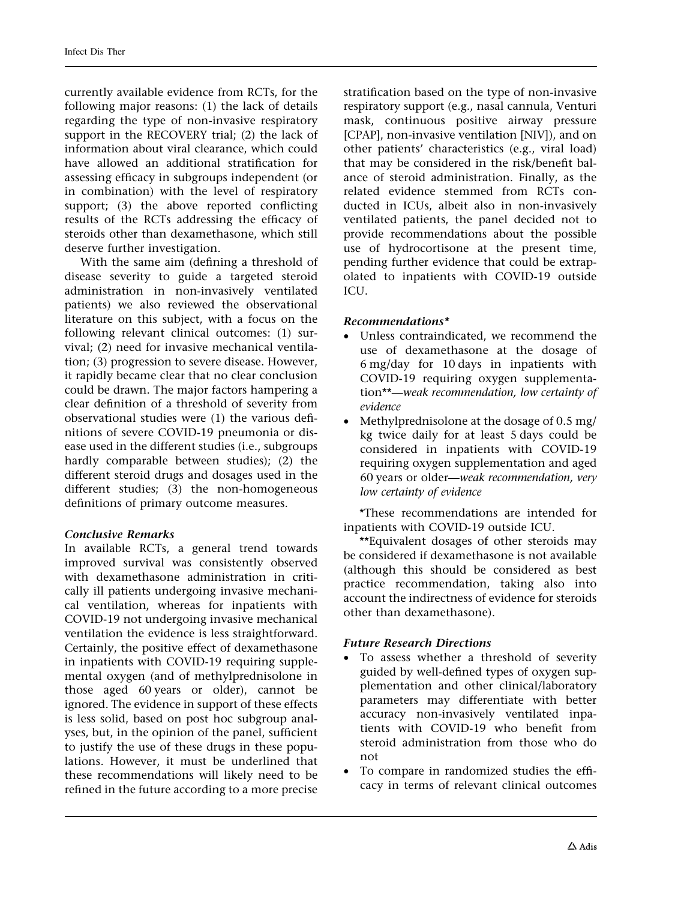currently available evidence from RCTs, for the following major reasons: (1) the lack of details regarding the type of non-invasive respiratory support in the RECOVERY trial; (2) the lack of information about viral clearance, which could have allowed an additional stratification for assessing efficacy in subgroups independent (or in combination) with the level of respiratory support; (3) the above reported conflicting results of the RCTs addressing the efficacy of steroids other than dexamethasone, which still deserve further investigation.

With the same aim (defining a threshold of disease severity to guide a targeted steroid administration in non-invasively ventilated patients) we also reviewed the observational literature on this subject, with a focus on the following relevant clinical outcomes: (1) survival; (2) need for invasive mechanical ventilation; (3) progression to severe disease. However, it rapidly became clear that no clear conclusion could be drawn. The major factors hampering a clear definition of a threshold of severity from observational studies were (1) the various definitions of severe COVID-19 pneumonia or disease used in the different studies (i.e., subgroups hardly comparable between studies); (2) the different steroid drugs and dosages used in the different studies; (3) the non-homogeneous definitions of primary outcome measures.

### Conclusive Remarks

In available RCTs, a general trend towards improved survival was consistently observed with dexamethasone administration in critically ill patients undergoing invasive mechanical ventilation, whereas for inpatients with COVID-19 not undergoing invasive mechanical ventilation the evidence is less straightforward. Certainly, the positive effect of dexamethasone in inpatients with COVID-19 requiring supplemental oxygen (and of methylprednisolone in those aged 60 years or older), cannot be ignored. The evidence in support of these effects is less solid, based on post hoc subgroup analyses, but, in the opinion of the panel, sufficient to justify the use of these drugs in these populations. However, it must be underlined that these recommendations will likely need to be refined in the future according to a more precise

stratification based on the type of non-invasive respiratory support (e.g., nasal cannula, Venturi mask, continuous positive airway pressure [CPAP], non-invasive ventilation [NIV]), and on other patients' characteristics (e.g., viral load) that may be considered in the risk/benefit balance of steroid administration. Finally, as the related evidence stemmed from RCTs conducted in ICUs, albeit also in non-invasively ventilated patients, the panel decided not to provide recommendations about the possible use of hydrocortisone at the present time, pending further evidence that could be extrapolated to inpatients with COVID-19 outside ICU.

#### Recommendations\*

- Unless contraindicated, we recommend the use of dexamethasone at the dosage of 6 mg/day for 10 days in inpatients with COVID-19 requiring oxygen supplementation\*\*—weak recommendation, low certainty of evidence
- Methylprednisolone at the dosage of 0.5 mg/ kg twice daily for at least 5 days could be considered in inpatients with COVID-19 requiring oxygen supplementation and aged 60 years or older—weak recommendation, very low certainty of evidence

\*These recommendations are intended for inpatients with COVID-19 outside ICU.

\*\*Equivalent dosages of other steroids may be considered if dexamethasone is not available (although this should be considered as best practice recommendation, taking also into account the indirectness of evidence for steroids other than dexamethasone).

#### Future Research Directions

- To assess whether a threshold of severity guided by well-defined types of oxygen supplementation and other clinical/laboratory parameters may differentiate with better accuracy non-invasively ventilated inpatients with COVID-19 who benefit from steroid administration from those who do not
- To compare in randomized studies the efficacy in terms of relevant clinical outcomes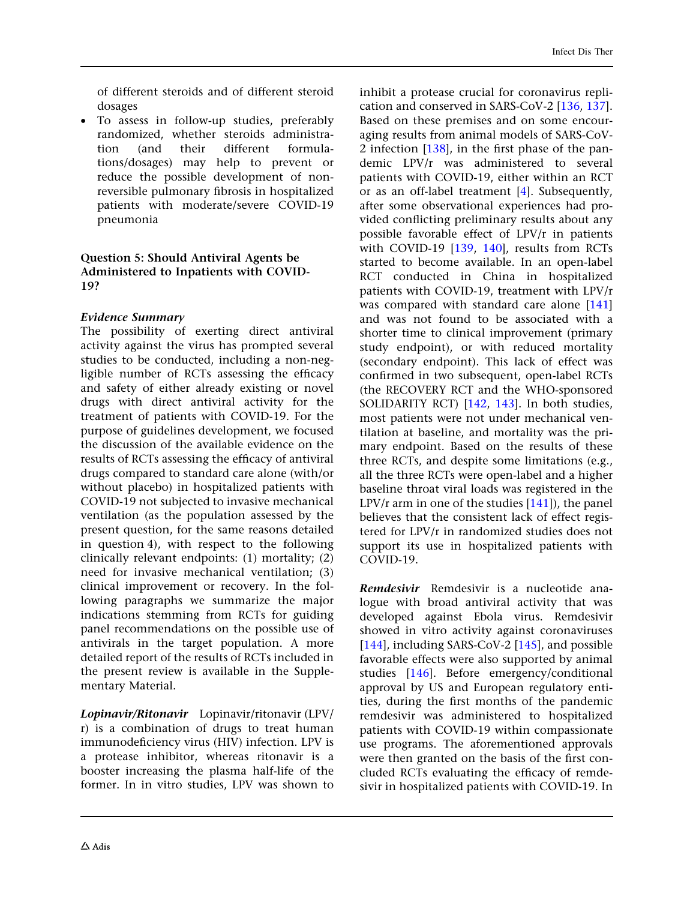of different steroids and of different steroid dosages

• To assess in follow-up studies, preferably randomized, whether steroids administration (and their different formulations/dosages) may help to prevent or reduce the possible development of nonreversible pulmonary fibrosis in hospitalized patients with moderate/severe COVID-19 pneumonia

#### Question 5: Should Antiviral Agents be Administered to Inpatients with COVID-19?

### Evidence Summary

The possibility of exerting direct antiviral activity against the virus has prompted several studies to be conducted, including a non-negligible number of RCTs assessing the efficacy and safety of either already existing or novel drugs with direct antiviral activity for the treatment of patients with COVID-19. For the purpose of guidelines development, we focused the discussion of the available evidence on the results of RCTs assessing the efficacy of antiviral drugs compared to standard care alone (with/or without placebo) in hospitalized patients with COVID-19 not subjected to invasive mechanical ventilation (as the population assessed by the present question, for the same reasons detailed in question 4), with respect to the following clinically relevant endpoints: (1) mortality; (2) need for invasive mechanical ventilation; (3) clinical improvement or recovery. In the following paragraphs we summarize the major indications stemming from RCTs for guiding panel recommendations on the possible use of antivirals in the target population. A more detailed report of the results of RCTs included in the present review is available in the Supplementary Material.

Lopinavir/Ritonavir Lopinavir/ritonavir (LPV/ r) is a combination of drugs to treat human immunodeficiency virus (HIV) infection. LPV is a protease inhibitor, whereas ritonavir is a booster increasing the plasma half-life of the former. In in vitro studies, LPV was shown to

inhibit a protease crucial for coronavirus replication and conserved in SARS-CoV-2 [\[136,](#page-42-0) [137](#page-42-0)]. Based on these premises and on some encouraging results from animal models of SARS-CoV-2 infection  $[138]$  $[138]$ , in the first phase of the pandemic LPV/r was administered to several patients with COVID-19, either within an RCT or as an off-label treatment [\[4\]](#page-36-0). Subsequently, after some observational experiences had provided conflicting preliminary results about any possible favorable effect of LPV/r in patients with COVID-19 [\[139](#page-42-0), [140](#page-42-0)], results from RCTs started to become available. In an open-label RCT conducted in China in hospitalized patients with COVID-19, treatment with LPV/r was compared with standard care alone [\[141](#page-42-0)] and was not found to be associated with a shorter time to clinical improvement (primary study endpoint), or with reduced mortality (secondary endpoint). This lack of effect was confirmed in two subsequent, open-label RCTs (the RECOVERY RCT and the WHO-sponsored SOLIDARITY RCT) [[142,](#page-42-0) [143](#page-42-0)]. In both studies, most patients were not under mechanical ventilation at baseline, and mortality was the primary endpoint. Based on the results of these three RCTs, and despite some limitations (e.g., all the three RCTs were open-label and a higher baseline throat viral loads was registered in the  $LPV/r$  arm in one of the studies  $[141]$  $[141]$ , the panel believes that the consistent lack of effect registered for LPV/r in randomized studies does not support its use in hospitalized patients with COVID-19.

Remdesivir Remdesivir is a nucleotide analogue with broad antiviral activity that was developed against Ebola virus. Remdesivir showed in vitro activity against coronaviruses [\[144\]](#page-43-0), including SARS-CoV-2 [\[145](#page-43-0)], and possible favorable effects were also supported by animal studies [\[146](#page-43-0)]. Before emergency/conditional approval by US and European regulatory entities, during the first months of the pandemic remdesivir was administered to hospitalized patients with COVID-19 within compassionate use programs. The aforementioned approvals were then granted on the basis of the first concluded RCTs evaluating the efficacy of remdesivir in hospitalized patients with COVID-19. In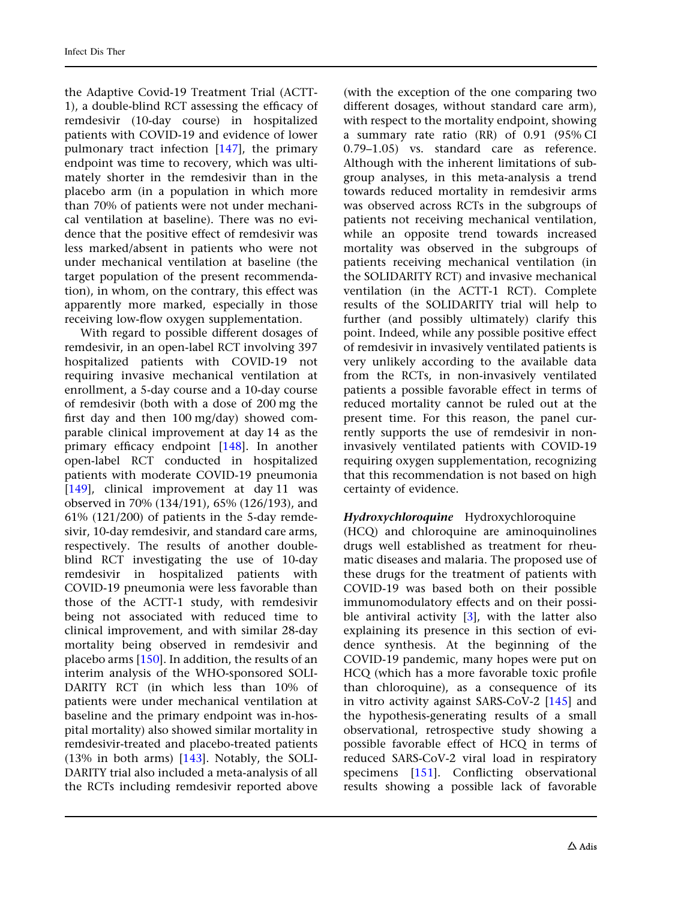the Adaptive Covid-19 Treatment Trial (ACTT-1), a double-blind RCT assessing the efficacy of remdesivir (10-day course) in hospitalized patients with COVID-19 and evidence of lower pulmonary tract infection [\[147](#page-43-0)], the primary endpoint was time to recovery, which was ultimately shorter in the remdesivir than in the placebo arm (in a population in which more than 70% of patients were not under mechanical ventilation at baseline). There was no evidence that the positive effect of remdesivir was less marked/absent in patients who were not under mechanical ventilation at baseline (the target population of the present recommendation), in whom, on the contrary, this effect was apparently more marked, especially in those receiving low-flow oxygen supplementation.

With regard to possible different dosages of remdesivir, in an open-label RCT involving 397 hospitalized patients with COVID-19 not requiring invasive mechanical ventilation at enrollment, a 5-day course and a 10-day course of remdesivir (both with a dose of 200 mg the first day and then 100 mg/day) showed comparable clinical improvement at day 14 as the primary efficacy endpoint [\[148\]](#page-43-0). In another open-label RCT conducted in hospitalized patients with moderate COVID-19 pneumonia [\[149](#page-43-0)], clinical improvement at day 11 was observed in 70% (134/191), 65% (126/193), and 61% (121/200) of patients in the 5-day remdesivir, 10-day remdesivir, and standard care arms, respectively. The results of another doubleblind RCT investigating the use of 10-day remdesivir in hospitalized patients with COVID-19 pneumonia were less favorable than those of the ACTT-1 study, with remdesivir being not associated with reduced time to clinical improvement, and with similar 28-day mortality being observed in remdesivir and placebo arms [[150](#page-43-0)]. In addition, the results of an interim analysis of the WHO-sponsored SOLI-DARITY RCT (in which less than 10% of patients were under mechanical ventilation at baseline and the primary endpoint was in-hospital mortality) also showed similar mortality in remdesivir-treated and placebo-treated patients (13% in both arms) [[143\]](#page-42-0). Notably, the SOLI-DARITY trial also included a meta-analysis of all the RCTs including remdesivir reported above

(with the exception of the one comparing two different dosages, without standard care arm), with respect to the mortality endpoint, showing a summary rate ratio (RR) of 0.91 (95% CI 0.79–1.05) vs. standard care as reference. Although with the inherent limitations of subgroup analyses, in this meta-analysis a trend towards reduced mortality in remdesivir arms was observed across RCTs in the subgroups of patients not receiving mechanical ventilation, while an opposite trend towards increased mortality was observed in the subgroups of patients receiving mechanical ventilation (in the SOLIDARITY RCT) and invasive mechanical ventilation (in the ACTT-1 RCT). Complete results of the SOLIDARITY trial will help to further (and possibly ultimately) clarify this point. Indeed, while any possible positive effect of remdesivir in invasively ventilated patients is very unlikely according to the available data from the RCTs, in non-invasively ventilated patients a possible favorable effect in terms of reduced mortality cannot be ruled out at the present time. For this reason, the panel currently supports the use of remdesivir in noninvasively ventilated patients with COVID-19 requiring oxygen supplementation, recognizing that this recommendation is not based on high certainty of evidence.

### Hydroxychloroquine Hydroxychloroquine

(HCQ) and chloroquine are aminoquinolines drugs well established as treatment for rheumatic diseases and malaria. The proposed use of these drugs for the treatment of patients with COVID-19 was based both on their possible immunomodulatory effects and on their possible antiviral activity  $[3]$ , with the latter also explaining its presence in this section of evidence synthesis. At the beginning of the COVID-19 pandemic, many hopes were put on HCQ (which has a more favorable toxic profile than chloroquine), as a consequence of its in vitro activity against SARS-CoV-2 [\[145](#page-43-0)] and the hypothesis-generating results of a small observational, retrospective study showing a possible favorable effect of HCQ in terms of reduced SARS-CoV-2 viral load in respiratory specimens [[151](#page-43-0)]. Conflicting observational results showing a possible lack of favorable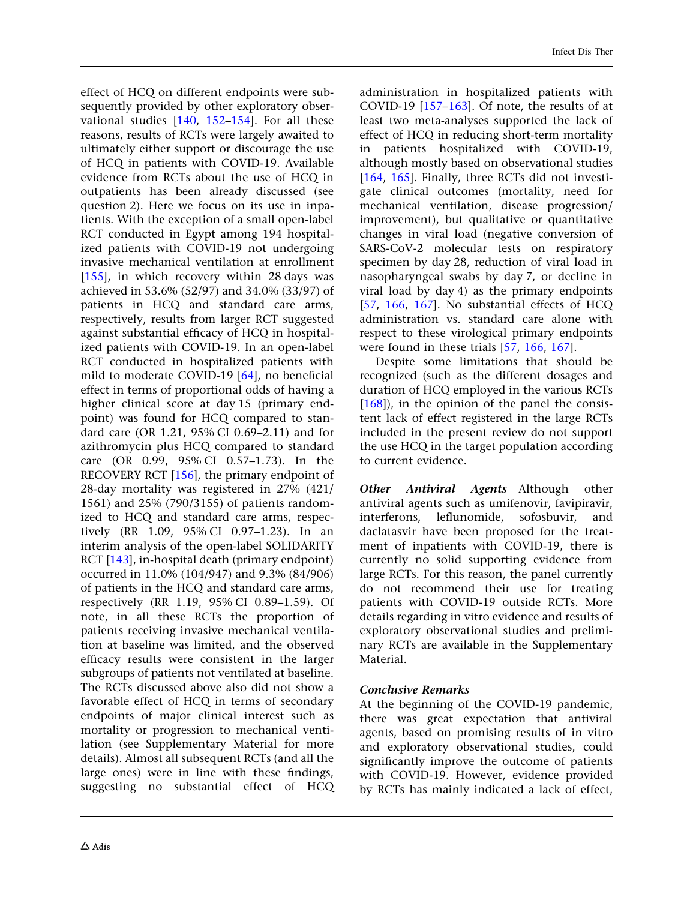effect of HCQ on different endpoints were subsequently provided by other exploratory observational studies [\[140,](#page-42-0) [152–154](#page-43-0)]. For all these reasons, results of RCTs were largely awaited to ultimately either support or discourage the use of HCQ in patients with COVID-19. Available evidence from RCTs about the use of HCQ in outpatients has been already discussed (see question 2). Here we focus on its use in inpatients. With the exception of a small open-label RCT conducted in Egypt among 194 hospitalized patients with COVID-19 not undergoing invasive mechanical ventilation at enrollment [\[155](#page-43-0)], in which recovery within 28 days was achieved in 53.6% (52/97) and 34.0% (33/97) of patients in HCQ and standard care arms, respectively, results from larger RCT suggested against substantial efficacy of HCQ in hospitalized patients with COVID-19. In an open-label RCT conducted in hospitalized patients with mild to moderate COVID-19 [[64](#page-39-0)], no beneficial effect in terms of proportional odds of having a higher clinical score at day 15 (primary endpoint) was found for HCQ compared to standard care (OR 1.21, 95% CI 0.69–2.11) and for azithromycin plus HCQ compared to standard care (OR 0.99, 95% CI 0.57–1.73). In the RECOVERY RCT [\[156\]](#page-43-0), the primary endpoint of 28-day mortality was registered in 27% (421/ 1561) and 25% (790/3155) of patients randomized to HCQ and standard care arms, respectively (RR 1.09, 95% CI 0.97–1.23). In an interim analysis of the open-label SOLIDARITY RCT [\[143\]](#page-42-0), in-hospital death (primary endpoint) occurred in 11.0% (104/947) and 9.3% (84/906) of patients in the HCQ and standard care arms, respectively (RR 1.19, 95% CI 0.89–1.59). Of note, in all these RCTs the proportion of patients receiving invasive mechanical ventilation at baseline was limited, and the observed efficacy results were consistent in the larger subgroups of patients not ventilated at baseline. The RCTs discussed above also did not show a favorable effect of HCQ in terms of secondary endpoints of major clinical interest such as mortality or progression to mechanical ventilation (see Supplementary Material for more details). Almost all subsequent RCTs (and all the large ones) were in line with these findings, suggesting no substantial effect of HCQ administration in hospitalized patients with COVID-19 [[157–163](#page-43-0)]. Of note, the results of at least two meta-analyses supported the lack of effect of HCQ in reducing short-term mortality in patients hospitalized with COVID-19, although mostly based on observational studies [\[164,](#page-43-0) [165\]](#page-43-0). Finally, three RCTs did not investigate clinical outcomes (mortality, need for mechanical ventilation, disease progression/ improvement), but qualitative or quantitative changes in viral load (negative conversion of SARS-CoV-2 molecular tests on respiratory specimen by day 28, reduction of viral load in nasopharyngeal swabs by day 7, or decline in viral load by day 4) as the primary endpoints [\[57,](#page-39-0) [166,](#page-43-0) [167\]](#page-44-0). No substantial effects of HCQ administration vs. standard care alone with respect to these virological primary endpoints were found in these trials [[57](#page-39-0), [166,](#page-43-0) [167\]](#page-44-0).

Despite some limitations that should be recognized (such as the different dosages and duration of HCQ employed in the various RCTs [\[168\]](#page-44-0)), in the opinion of the panel the consistent lack of effect registered in the large RCTs included in the present review do not support the use HCQ in the target population according to current evidence.

Other Antiviral Agents Although other antiviral agents such as umifenovir, favipiravir, interferons, leflunomide, sofosbuvir, and daclatasvir have been proposed for the treatment of inpatients with COVID-19, there is currently no solid supporting evidence from large RCTs. For this reason, the panel currently do not recommend their use for treating patients with COVID-19 outside RCTs. More details regarding in vitro evidence and results of exploratory observational studies and preliminary RCTs are available in the Supplementary Material.

## Conclusive Remarks

At the beginning of the COVID-19 pandemic, there was great expectation that antiviral agents, based on promising results of in vitro and exploratory observational studies, could significantly improve the outcome of patients with COVID-19. However, evidence provided by RCTs has mainly indicated a lack of effect,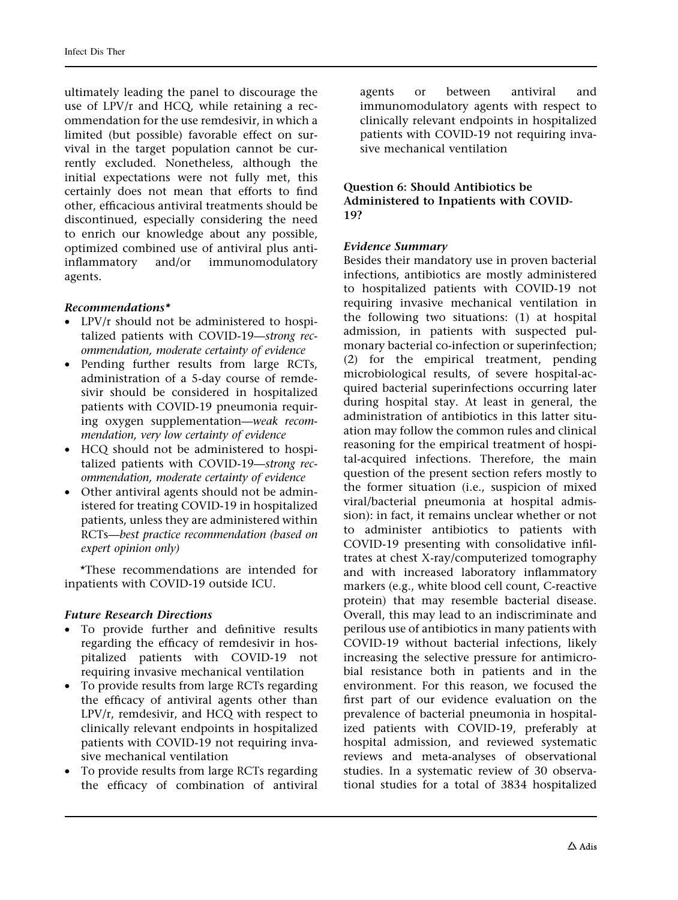ultimately leading the panel to discourage the use of LPV/r and HCQ, while retaining a recommendation for the use remdesivir, in which a limited (but possible) favorable effect on survival in the target population cannot be currently excluded. Nonetheless, although the initial expectations were not fully met, this certainly does not mean that efforts to find other, efficacious antiviral treatments should be discontinued, especially considering the need to enrich our knowledge about any possible, optimized combined use of antiviral plus antiinflammatory and/or immunomodulatory agents.

### Recommendations\*

- LPV/r should not be administered to hospitalized patients with COVID-19—strong recommendation, moderate certainty of evidence
- Pending further results from large RCTs, administration of a 5-day course of remdesivir should be considered in hospitalized patients with COVID-19 pneumonia requiring oxygen supplementation—weak recommendation, very low certainty of evidence
- HCQ should not be administered to hospitalized patients with COVID-19—strong recommendation, moderate certainty of evidence
- Other antiviral agents should not be administered for treating COVID-19 in hospitalized patients, unless they are administered within RCTs—best practice recommendation (based on expert opinion only)

\*These recommendations are intended for inpatients with COVID-19 outside ICU.

### Future Research Directions

- To provide further and definitive results regarding the efficacy of remdesivir in hospitalized patients with COVID-19 not requiring invasive mechanical ventilation
- To provide results from large RCTs regarding the efficacy of antiviral agents other than LPV/r, remdesivir, and HCQ with respect to clinically relevant endpoints in hospitalized patients with COVID-19 not requiring invasive mechanical ventilation
- To provide results from large RCTs regarding the efficacy of combination of antiviral

agents or between antiviral and immunomodulatory agents with respect to clinically relevant endpoints in hospitalized patients with COVID-19 not requiring invasive mechanical ventilation

#### Question 6: Should Antibiotics be Administered to Inpatients with COVID-19?

### Evidence Summary

Besides their mandatory use in proven bacterial infections, antibiotics are mostly administered to hospitalized patients with COVID-19 not requiring invasive mechanical ventilation in the following two situations: (1) at hospital admission, in patients with suspected pulmonary bacterial co-infection or superinfection; (2) for the empirical treatment, pending microbiological results, of severe hospital-acquired bacterial superinfections occurring later during hospital stay. At least in general, the administration of antibiotics in this latter situation may follow the common rules and clinical reasoning for the empirical treatment of hospital-acquired infections. Therefore, the main question of the present section refers mostly to the former situation (i.e., suspicion of mixed viral/bacterial pneumonia at hospital admission): in fact, it remains unclear whether or not to administer antibiotics to patients with COVID-19 presenting with consolidative infiltrates at chest X-ray/computerized tomography and with increased laboratory inflammatory markers (e.g., white blood cell count, C-reactive protein) that may resemble bacterial disease. Overall, this may lead to an indiscriminate and perilous use of antibiotics in many patients with COVID-19 without bacterial infections, likely increasing the selective pressure for antimicrobial resistance both in patients and in the environment. For this reason, we focused the first part of our evidence evaluation on the prevalence of bacterial pneumonia in hospitalized patients with COVID-19, preferably at hospital admission, and reviewed systematic reviews and meta-analyses of observational studies. In a systematic review of 30 observational studies for a total of 3834 hospitalized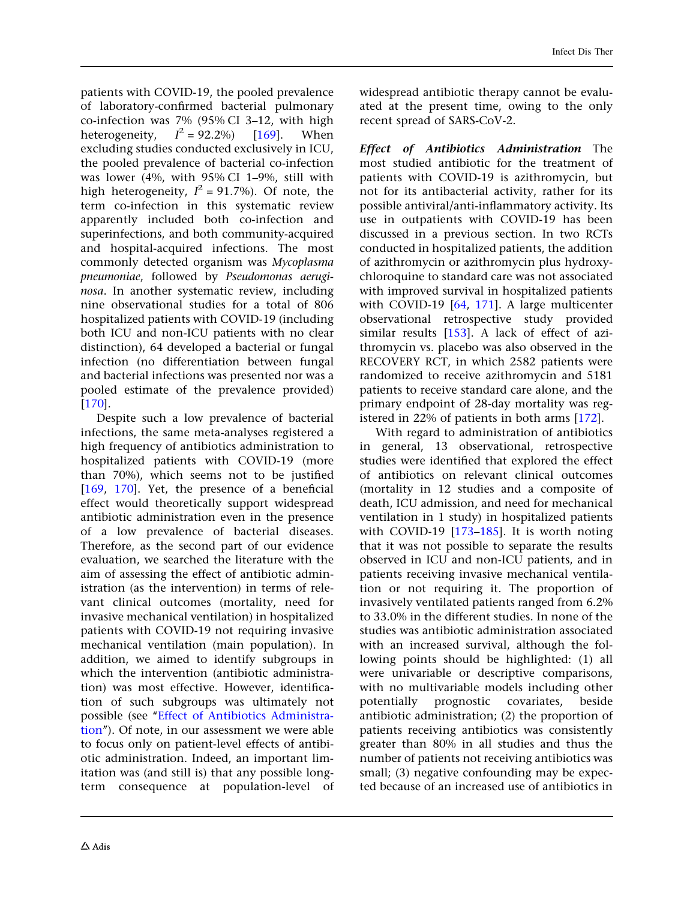patients with COVID-19, the pooled prevalence of laboratory-confirmed bacterial pulmonary co-infection was 7% (95% CI 3–12, with high heterogeneity,  $I^2 = 92.2\%)$  [[169\]](#page-44-0). When excluding studies conducted exclusively in ICU, the pooled prevalence of bacterial co-infection was lower (4%, with 95% CI 1–9%, still with high heterogeneity,  $I^2 = 91.7\%$ ). Of note, the term co-infection in this systematic review apparently included both co-infection and superinfections, and both community-acquired and hospital-acquired infections. The most commonly detected organism was Mycoplasma pneumoniae, followed by Pseudomonas aeruginosa. In another systematic review, including nine observational studies for a total of 806 hospitalized patients with COVID-19 (including both ICU and non-ICU patients with no clear distinction), 64 developed a bacterial or fungal infection (no differentiation between fungal and bacterial infections was presented nor was a pooled estimate of the prevalence provided) [\[170](#page-44-0)].

Despite such a low prevalence of bacterial infections, the same meta-analyses registered a high frequency of antibiotics administration to hospitalized patients with COVID-19 (more than 70%), which seems not to be justified [\[169](#page-44-0), [170\]](#page-44-0). Yet, the presence of a beneficial effect would theoretically support widespread antibiotic administration even in the presence of a low prevalence of bacterial diseases. Therefore, as the second part of our evidence evaluation, we searched the literature with the aim of assessing the effect of antibiotic administration (as the intervention) in terms of relevant clinical outcomes (mortality, need for invasive mechanical ventilation) in hospitalized patients with COVID-19 not requiring invasive mechanical ventilation (main population). In addition, we aimed to identify subgroups in which the intervention (antibiotic administration) was most effective. However, identification of such subgroups was ultimately not possible (see ''Effect of Antibiotics Administration''). Of note, in our assessment we were able to focus only on patient-level effects of antibiotic administration. Indeed, an important limitation was (and still is) that any possible longterm consequence at population-level of widespread antibiotic therapy cannot be evaluated at the present time, owing to the only recent spread of SARS-CoV-2.

Effect of Antibiotics Administration The most studied antibiotic for the treatment of patients with COVID-19 is azithromycin, but not for its antibacterial activity, rather for its possible antiviral/anti-inflammatory activity. Its use in outpatients with COVID-19 has been discussed in a previous section. In two RCTs conducted in hospitalized patients, the addition of azithromycin or azithromycin plus hydroxychloroquine to standard care was not associated with improved survival in hospitalized patients with COVID-19 [[64](#page-39-0), [171\]](#page-44-0). A large multicenter observational retrospective study provided similar results [\[153](#page-43-0)]. A lack of effect of azithromycin vs. placebo was also observed in the RECOVERY RCT, in which 2582 patients were randomized to receive azithromycin and 5181 patients to receive standard care alone, and the primary endpoint of 28-day mortality was registered in 22% of patients in both arms [[172\]](#page-44-0).

With regard to administration of antibiotics in general, 13 observational, retrospective studies were identified that explored the effect of antibiotics on relevant clinical outcomes (mortality in 12 studies and a composite of death, ICU admission, and need for mechanical ventilation in 1 study) in hospitalized patients with COVID-19 [\[173–185\]](#page-44-0). It is worth noting that it was not possible to separate the results observed in ICU and non-ICU patients, and in patients receiving invasive mechanical ventilation or not requiring it. The proportion of invasively ventilated patients ranged from 6.2% to 33.0% in the different studies. In none of the studies was antibiotic administration associated with an increased survival, although the following points should be highlighted: (1) all were univariable or descriptive comparisons, with no multivariable models including other potentially prognostic covariates, beside antibiotic administration; (2) the proportion of patients receiving antibiotics was consistently greater than 80% in all studies and thus the number of patients not receiving antibiotics was small; (3) negative confounding may be expected because of an increased use of antibiotics in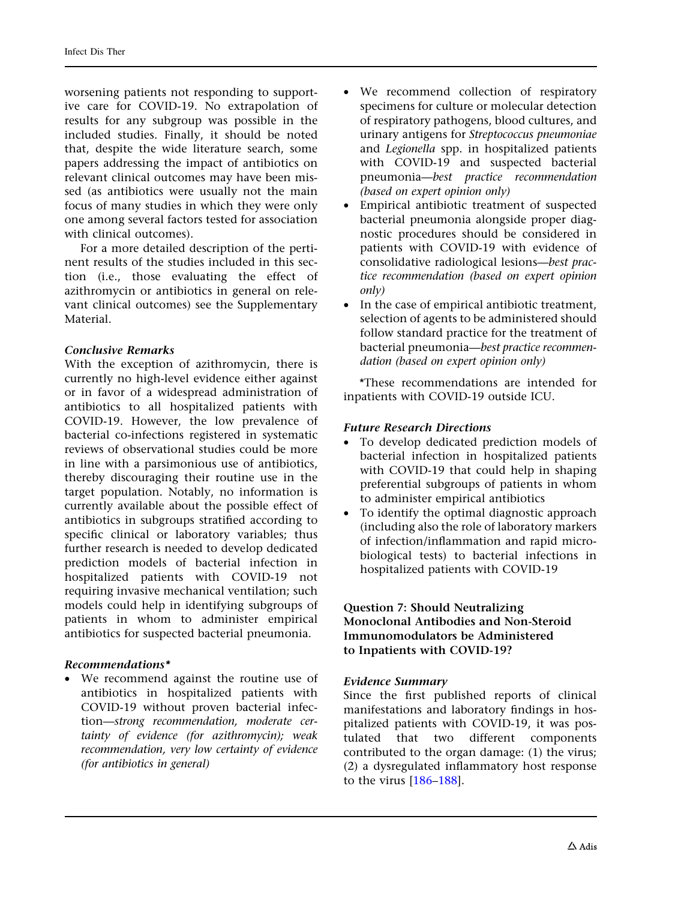worsening patients not responding to supportive care for COVID-19. No extrapolation of results for any subgroup was possible in the included studies. Finally, it should be noted that, despite the wide literature search, some papers addressing the impact of antibiotics on relevant clinical outcomes may have been missed (as antibiotics were usually not the main focus of many studies in which they were only one among several factors tested for association with clinical outcomes).

For a more detailed description of the pertinent results of the studies included in this section (i.e., those evaluating the effect of azithromycin or antibiotics in general on relevant clinical outcomes) see the Supplementary Material.

#### Conclusive Remarks

With the exception of azithromycin, there is currently no high-level evidence either against or in favor of a widespread administration of antibiotics to all hospitalized patients with COVID-19. However, the low prevalence of bacterial co-infections registered in systematic reviews of observational studies could be more in line with a parsimonious use of antibiotics, thereby discouraging their routine use in the target population. Notably, no information is currently available about the possible effect of antibiotics in subgroups stratified according to specific clinical or laboratory variables; thus further research is needed to develop dedicated prediction models of bacterial infection in hospitalized patients with COVID-19 not requiring invasive mechanical ventilation; such models could help in identifying subgroups of patients in whom to administer empirical antibiotics for suspected bacterial pneumonia.

### Recommendations\*

• We recommend against the routine use of antibiotics in hospitalized patients with COVID-19 without proven bacterial infection—strong recommendation, moderate certainty of evidence (for azithromycin); weak recommendation, very low certainty of evidence (for antibiotics in general)

- We recommend collection of respiratory specimens for culture or molecular detection of respiratory pathogens, blood cultures, and urinary antigens for Streptococcus pneumoniae and Legionella spp. in hospitalized patients with COVID-19 and suspected bacterial pneumonia—best practice recommendation (based on expert opinion only)
- Empirical antibiotic treatment of suspected bacterial pneumonia alongside proper diagnostic procedures should be considered in patients with COVID-19 with evidence of consolidative radiological lesions—best practice recommendation (based on expert opinion only)
- In the case of empirical antibiotic treatment, selection of agents to be administered should follow standard practice for the treatment of bacterial pneumonia—best practice recommendation (based on expert opinion only)

\*These recommendations are intended for inpatients with COVID-19 outside ICU.

#### Future Research Directions

- To develop dedicated prediction models of bacterial infection in hospitalized patients with COVID-19 that could help in shaping preferential subgroups of patients in whom to administer empirical antibiotics
- To identify the optimal diagnostic approach (including also the role of laboratory markers of infection/inflammation and rapid microbiological tests) to bacterial infections in hospitalized patients with COVID-19

#### Question 7: Should Neutralizing Monoclonal Antibodies and Non-Steroid Immunomodulators be Administered to Inpatients with COVID-19?

#### Evidence Summary

Since the first published reports of clinical manifestations and laboratory findings in hospitalized patients with COVID-19, it was postulated that two different components contributed to the organ damage: (1) the virus; (2) a dysregulated inflammatory host response to the virus [[186–188](#page-44-0)].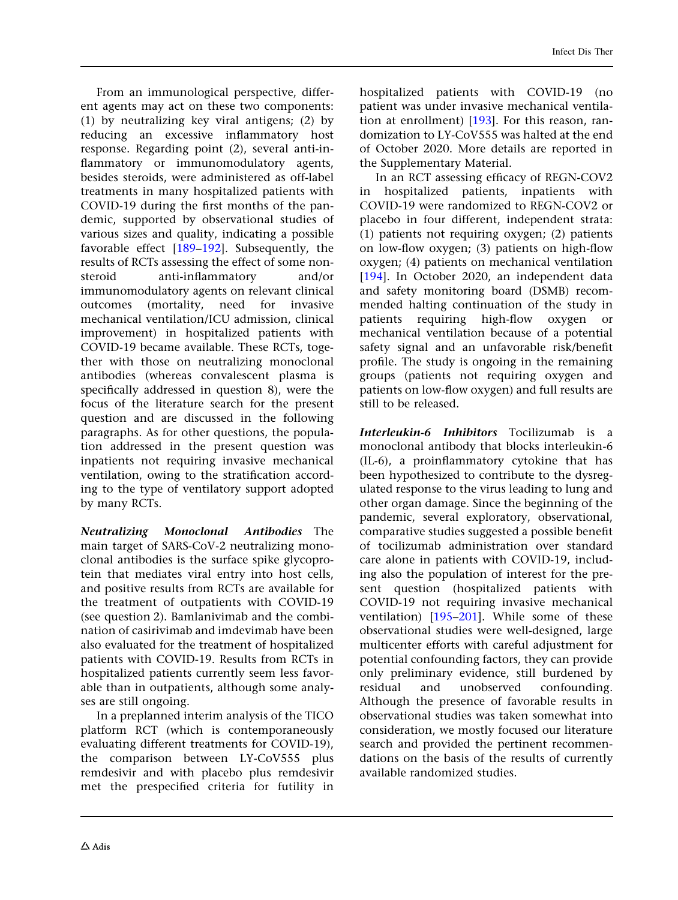From an immunological perspective, different agents may act on these two components: (1) by neutralizing key viral antigens; (2) by reducing an excessive inflammatory host response. Regarding point (2), several anti-inflammatory or immunomodulatory agents, besides steroids, were administered as off-label treatments in many hospitalized patients with COVID-19 during the first months of the pandemic, supported by observational studies of various sizes and quality, indicating a possible favorable effect [\[189](#page-44-0)[–192](#page-45-0)]. Subsequently, the results of RCTs assessing the effect of some nonsteroid anti-inflammatory and/or immunomodulatory agents on relevant clinical outcomes (mortality, need for invasive mechanical ventilation/ICU admission, clinical improvement) in hospitalized patients with COVID-19 became available. These RCTs, together with those on neutralizing monoclonal antibodies (whereas convalescent plasma is specifically addressed in question 8), were the focus of the literature search for the present question and are discussed in the following paragraphs. As for other questions, the population addressed in the present question was inpatients not requiring invasive mechanical ventilation, owing to the stratification according to the type of ventilatory support adopted by many RCTs.

Neutralizing Monoclonal Antibodies The main target of SARS-CoV-2 neutralizing monoclonal antibodies is the surface spike glycoprotein that mediates viral entry into host cells, and positive results from RCTs are available for the treatment of outpatients with COVID-19 (see question 2). Bamlanivimab and the combination of casirivimab and imdevimab have been also evaluated for the treatment of hospitalized patients with COVID-19. Results from RCTs in hospitalized patients currently seem less favorable than in outpatients, although some analyses are still ongoing.

In a preplanned interim analysis of the TICO platform RCT (which is contemporaneously evaluating different treatments for COVID-19), the comparison between LY-CoV555 plus remdesivir and with placebo plus remdesivir met the prespecified criteria for futility in hospitalized patients with COVID-19 (no patient was under invasive mechanical ventilation at enrollment) [\[193](#page-45-0)]. For this reason, randomization to LY-CoV555 was halted at the end of October 2020. More details are reported in the Supplementary Material.

In an RCT assessing efficacy of REGN-COV2 in hospitalized patients, inpatients with COVID-19 were randomized to REGN-COV2 or placebo in four different, independent strata: (1) patients not requiring oxygen; (2) patients on low-flow oxygen; (3) patients on high-flow oxygen; (4) patients on mechanical ventilation [\[194\]](#page-45-0). In October 2020, an independent data and safety monitoring board (DSMB) recommended halting continuation of the study in patients requiring high-flow oxygen or mechanical ventilation because of a potential safety signal and an unfavorable risk/benefit profile. The study is ongoing in the remaining groups (patients not requiring oxygen and patients on low-flow oxygen) and full results are still to be released.

Interleukin-6 Inhibitors Tocilizumab is a monoclonal antibody that blocks interleukin-6 (IL-6), a proinflammatory cytokine that has been hypothesized to contribute to the dysregulated response to the virus leading to lung and other organ damage. Since the beginning of the pandemic, several exploratory, observational, comparative studies suggested a possible benefit of tocilizumab administration over standard care alone in patients with COVID-19, including also the population of interest for the present question (hospitalized patients with COVID-19 not requiring invasive mechanical ventilation) [[195–201](#page-45-0)]. While some of these observational studies were well-designed, large multicenter efforts with careful adjustment for potential confounding factors, they can provide only preliminary evidence, still burdened by residual and unobserved confounding. Although the presence of favorable results in observational studies was taken somewhat into consideration, we mostly focused our literature search and provided the pertinent recommendations on the basis of the results of currently available randomized studies.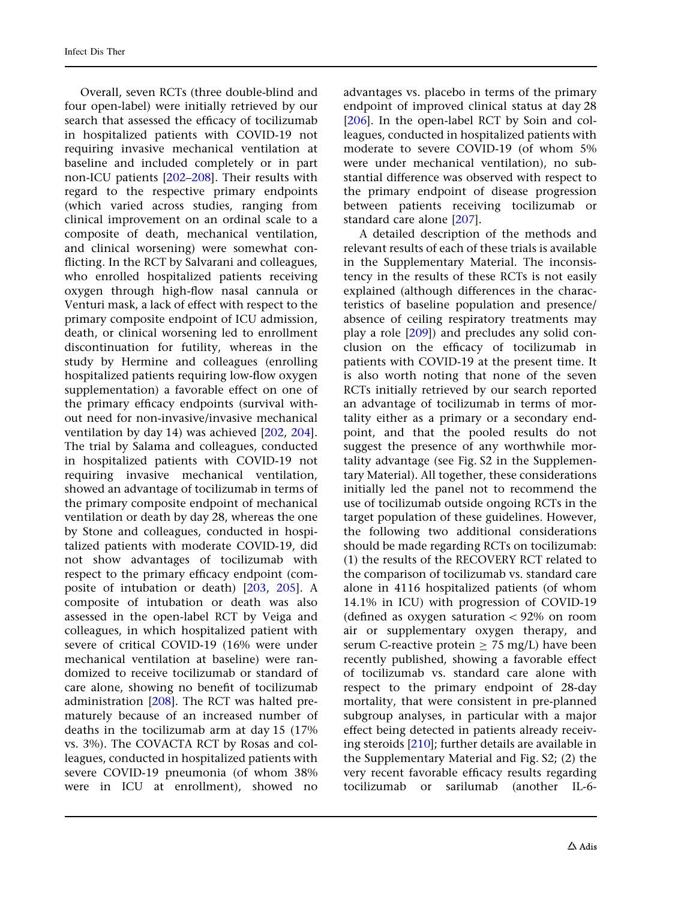Overall, seven RCTs (three double-blind and four open-label) were initially retrieved by our search that assessed the efficacy of tocilizumab in hospitalized patients with COVID-19 not requiring invasive mechanical ventilation at baseline and included completely or in part non-ICU patients [\[202–208](#page-45-0)]. Their results with regard to the respective primary endpoints (which varied across studies, ranging from clinical improvement on an ordinal scale to a composite of death, mechanical ventilation, and clinical worsening) were somewhat conflicting. In the RCT by Salvarani and colleagues, who enrolled hospitalized patients receiving oxygen through high-flow nasal cannula or Venturi mask, a lack of effect with respect to the primary composite endpoint of ICU admission, death, or clinical worsening led to enrollment discontinuation for futility, whereas in the study by Hermine and colleagues (enrolling hospitalized patients requiring low-flow oxygen supplementation) a favorable effect on one of the primary efficacy endpoints (survival without need for non-invasive/invasive mechanical ventilation by day 14) was achieved [\[202](#page-45-0), [204\]](#page-45-0). The trial by Salama and colleagues, conducted in hospitalized patients with COVID-19 not requiring invasive mechanical ventilation, showed an advantage of tocilizumab in terms of the primary composite endpoint of mechanical ventilation or death by day 28, whereas the one by Stone and colleagues, conducted in hospitalized patients with moderate COVID-19, did not show advantages of tocilizumab with respect to the primary efficacy endpoint (composite of intubation or death) [[203](#page-45-0), [205](#page-45-0)]. A composite of intubation or death was also assessed in the open-label RCT by Veiga and colleagues, in which hospitalized patient with severe of critical COVID-19 (16% were under mechanical ventilation at baseline) were randomized to receive tocilizumab or standard of care alone, showing no benefit of tocilizumab administration [\[208\]](#page-45-0). The RCT was halted prematurely because of an increased number of deaths in the tocilizumab arm at day 15 (17% vs. 3%). The COVACTA RCT by Rosas and colleagues, conducted in hospitalized patients with severe COVID-19 pneumonia (of whom 38% were in ICU at enrollment), showed no

advantages vs. placebo in terms of the primary endpoint of improved clinical status at day 28 [\[206](#page-45-0)]. In the open-label RCT by Soin and colleagues, conducted in hospitalized patients with moderate to severe COVID-19 (of whom 5% were under mechanical ventilation), no substantial difference was observed with respect to the primary endpoint of disease progression between patients receiving tocilizumab or standard care alone [\[207](#page-45-0)].

A detailed description of the methods and relevant results of each of these trials is available in the Supplementary Material. The inconsistency in the results of these RCTs is not easily explained (although differences in the characteristics of baseline population and presence/ absence of ceiling respiratory treatments may play a role [\[209\]](#page-45-0)) and precludes any solid conclusion on the efficacy of tocilizumab in patients with COVID-19 at the present time. It is also worth noting that none of the seven RCTs initially retrieved by our search reported an advantage of tocilizumab in terms of mortality either as a primary or a secondary endpoint, and that the pooled results do not suggest the presence of any worthwhile mortality advantage (see Fig. S2 in the Supplementary Material). All together, these considerations initially led the panel not to recommend the use of tocilizumab outside ongoing RCTs in the target population of these guidelines. However, the following two additional considerations should be made regarding RCTs on tocilizumab: (1) the results of the RECOVERY RCT related to the comparison of tocilizumab vs. standard care alone in 4116 hospitalized patients (of whom 14.1% in ICU) with progression of COVID-19 (defined as oxygen saturation  $\lt$  92% on room air or supplementary oxygen therapy, and serum C-reactive protein  $> 75$  mg/L) have been recently published, showing a favorable effect of tocilizumab vs. standard care alone with respect to the primary endpoint of 28-day mortality, that were consistent in pre-planned subgroup analyses, in particular with a major effect being detected in patients already receiving steroids [\[210](#page-45-0)]; further details are available in the Supplementary Material and Fig. S2; (2) the very recent favorable efficacy results regarding tocilizumab or sarilumab (another IL-6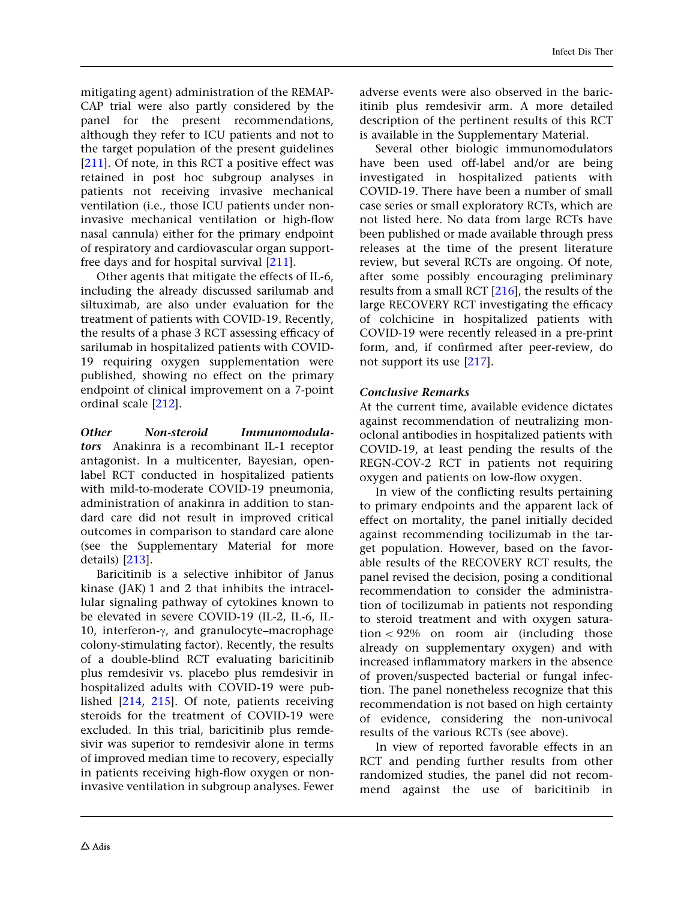mitigating agent) administration of the REMAP-CAP trial were also partly considered by the panel for the present recommendations, although they refer to ICU patients and not to the target population of the present guidelines [\[211](#page-45-0)]. Of note, in this RCT a positive effect was retained in post hoc subgroup analyses in patients not receiving invasive mechanical ventilation (i.e., those ICU patients under noninvasive mechanical ventilation or high-flow nasal cannula) either for the primary endpoint of respiratory and cardiovascular organ supportfree days and for hospital survival [[211](#page-45-0)].

Other agents that mitigate the effects of IL-6, including the already discussed sarilumab and siltuximab, are also under evaluation for the treatment of patients with COVID-19. Recently, the results of a phase 3 RCT assessing efficacy of sarilumab in hospitalized patients with COVID-19 requiring oxygen supplementation were published, showing no effect on the primary endpoint of clinical improvement on a 7-point ordinal scale [[212\]](#page-45-0).

Other Non-steroid Immunomodulators Anakinra is a recombinant IL-1 receptor antagonist. In a multicenter, Bayesian, openlabel RCT conducted in hospitalized patients with mild-to-moderate COVID-19 pneumonia, administration of anakinra in addition to standard care did not result in improved critical outcomes in comparison to standard care alone (see the Supplementary Material for more details) [\[213](#page-45-0)].

Baricitinib is a selective inhibitor of Janus kinase (JAK) 1 and 2 that inhibits the intracellular signaling pathway of cytokines known to be elevated in severe COVID-19 (IL-2, IL-6, IL-10, interferon- $\gamma$ , and granulocyte–macrophage colony-stimulating factor). Recently, the results of a double-blind RCT evaluating baricitinib plus remdesivir vs. placebo plus remdesivir in hospitalized adults with COVID-19 were published [\[214,](#page-46-0) [215](#page-46-0)]. Of note, patients receiving steroids for the treatment of COVID-19 were excluded. In this trial, baricitinib plus remdesivir was superior to remdesivir alone in terms of improved median time to recovery, especially in patients receiving high-flow oxygen or noninvasive ventilation in subgroup analyses. Fewer

adverse events were also observed in the baricitinib plus remdesivir arm. A more detailed description of the pertinent results of this RCT is available in the Supplementary Material.

Several other biologic immunomodulators have been used off-label and/or are being investigated in hospitalized patients with COVID-19. There have been a number of small case series or small exploratory RCTs, which are not listed here. No data from large RCTs have been published or made available through press releases at the time of the present literature review, but several RCTs are ongoing. Of note, after some possibly encouraging preliminary results from a small RCT [[216](#page-46-0)], the results of the large RECOVERY RCT investigating the efficacy of colchicine in hospitalized patients with COVID-19 were recently released in a pre-print form, and, if confirmed after peer-review, do not support its use [[217\]](#page-46-0).

### Conclusive Remarks

At the current time, available evidence dictates against recommendation of neutralizing monoclonal antibodies in hospitalized patients with COVID-19, at least pending the results of the REGN-COV-2 RCT in patients not requiring oxygen and patients on low-flow oxygen.

In view of the conflicting results pertaining to primary endpoints and the apparent lack of effect on mortality, the panel initially decided against recommending tocilizumab in the target population. However, based on the favorable results of the RECOVERY RCT results, the panel revised the decision, posing a conditional recommendation to consider the administration of tocilizumab in patients not responding to steroid treatment and with oxygen saturation  $\lt$  92% on room air (including those already on supplementary oxygen) and with increased inflammatory markers in the absence of proven/suspected bacterial or fungal infection. The panel nonetheless recognize that this recommendation is not based on high certainty of evidence, considering the non-univocal results of the various RCTs (see above).

In view of reported favorable effects in an RCT and pending further results from other randomized studies, the panel did not recommend against the use of baricitinib in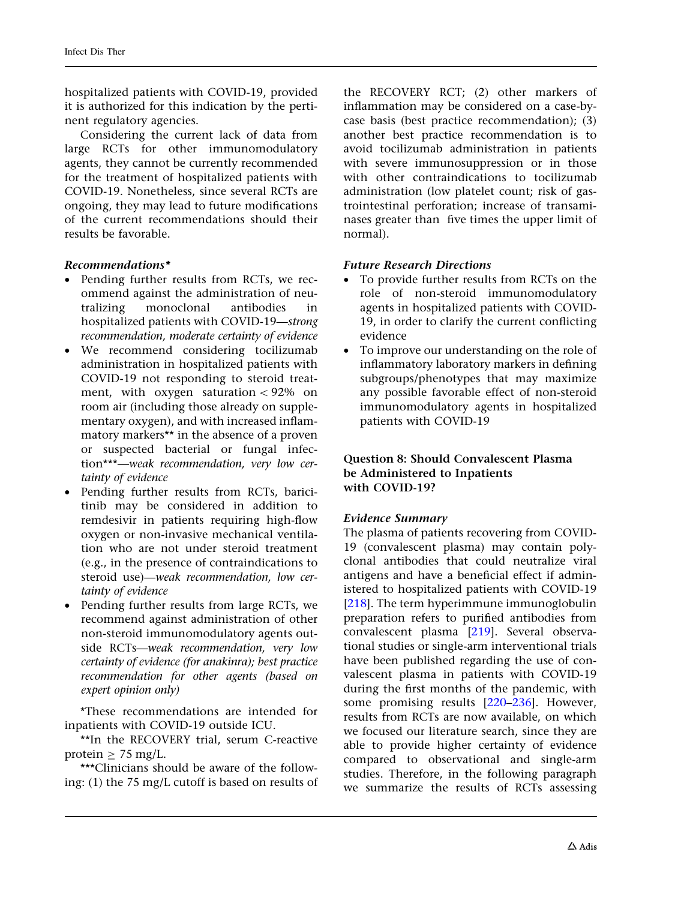hospitalized patients with COVID-19, provided it is authorized for this indication by the pertinent regulatory agencies.

Considering the current lack of data from large RCTs for other immunomodulatory agents, they cannot be currently recommended for the treatment of hospitalized patients with COVID-19. Nonetheless, since several RCTs are ongoing, they may lead to future modifications of the current recommendations should their results be favorable.

#### Recommendations\*

- Pending further results from RCTs, we recommend against the administration of neutralizing monoclonal antibodies in hospitalized patients with COVID-19—strong recommendation, moderate certainty of evidence
- We recommend considering tocilizumab administration in hospitalized patients with COVID-19 not responding to steroid treatment, with oxygen saturation  $\langle 92\% \rangle$  on room air (including those already on supplementary oxygen), and with increased inflammatory markers\*\* in the absence of a proven or suspected bacterial or fungal infection\*\*\*—weak recommendation, very low certainty of evidence
- Pending further results from RCTs, baricitinib may be considered in addition to remdesivir in patients requiring high-flow oxygen or non-invasive mechanical ventilation who are not under steroid treatment (e.g., in the presence of contraindications to steroid use)—weak recommendation, low certainty of evidence
- Pending further results from large RCTs, we recommend against administration of other non-steroid immunomodulatory agents outside RCTs—weak recommendation, very low certainty of evidence (for anakinra); best practice recommendation for other agents (based on expert opinion only)

\*These recommendations are intended for inpatients with COVID-19 outside ICU.

\*\*In the RECOVERY trial, serum C-reactive protein  $> 75$  mg/L.

\*\*\*Clinicians should be aware of the following: (1) the 75 mg/L cutoff is based on results of the RECOVERY RCT; (2) other markers of inflammation may be considered on a case-bycase basis (best practice recommendation); (3) another best practice recommendation is to avoid tocilizumab administration in patients with severe immunosuppression or in those with other contraindications to tocilizumab administration (low platelet count; risk of gastrointestinal perforation; increase of transaminases greater than five times the upper limit of normal).

#### Future Research Directions

- To provide further results from RCTs on the role of non-steroid immunomodulatory agents in hospitalized patients with COVID-19, in order to clarify the current conflicting evidence
- To improve our understanding on the role of inflammatory laboratory markers in defining subgroups/phenotypes that may maximize any possible favorable effect of non-steroid immunomodulatory agents in hospitalized patients with COVID-19

#### Question 8: Should Convalescent Plasma be Administered to Inpatients with COVID-19?

#### Evidence Summary

The plasma of patients recovering from COVID-19 (convalescent plasma) may contain polyclonal antibodies that could neutralize viral antigens and have a beneficial effect if administered to hospitalized patients with COVID-19 [\[218](#page-46-0)]. The term hyperimmune immunoglobulin preparation refers to purified antibodies from convalescent plasma [\[219](#page-46-0)]. Several observational studies or single-arm interventional trials have been published regarding the use of convalescent plasma in patients with COVID-19 during the first months of the pandemic, with some promising results [[220–236](#page-46-0)]. However, results from RCTs are now available, on which we focused our literature search, since they are able to provide higher certainty of evidence compared to observational and single-arm studies. Therefore, in the following paragraph we summarize the results of RCTs assessing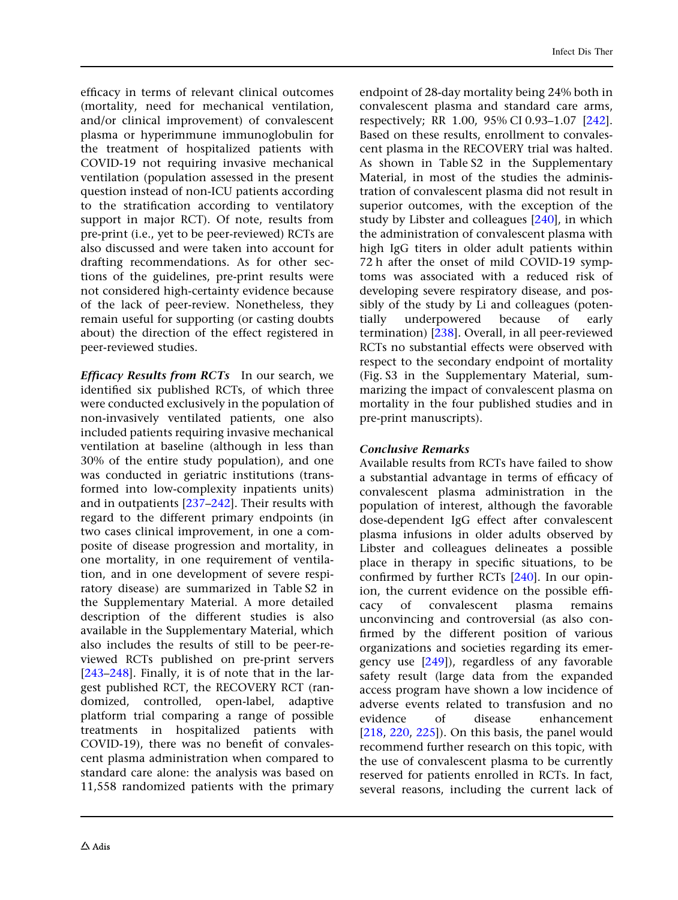efficacy in terms of relevant clinical outcomes (mortality, need for mechanical ventilation, and/or clinical improvement) of convalescent plasma or hyperimmune immunoglobulin for the treatment of hospitalized patients with COVID-19 not requiring invasive mechanical ventilation (population assessed in the present question instead of non-ICU patients according to the stratification according to ventilatory support in major RCT). Of note, results from pre-print (i.e., yet to be peer-reviewed) RCTs are also discussed and were taken into account for drafting recommendations. As for other sections of the guidelines, pre-print results were not considered high-certainty evidence because of the lack of peer-review. Nonetheless, they remain useful for supporting (or casting doubts about) the direction of the effect registered in peer-reviewed studies.

Efficacy Results from RCTs In our search, we identified six published RCTs, of which three were conducted exclusively in the population of non-invasively ventilated patients, one also included patients requiring invasive mechanical ventilation at baseline (although in less than 30% of the entire study population), and one was conducted in geriatric institutions (transformed into low-complexity inpatients units) and in outpatients [\[237](#page-46-0)[–242\]](#page-47-0). Their results with regard to the different primary endpoints (in two cases clinical improvement, in one a composite of disease progression and mortality, in one mortality, in one requirement of ventilation, and in one development of severe respiratory disease) are summarized in Table S2 in the Supplementary Material. A more detailed description of the different studies is also available in the Supplementary Material, which also includes the results of still to be peer-reviewed RCTs published on pre-print servers [\[243–248](#page-47-0)]. Finally, it is of note that in the largest published RCT, the RECOVERY RCT (randomized, controlled, open-label, adaptive platform trial comparing a range of possible treatments in hospitalized patients with COVID-19), there was no benefit of convalescent plasma administration when compared to standard care alone: the analysis was based on 11,558 randomized patients with the primary endpoint of 28-day mortality being 24% both in convalescent plasma and standard care arms, respectively; RR 1.00, 95% CI 0.93–1.07 [\[242](#page-47-0)]. Based on these results, enrollment to convalescent plasma in the RECOVERY trial was halted. As shown in Table S2 in the Supplementary Material, in most of the studies the administration of convalescent plasma did not result in superior outcomes, with the exception of the study by Libster and colleagues [[240\]](#page-47-0), in which the administration of convalescent plasma with high IgG titers in older adult patients within 72 h after the onset of mild COVID-19 symptoms was associated with a reduced risk of developing severe respiratory disease, and possibly of the study by Li and colleagues (potentially underpowered because of early termination) [[238](#page-46-0)]. Overall, in all peer-reviewed RCTs no substantial effects were observed with respect to the secondary endpoint of mortality (Fig. S3 in the Supplementary Material, summarizing the impact of convalescent plasma on mortality in the four published studies and in pre-print manuscripts).

### Conclusive Remarks

Available results from RCTs have failed to show a substantial advantage in terms of efficacy of convalescent plasma administration in the population of interest, although the favorable dose-dependent IgG effect after convalescent plasma infusions in older adults observed by Libster and colleagues delineates a possible place in therapy in specific situations, to be confirmed by further RCTs [[240\]](#page-47-0). In our opinion, the current evidence on the possible efficacy of convalescent plasma remains unconvincing and controversial (as also confirmed by the different position of various organizations and societies regarding its emergency use [[249\]](#page-47-0)), regardless of any favorable safety result (large data from the expanded access program have shown a low incidence of adverse events related to transfusion and no evidence of disease enhancement  $[218, 220, 225]$  $[218, 220, 225]$  $[218, 220, 225]$  $[218, 220, 225]$  $[218, 220, 225]$ . On this basis, the panel would recommend further research on this topic, with the use of convalescent plasma to be currently reserved for patients enrolled in RCTs. In fact, several reasons, including the current lack of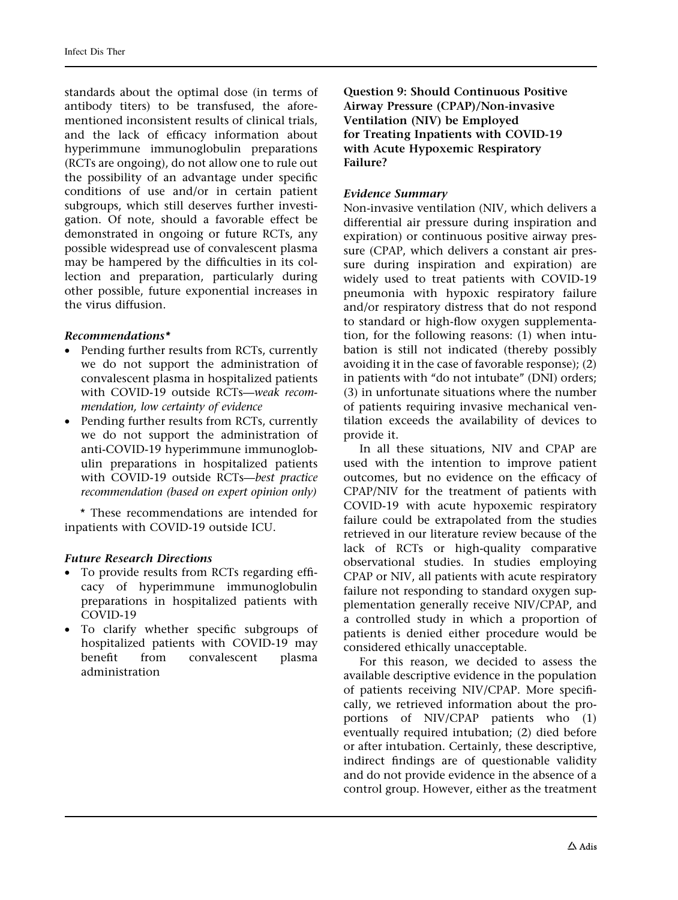standards about the optimal dose (in terms of antibody titers) to be transfused, the aforementioned inconsistent results of clinical trials, and the lack of efficacy information about hyperimmune immunoglobulin preparations (RCTs are ongoing), do not allow one to rule out the possibility of an advantage under specific conditions of use and/or in certain patient subgroups, which still deserves further investigation. Of note, should a favorable effect be demonstrated in ongoing or future RCTs, any possible widespread use of convalescent plasma may be hampered by the difficulties in its collection and preparation, particularly during other possible, future exponential increases in the virus diffusion.

## Recommendations\*

- Pending further results from RCTs, currently we do not support the administration of convalescent plasma in hospitalized patients with COVID-19 outside RCTs—weak recommendation, low certainty of evidence
- Pending further results from RCTs, currently we do not support the administration of anti-COVID-19 hyperimmune immunoglobulin preparations in hospitalized patients with COVID-19 outside RCTs—best practice recommendation (based on expert opinion only)

\* These recommendations are intended for inpatients with COVID-19 outside ICU.

### Future Research Directions

- To provide results from RCTs regarding efficacy of hyperimmune immunoglobulin preparations in hospitalized patients with COVID-19
- To clarify whether specific subgroups of hospitalized patients with COVID-19 may benefit from convalescent plasma administration

Question 9: Should Continuous Positive Airway Pressure (CPAP)/Non-invasive Ventilation (NIV) be Employed for Treating Inpatients with COVID-19 with Acute Hypoxemic Respiratory Failure?

## Evidence Summary

Non-invasive ventilation (NIV, which delivers a differential air pressure during inspiration and expiration) or continuous positive airway pressure (CPAP, which delivers a constant air pressure during inspiration and expiration) are widely used to treat patients with COVID-19 pneumonia with hypoxic respiratory failure and/or respiratory distress that do not respond to standard or high-flow oxygen supplementation, for the following reasons: (1) when intubation is still not indicated (thereby possibly avoiding it in the case of favorable response); (2) in patients with ''do not intubate'' (DNI) orders; (3) in unfortunate situations where the number of patients requiring invasive mechanical ventilation exceeds the availability of devices to provide it.

In all these situations, NIV and CPAP are used with the intention to improve patient outcomes, but no evidence on the efficacy of CPAP/NIV for the treatment of patients with COVID-19 with acute hypoxemic respiratory failure could be extrapolated from the studies retrieved in our literature review because of the lack of RCTs or high-quality comparative observational studies. In studies employing CPAP or NIV, all patients with acute respiratory failure not responding to standard oxygen supplementation generally receive NIV/CPAP, and a controlled study in which a proportion of patients is denied either procedure would be considered ethically unacceptable.

For this reason, we decided to assess the available descriptive evidence in the population of patients receiving NIV/CPAP. More specifically, we retrieved information about the proportions of NIV/CPAP patients who (1) eventually required intubation; (2) died before or after intubation. Certainly, these descriptive, indirect findings are of questionable validity and do not provide evidence in the absence of a control group. However, either as the treatment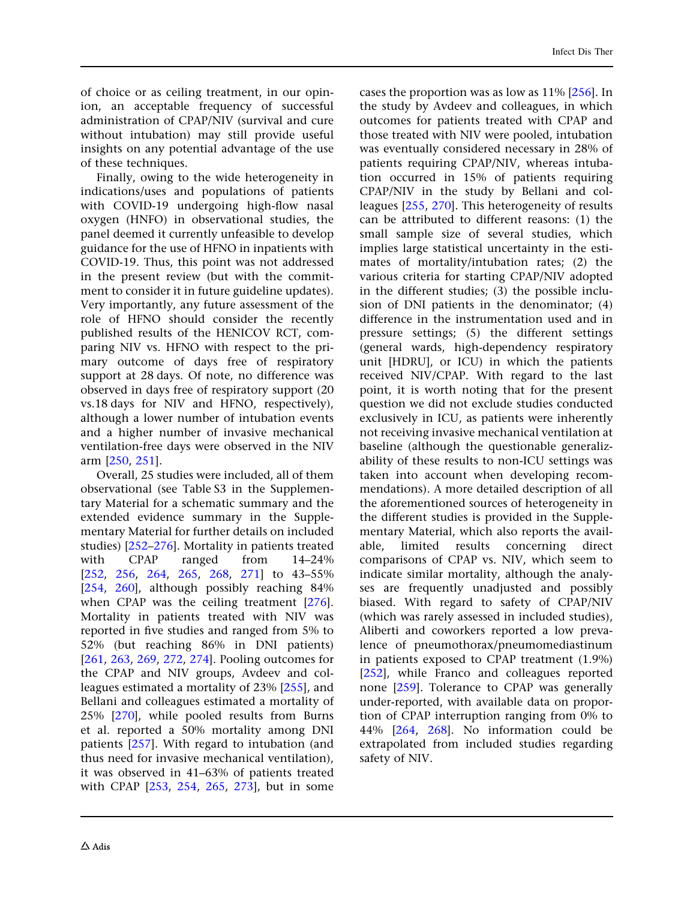of choice or as ceiling treatment, in our opinion, an acceptable frequency of successful administration of CPAP/NIV (survival and cure without intubation) may still provide useful insights on any potential advantage of the use of these techniques.

Finally, owing to the wide heterogeneity in indications/uses and populations of patients with COVID-19 undergoing high-flow nasal oxygen (HNFO) in observational studies, the panel deemed it currently unfeasible to develop guidance for the use of HFNO in inpatients with COVID-19. Thus, this point was not addressed in the present review (but with the commitment to consider it in future guideline updates). Very importantly, any future assessment of the role of HFNO should consider the recently published results of the HENICOV RCT, comparing NIV vs. HFNO with respect to the primary outcome of days free of respiratory support at 28 days. Of note, no difference was observed in days free of respiratory support (20 vs.18 days for NIV and HFNO, respectively), although a lower number of intubation events and a higher number of invasive mechanical ventilation-free days were observed in the NIV arm [[250](#page-47-0), [251](#page-47-0)].

Overall, 25 studies were included, all of them observational (see Table S3 in the Supplementary Material for a schematic summary and the extended evidence summary in the Supplementary Material for further details on included studies) [[252–](#page-47-0)[276](#page-48-0)]. Mortality in patients treated with CPAP ranged from 14–24% [\[252](#page-47-0), [256,](#page-47-0) [264](#page-48-0), [265,](#page-48-0) [268](#page-48-0), [271\]](#page-48-0) to 43–55% [\[254](#page-47-0), [260](#page-47-0)], although possibly reaching 84% when CPAP was the ceiling treatment [[276](#page-48-0)]. Mortality in patients treated with NIV was reported in five studies and ranged from 5% to 52% (but reaching 86% in DNI patients) [\[261](#page-48-0), [263](#page-48-0), [269,](#page-48-0) [272,](#page-48-0) [274\]](#page-48-0). Pooling outcomes for the CPAP and NIV groups, Avdeev and colleagues estimated a mortality of 23% [\[255\]](#page-47-0), and Bellani and colleagues estimated a mortality of 25% [\[270](#page-48-0)], while pooled results from Burns et al. reported a 50% mortality among DNI patients [[257\]](#page-47-0). With regard to intubation (and thus need for invasive mechanical ventilation), it was observed in 41–63% of patients treated with CPAP [[253](#page-47-0), [254,](#page-47-0) [265,](#page-48-0) [273\]](#page-48-0), but in some cases the proportion was as low as 11% [\[256\]](#page-47-0). In the study by Avdeev and colleagues, in which outcomes for patients treated with CPAP and those treated with NIV were pooled, intubation was eventually considered necessary in 28% of patients requiring CPAP/NIV, whereas intubation occurred in 15% of patients requiring CPAP/NIV in the study by Bellani and colleagues [\[255](#page-47-0), [270\]](#page-48-0). This heterogeneity of results can be attributed to different reasons: (1) the small sample size of several studies, which implies large statistical uncertainty in the estimates of mortality/intubation rates; (2) the various criteria for starting CPAP/NIV adopted in the different studies; (3) the possible inclusion of DNI patients in the denominator; (4) difference in the instrumentation used and in pressure settings; (5) the different settings (general wards, high-dependency respiratory unit [HDRU], or ICU) in which the patients received NIV/CPAP. With regard to the last point, it is worth noting that for the present question we did not exclude studies conducted exclusively in ICU, as patients were inherently not receiving invasive mechanical ventilation at baseline (although the questionable generalizability of these results to non-ICU settings was taken into account when developing recommendations). A more detailed description of all the aforementioned sources of heterogeneity in the different studies is provided in the Supplementary Material, which also reports the available, limited results concerning direct comparisons of CPAP vs. NIV, which seem to indicate similar mortality, although the analyses are frequently unadjusted and possibly biased. With regard to safety of CPAP/NIV (which was rarely assessed in included studies), Aliberti and coworkers reported a low prevalence of pneumothorax/pneumomediastinum in patients exposed to CPAP treatment (1.9%) [\[252\]](#page-47-0), while Franco and colleagues reported none [[259\]](#page-47-0). Tolerance to CPAP was generally under-reported, with available data on proportion of CPAP interruption ranging from 0% to 44% [[264,](#page-48-0) [268\]](#page-48-0). No information could be extrapolated from included studies regarding safety of NIV.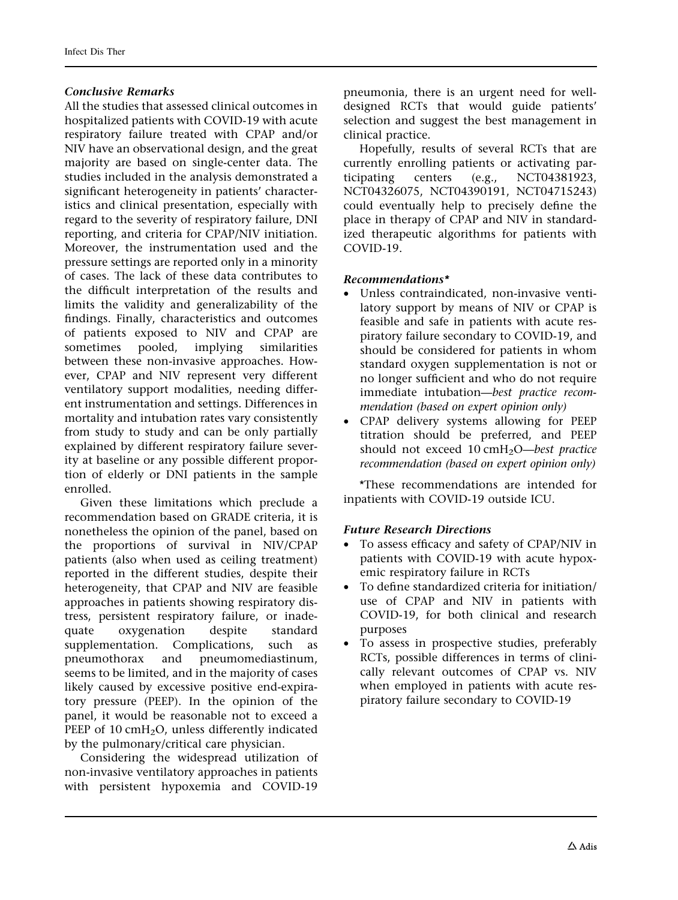### Conclusive Remarks

All the studies that assessed clinical outcomes in hospitalized patients with COVID-19 with acute respiratory failure treated with CPAP and/or NIV have an observational design, and the great majority are based on single-center data. The studies included in the analysis demonstrated a significant heterogeneity in patients' characteristics and clinical presentation, especially with regard to the severity of respiratory failure, DNI reporting, and criteria for CPAP/NIV initiation. Moreover, the instrumentation used and the pressure settings are reported only in a minority of cases. The lack of these data contributes to the difficult interpretation of the results and limits the validity and generalizability of the findings. Finally, characteristics and outcomes of patients exposed to NIV and CPAP are sometimes pooled, implying similarities between these non-invasive approaches. However, CPAP and NIV represent very different ventilatory support modalities, needing different instrumentation and settings. Differences in mortality and intubation rates vary consistently from study to study and can be only partially explained by different respiratory failure severity at baseline or any possible different proportion of elderly or DNI patients in the sample enrolled.

Given these limitations which preclude a recommendation based on GRADE criteria, it is nonetheless the opinion of the panel, based on the proportions of survival in NIV/CPAP patients (also when used as ceiling treatment) reported in the different studies, despite their heterogeneity, that CPAP and NIV are feasible approaches in patients showing respiratory distress, persistent respiratory failure, or inadequate oxygenation despite standard supplementation. Complications, such as pneumothorax and pneumomediastinum, seems to be limited, and in the majority of cases likely caused by excessive positive end-expiratory pressure (PEEP). In the opinion of the panel, it would be reasonable not to exceed a PEEP of 10 cmH<sub>2</sub>O, unless differently indicated by the pulmonary/critical care physician.

Considering the widespread utilization of non-invasive ventilatory approaches in patients with persistent hypoxemia and COVID-19 pneumonia, there is an urgent need for welldesigned RCTs that would guide patients' selection and suggest the best management in clinical practice.

Hopefully, results of several RCTs that are currently enrolling patients or activating participating centers (e.g., NCT04381923, NCT04326075, NCT04390191, NCT04715243) could eventually help to precisely define the place in therapy of CPAP and NIV in standardized therapeutic algorithms for patients with COVID-19.

#### Recommendations\*

- Unless contraindicated, non-invasive ventilatory support by means of NIV or CPAP is feasible and safe in patients with acute respiratory failure secondary to COVID-19, and should be considered for patients in whom standard oxygen supplementation is not or no longer sufficient and who do not require immediate intubation—best practice recommendation (based on expert opinion only)
- CPAP delivery systems allowing for PEEP titration should be preferred, and PEEP should not exceed  $10 \text{ cm}$ H<sub>2</sub>O—best practice recommendation (based on expert opinion only)

\*These recommendations are intended for inpatients with COVID-19 outside ICU.

### Future Research Directions

- To assess efficacy and safety of CPAP/NIV in patients with COVID-19 with acute hypoxemic respiratory failure in RCTs
- To define standardized criteria for initiation/ use of CPAP and NIV in patients with COVID-19, for both clinical and research purposes
- To assess in prospective studies, preferably RCTs, possible differences in terms of clinically relevant outcomes of CPAP vs. NIV when employed in patients with acute respiratory failure secondary to COVID-19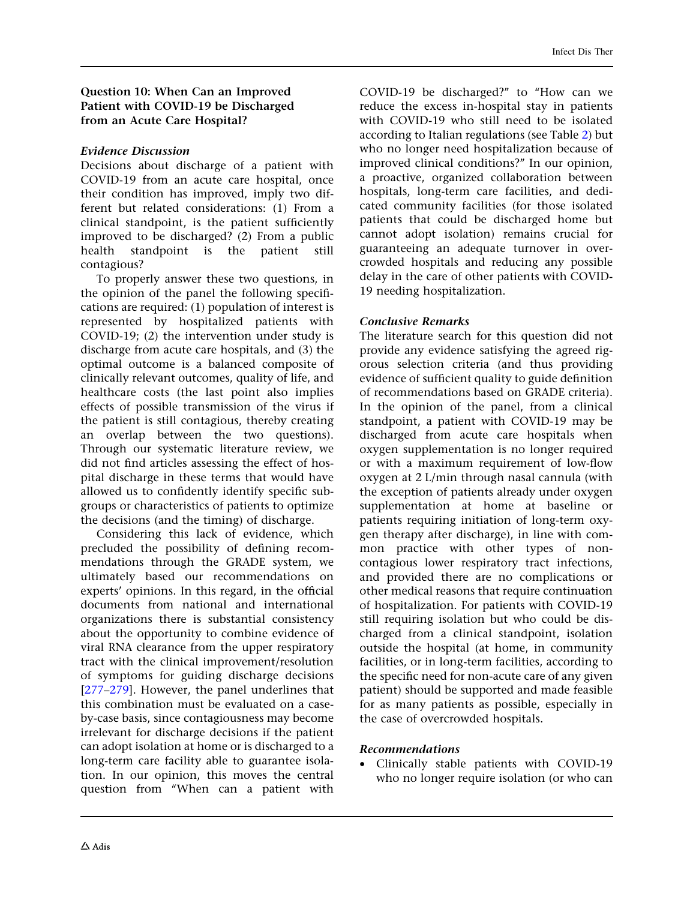Question 10: When Can an Improved Patient with COVID-19 be Discharged from an Acute Care Hospital?

#### Evidence Discussion

Decisions about discharge of a patient with COVID-19 from an acute care hospital, once their condition has improved, imply two different but related considerations: (1) From a clinical standpoint, is the patient sufficiently improved to be discharged? (2) From a public health standpoint is the patient still contagious?

To properly answer these two questions, in the opinion of the panel the following specifications are required: (1) population of interest is represented by hospitalized patients with COVID-19; (2) the intervention under study is discharge from acute care hospitals, and (3) the optimal outcome is a balanced composite of clinically relevant outcomes, quality of life, and healthcare costs (the last point also implies effects of possible transmission of the virus if the patient is still contagious, thereby creating an overlap between the two questions). Through our systematic literature review, we did not find articles assessing the effect of hospital discharge in these terms that would have allowed us to confidently identify specific subgroups or characteristics of patients to optimize the decisions (and the timing) of discharge.

Considering this lack of evidence, which precluded the possibility of defining recommendations through the GRADE system, we ultimately based our recommendations on experts' opinions. In this regard, in the official documents from national and international organizations there is substantial consistency about the opportunity to combine evidence of viral RNA clearance from the upper respiratory tract with the clinical improvement/resolution of symptoms for guiding discharge decisions [\[277–279](#page-48-0)]. However, the panel underlines that this combination must be evaluated on a caseby-case basis, since contagiousness may become irrelevant for discharge decisions if the patient can adopt isolation at home or is discharged to a long-term care facility able to guarantee isolation. In our opinion, this moves the central question from ''When can a patient with COVID-19 be discharged?'' to ''How can we reduce the excess in-hospital stay in patients with COVID-19 who still need to be isolated according to Italian regulations (see Table [2\)](#page-34-0) but who no longer need hospitalization because of improved clinical conditions?'' In our opinion, a proactive, organized collaboration between hospitals, long-term care facilities, and dedicated community facilities (for those isolated patients that could be discharged home but cannot adopt isolation) remains crucial for guaranteeing an adequate turnover in overcrowded hospitals and reducing any possible delay in the care of other patients with COVID-19 needing hospitalization.

### Conclusive Remarks

The literature search for this question did not provide any evidence satisfying the agreed rigorous selection criteria (and thus providing evidence of sufficient quality to guide definition of recommendations based on GRADE criteria). In the opinion of the panel, from a clinical standpoint, a patient with COVID-19 may be discharged from acute care hospitals when oxygen supplementation is no longer required or with a maximum requirement of low-flow oxygen at 2 L/min through nasal cannula (with the exception of patients already under oxygen supplementation at home at baseline or patients requiring initiation of long-term oxygen therapy after discharge), in line with common practice with other types of noncontagious lower respiratory tract infections, and provided there are no complications or other medical reasons that require continuation of hospitalization. For patients with COVID-19 still requiring isolation but who could be discharged from a clinical standpoint, isolation outside the hospital (at home, in community facilities, or in long-term facilities, according to the specific need for non-acute care of any given patient) should be supported and made feasible for as many patients as possible, especially in the case of overcrowded hospitals.

### Recommendations

• Clinically stable patients with COVID-19 who no longer require isolation (or who can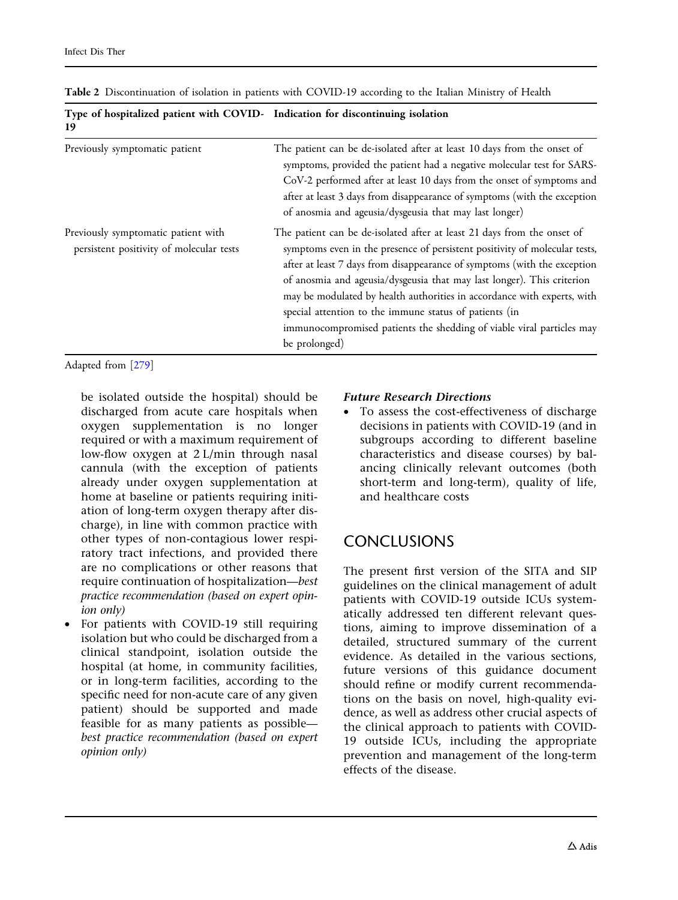| Type of hospitalized patient with COVID- Indication for discontinuing isolation<br>19 |                                                                                                                                                                                                                                                                                                                                                                                                                                                                                                                                            |  |
|---------------------------------------------------------------------------------------|--------------------------------------------------------------------------------------------------------------------------------------------------------------------------------------------------------------------------------------------------------------------------------------------------------------------------------------------------------------------------------------------------------------------------------------------------------------------------------------------------------------------------------------------|--|
| Previously symptomatic patient                                                        | The patient can be de-isolated after at least 10 days from the onset of<br>symptoms, provided the patient had a negative molecular test for SARS-<br>CoV-2 performed after at least 10 days from the onset of symptoms and<br>after at least 3 days from disappearance of symptoms (with the exception<br>of anosmia and ageusia/dysgeusia that may last longer)                                                                                                                                                                           |  |
| Previously symptomatic patient with<br>persistent positivity of molecular tests       | The patient can be de-isolated after at least 21 days from the onset of<br>symptoms even in the presence of persistent positivity of molecular tests,<br>after at least 7 days from disappearance of symptoms (with the exception<br>of anosmia and ageusia/dysgeusia that may last longer). This criterion<br>may be modulated by health authorities in accordance with experts, with<br>special attention to the immune status of patients (in<br>immunocompromised patients the shedding of viable viral particles may<br>be prolonged) |  |

<span id="page-34-0"></span>Table 2 Discontinuation of isolation in patients with COVID-19 according to the Italian Ministry of Health

Adapted from [[279\]](#page-48-0)

be isolated outside the hospital) should be discharged from acute care hospitals when oxygen supplementation is no longer required or with a maximum requirement of low-flow oxygen at 2 L/min through nasal cannula (with the exception of patients already under oxygen supplementation at home at baseline or patients requiring initiation of long-term oxygen therapy after discharge), in line with common practice with other types of non-contagious lower respiratory tract infections, and provided there are no complications or other reasons that require continuation of hospitalization—best practice recommendation (based on expert opinion only)

• For patients with COVID-19 still requiring isolation but who could be discharged from a clinical standpoint, isolation outside the hospital (at home, in community facilities, or in long-term facilities, according to the specific need for non-acute care of any given patient) should be supported and made feasible for as many patients as possible best practice recommendation (based on expert opinion only)

#### Future Research Directions

• To assess the cost-effectiveness of discharge decisions in patients with COVID-19 (and in subgroups according to different baseline characteristics and disease courses) by balancing clinically relevant outcomes (both short-term and long-term), quality of life, and healthcare costs

# **CONCLUSIONS**

The present first version of the SITA and SIP guidelines on the clinical management of adult patients with COVID-19 outside ICUs systematically addressed ten different relevant questions, aiming to improve dissemination of a detailed, structured summary of the current evidence. As detailed in the various sections, future versions of this guidance document should refine or modify current recommendations on the basis on novel, high-quality evidence, as well as address other crucial aspects of the clinical approach to patients with COVID-19 outside ICUs, including the appropriate prevention and management of the long-term effects of the disease.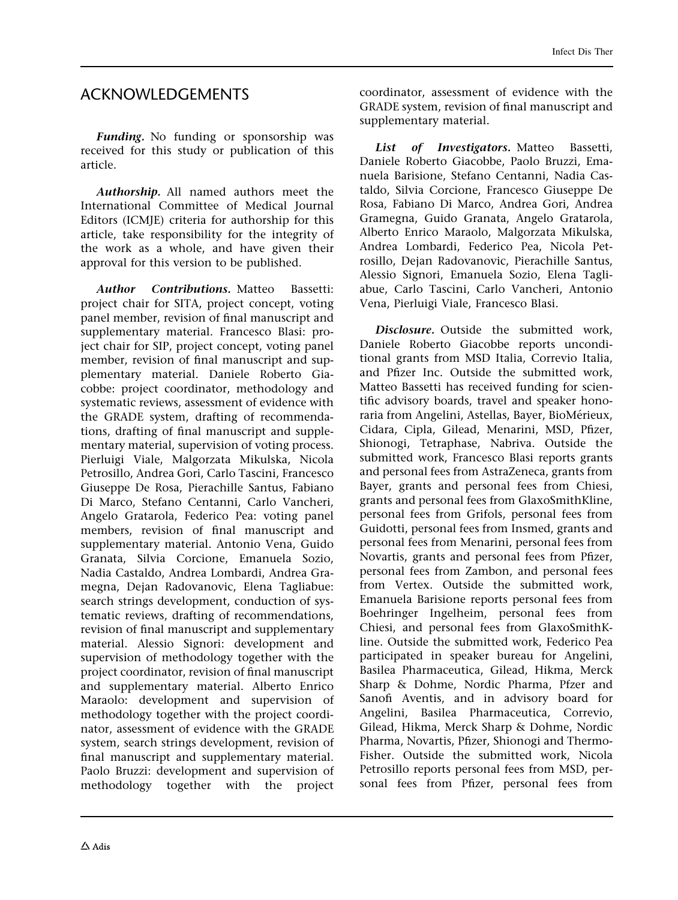# ACKNOWLEDGEMENTS

Funding. No funding or sponsorship was received for this study or publication of this article.

Authorship. All named authors meet the International Committee of Medical Journal Editors (ICMJE) criteria for authorship for this article, take responsibility for the integrity of the work as a whole, and have given their approval for this version to be published.

Author Contributions. Matteo Bassetti: project chair for SITA, project concept, voting panel member, revision of final manuscript and supplementary material. Francesco Blasi: project chair for SIP, project concept, voting panel member, revision of final manuscript and supplementary material. Daniele Roberto Giacobbe: project coordinator, methodology and systematic reviews, assessment of evidence with the GRADE system, drafting of recommendations, drafting of final manuscript and supplementary material, supervision of voting process. Pierluigi Viale, Malgorzata Mikulska, Nicola Petrosillo, Andrea Gori, Carlo Tascini, Francesco Giuseppe De Rosa, Pierachille Santus, Fabiano Di Marco, Stefano Centanni, Carlo Vancheri, Angelo Gratarola, Federico Pea: voting panel members, revision of final manuscript and supplementary material. Antonio Vena, Guido Granata, Silvia Corcione, Emanuela Sozio, Nadia Castaldo, Andrea Lombardi, Andrea Gramegna, Dejan Radovanovic, Elena Tagliabue: search strings development, conduction of systematic reviews, drafting of recommendations, revision of final manuscript and supplementary material. Alessio Signori: development and supervision of methodology together with the project coordinator, revision of final manuscript and supplementary material. Alberto Enrico Maraolo: development and supervision of methodology together with the project coordinator, assessment of evidence with the GRADE system, search strings development, revision of final manuscript and supplementary material. Paolo Bruzzi: development and supervision of methodology together with the project

coordinator, assessment of evidence with the GRADE system, revision of final manuscript and supplementary material.

List of Investigators. Matteo Bassetti. Daniele Roberto Giacobbe, Paolo Bruzzi, Emanuela Barisione, Stefano Centanni, Nadia Castaldo, Silvia Corcione, Francesco Giuseppe De Rosa, Fabiano Di Marco, Andrea Gori, Andrea Gramegna, Guido Granata, Angelo Gratarola, Alberto Enrico Maraolo, Malgorzata Mikulska, Andrea Lombardi, Federico Pea, Nicola Petrosillo, Dejan Radovanovic, Pierachille Santus, Alessio Signori, Emanuela Sozio, Elena Tagliabue, Carlo Tascini, Carlo Vancheri, Antonio Vena, Pierluigi Viale, Francesco Blasi.

Disclosure. Outside the submitted work, Daniele Roberto Giacobbe reports unconditional grants from MSD Italia, Correvio Italia, and Pfizer Inc. Outside the submitted work, Matteo Bassetti has received funding for scientific advisory boards, travel and speaker honoraria from Angelini, Astellas, Bayer, BioMérieux, Cidara, Cipla, Gilead, Menarini, MSD, Pfizer, Shionogi, Tetraphase, Nabriva. Outside the submitted work, Francesco Blasi reports grants and personal fees from AstraZeneca, grants from Bayer, grants and personal fees from Chiesi, grants and personal fees from GlaxoSmithKline, personal fees from Grifols, personal fees from Guidotti, personal fees from Insmed, grants and personal fees from Menarini, personal fees from Novartis, grants and personal fees from Pfizer, personal fees from Zambon, and personal fees from Vertex. Outside the submitted work, Emanuela Barisione reports personal fees from Boehringer Ingelheim, personal fees from Chiesi, and personal fees from GlaxoSmithKline. Outside the submitted work, Federico Pea participated in speaker bureau for Angelini, Basilea Pharmaceutica, Gilead, Hikma, Merck Sharp & Dohme, Nordic Pharma, Pfzer and Sanofi Aventis, and in advisory board for Angelini, Basilea Pharmaceutica, Correvio, Gilead, Hikma, Merck Sharp & Dohme, Nordic Pharma, Novartis, Pfizer, Shionogi and Thermo-Fisher. Outside the submitted work, Nicola Petrosillo reports personal fees from MSD, personal fees from Pfizer, personal fees from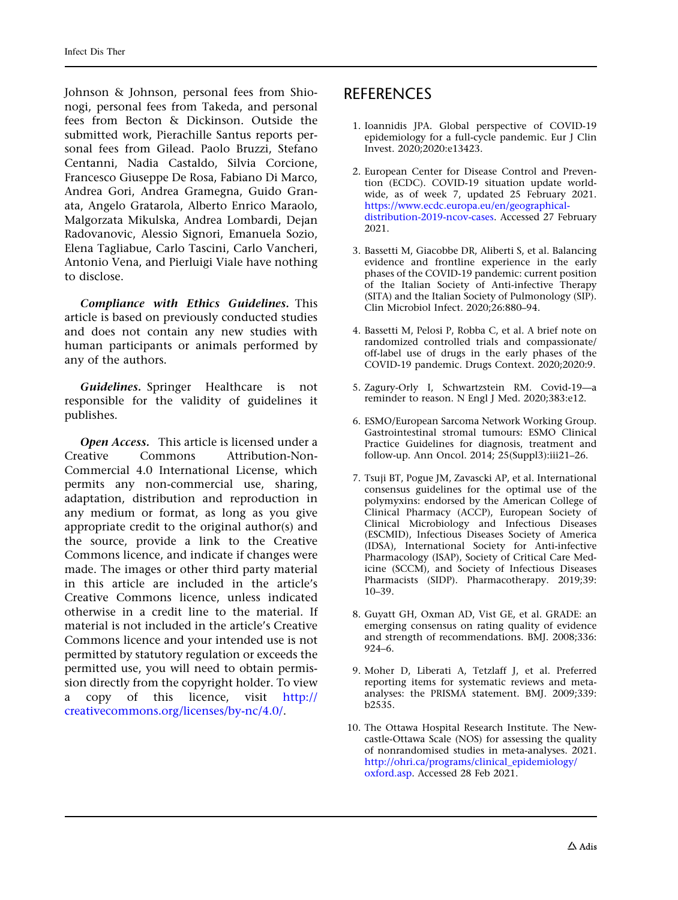<span id="page-36-0"></span>Johnson & Johnson, personal fees from Shionogi, personal fees from Takeda, and personal fees from Becton & Dickinson. Outside the submitted work, Pierachille Santus reports personal fees from Gilead. Paolo Bruzzi, Stefano Centanni, Nadia Castaldo, Silvia Corcione, Francesco Giuseppe De Rosa, Fabiano Di Marco, Andrea Gori, Andrea Gramegna, Guido Granata, Angelo Gratarola, Alberto Enrico Maraolo, Malgorzata Mikulska, Andrea Lombardi, Dejan Radovanovic, Alessio Signori, Emanuela Sozio, Elena Tagliabue, Carlo Tascini, Carlo Vancheri, Antonio Vena, and Pierluigi Viale have nothing to disclose.

Compliance with Ethics Guidelines. This article is based on previously conducted studies and does not contain any new studies with human participants or animals performed by any of the authors.

Guidelines. Springer Healthcare is not responsible for the validity of guidelines it publishes.

Open Access. This article is licensed under a Creative Commons Attribution-Non-Commercial 4.0 International License, which permits any non-commercial use, sharing, adaptation, distribution and reproduction in any medium or format, as long as you give appropriate credit to the original author(s) and the source, provide a link to the Creative Commons licence, and indicate if changes were made. The images or other third party material in this article are included in the article's Creative Commons licence, unless indicated otherwise in a credit line to the material. If material is not included in the article's Creative Commons licence and your intended use is not permitted by statutory regulation or exceeds the permitted use, you will need to obtain permission directly from the copyright holder. To view a copy of this licence, visit [http://](http://creativecommons.org/licenses/by-nc/4.0/) [creativecommons.org/licenses/by-nc/4.0/.](http://creativecommons.org/licenses/by-nc/4.0/)

# **REFERENCES**

- 1. Ioannidis JPA. Global perspective of COVID-19 epidemiology for a full-cycle pandemic. Eur J Clin Invest. 2020;2020:e13423.
- 2. European Center for Disease Control and Prevention (ECDC). COVID-19 situation update worldwide, as of week 7, updated 25 February 2021. [https://www.ecdc.europa.eu/en/geographical](https://www.ecdc.europa.eu/en/geographical-distribution-2019-ncov-cases)[distribution-2019-ncov-cases](https://www.ecdc.europa.eu/en/geographical-distribution-2019-ncov-cases). Accessed 27 February 2021.
- 3. Bassetti M, Giacobbe DR, Aliberti S, et al. Balancing evidence and frontline experience in the early phases of the COVID-19 pandemic: current position of the Italian Society of Anti-infective Therapy (SITA) and the Italian Society of Pulmonology (SIP). Clin Microbiol Infect. 2020;26:880–94.
- 4. Bassetti M, Pelosi P, Robba C, et al. A brief note on randomized controlled trials and compassionate/ off-label use of drugs in the early phases of the COVID-19 pandemic. Drugs Context. 2020;2020:9.
- 5. Zagury-Orly I, Schwartzstein RM. Covid-19—a reminder to reason. N Engl J Med. 2020;383:e12.
- 6. ESMO/European Sarcoma Network Working Group. Gastrointestinal stromal tumours: ESMO Clinical Practice Guidelines for diagnosis, treatment and follow-up. Ann Oncol. 2014; 25(Suppl3):iii21–26.
- 7. Tsuji BT, Pogue JM, Zavascki AP, et al. International consensus guidelines for the optimal use of the polymyxins: endorsed by the American College of Clinical Pharmacy (ACCP), European Society of Clinical Microbiology and Infectious Diseases (ESCMID), Infectious Diseases Society of America (IDSA), International Society for Anti-infective Pharmacology (ISAP), Society of Critical Care Medicine (SCCM), and Society of Infectious Diseases Pharmacists (SIDP). Pharmacotherapy. 2019;39: 10–39.
- 8. Guyatt GH, Oxman AD, Vist GE, et al. GRADE: an emerging consensus on rating quality of evidence and strength of recommendations. BMJ. 2008;336: 924–6.
- 9. Moher D, Liberati A, Tetzlaff J, et al. Preferred reporting items for systematic reviews and metaanalyses: the PRISMA statement. BMJ. 2009;339: b2535.
- 10. The Ottawa Hospital Research Institute. The Newcastle-Ottawa Scale (NOS) for assessing the quality of nonrandomised studies in meta-analyses. 2021. [http://ohri.ca/programs/clinical\\_epidemiology/](http://ohri.ca/programs/clinical_epidemiology/oxford.asp) [oxford.asp.](http://ohri.ca/programs/clinical_epidemiology/oxford.asp) Accessed 28 Feb 2021.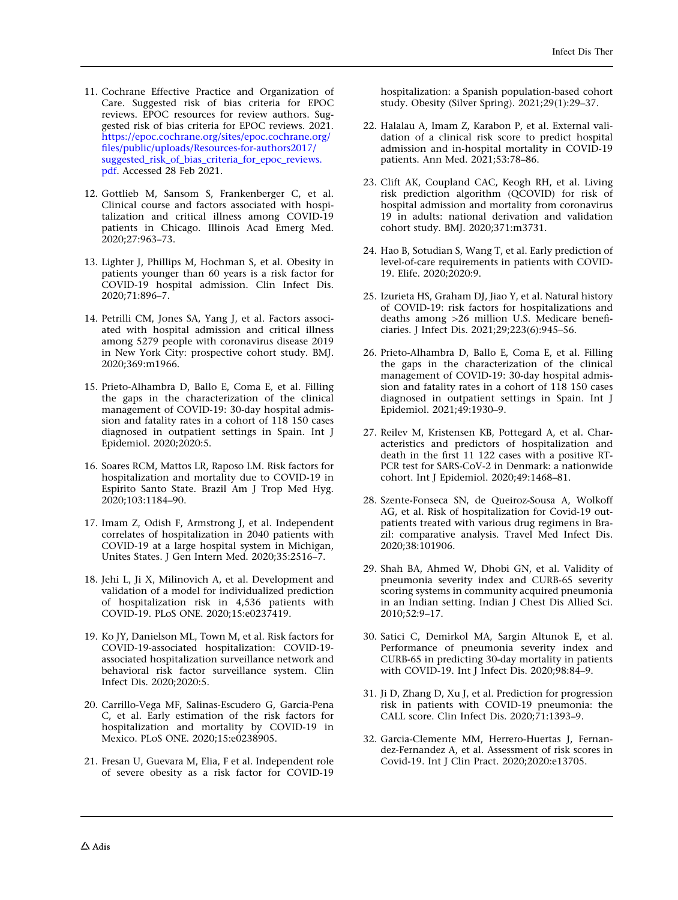- <span id="page-37-0"></span>11. Cochrane Effective Practice and Organization of Care. Suggested risk of bias criteria for EPOC reviews. EPOC resources for review authors. Suggested risk of bias criteria for EPOC reviews. 2021. [https://epoc.cochrane.org/sites/epoc.cochrane.org/](https://epoc.cochrane.org/sites/epoc.cochrane.org/files/public/uploads/Resources-for-authors2017/suggested_risk_of_bias_criteria_for_epoc_reviews.pdf) [files/public/uploads/Resources-for-authors2017/](https://epoc.cochrane.org/sites/epoc.cochrane.org/files/public/uploads/Resources-for-authors2017/suggested_risk_of_bias_criteria_for_epoc_reviews.pdf) [suggested\\_risk\\_of\\_bias\\_criteria\\_for\\_epoc\\_reviews.](https://epoc.cochrane.org/sites/epoc.cochrane.org/files/public/uploads/Resources-for-authors2017/suggested_risk_of_bias_criteria_for_epoc_reviews.pdf) [pdf](https://epoc.cochrane.org/sites/epoc.cochrane.org/files/public/uploads/Resources-for-authors2017/suggested_risk_of_bias_criteria_for_epoc_reviews.pdf). Accessed 28 Feb 2021.
- 12. Gottlieb M, Sansom S, Frankenberger C, et al. Clinical course and factors associated with hospitalization and critical illness among COVID-19 patients in Chicago. Illinois Acad Emerg Med. 2020;27:963–73.
- 13. Lighter J, Phillips M, Hochman S, et al. Obesity in patients younger than 60 years is a risk factor for COVID-19 hospital admission. Clin Infect Dis. 2020;71:896–7.
- 14. Petrilli CM, Jones SA, Yang J, et al. Factors associated with hospital admission and critical illness among 5279 people with coronavirus disease 2019 in New York City: prospective cohort study. BMJ. 2020;369:m1966.
- 15. Prieto-Alhambra D, Ballo E, Coma E, et al. Filling the gaps in the characterization of the clinical management of COVID-19: 30-day hospital admission and fatality rates in a cohort of 118 150 cases diagnosed in outpatient settings in Spain. Int J Epidemiol. 2020;2020:5.
- 16. Soares RCM, Mattos LR, Raposo LM. Risk factors for hospitalization and mortality due to COVID-19 in Espirito Santo State. Brazil Am J Trop Med Hyg. 2020;103:1184–90.
- 17. Imam Z, Odish F, Armstrong J, et al. Independent correlates of hospitalization in 2040 patients with COVID-19 at a large hospital system in Michigan, Unites States. J Gen Intern Med. 2020;35:2516–7.
- 18. Jehi L, Ji X, Milinovich A, et al. Development and validation of a model for individualized prediction of hospitalization risk in 4,536 patients with COVID-19. PLoS ONE. 2020;15:e0237419.
- 19. Ko JY, Danielson ML, Town M, et al. Risk factors for COVID-19-associated hospitalization: COVID-19 associated hospitalization surveillance network and behavioral risk factor surveillance system. Clin Infect Dis. 2020;2020:5.
- 20. Carrillo-Vega MF, Salinas-Escudero G, Garcia-Pena C, et al. Early estimation of the risk factors for hospitalization and mortality by COVID-19 in Mexico. PLoS ONE. 2020;15:e0238905.
- 21. Fresan U, Guevara M, Elia, F et al. Independent role of severe obesity as a risk factor for COVID-19

hospitalization: a Spanish population-based cohort study. Obesity (Silver Spring). 2021;29(1):29–37.

- 22. Halalau A, Imam Z, Karabon P, et al. External validation of a clinical risk score to predict hospital admission and in-hospital mortality in COVID-19 patients. Ann Med. 2021;53:78–86.
- 23. Clift AK, Coupland CAC, Keogh RH, et al. Living risk prediction algorithm (QCOVID) for risk of hospital admission and mortality from coronavirus 19 in adults: national derivation and validation cohort study. BMJ. 2020;371:m3731.
- 24. Hao B, Sotudian S, Wang T, et al. Early prediction of level-of-care requirements in patients with COVID-19. Elife. 2020;2020:9.
- 25. Izurieta HS, Graham DJ, Jiao Y, et al. Natural history of COVID-19: risk factors for hospitalizations and deaths among  $>26$  million U.S. Medicare beneficiaries. J Infect Dis. 2021;29;223(6):945–56.
- 26. Prieto-Alhambra D, Ballo E, Coma E, et al. Filling the gaps in the characterization of the clinical management of COVID-19: 30-day hospital admission and fatality rates in a cohort of 118 150 cases diagnosed in outpatient settings in Spain. Int J Epidemiol. 2021;49:1930–9.
- 27. Reilev M, Kristensen KB, Pottegard A, et al. Characteristics and predictors of hospitalization and death in the first 11 122 cases with a positive RT-PCR test for SARS-CoV-2 in Denmark: a nationwide cohort. Int J Epidemiol. 2020;49:1468–81.
- 28. Szente-Fonseca SN, de Queiroz-Sousa A, Wolkoff AG, et al. Risk of hospitalization for Covid-19 outpatients treated with various drug regimens in Brazil: comparative analysis. Travel Med Infect Dis. 2020;38:101906.
- 29. Shah BA, Ahmed W, Dhobi GN, et al. Validity of pneumonia severity index and CURB-65 severity scoring systems in community acquired pneumonia in an Indian setting. Indian J Chest Dis Allied Sci. 2010;52:9–17.
- 30. Satici C, Demirkol MA, Sargin Altunok E, et al. Performance of pneumonia severity index and CURB-65 in predicting 30-day mortality in patients with COVID-19. Int J Infect Dis. 2020;98:84–9.
- 31. Ji D, Zhang D, Xu J, et al. Prediction for progression risk in patients with COVID-19 pneumonia: the CALL score. Clin Infect Dis. 2020;71:1393-9.
- 32. Garcia-Clemente MM, Herrero-Huertas J, Fernandez-Fernandez A, et al. Assessment of risk scores in Covid-19. Int J Clin Pract. 2020;2020:e13705.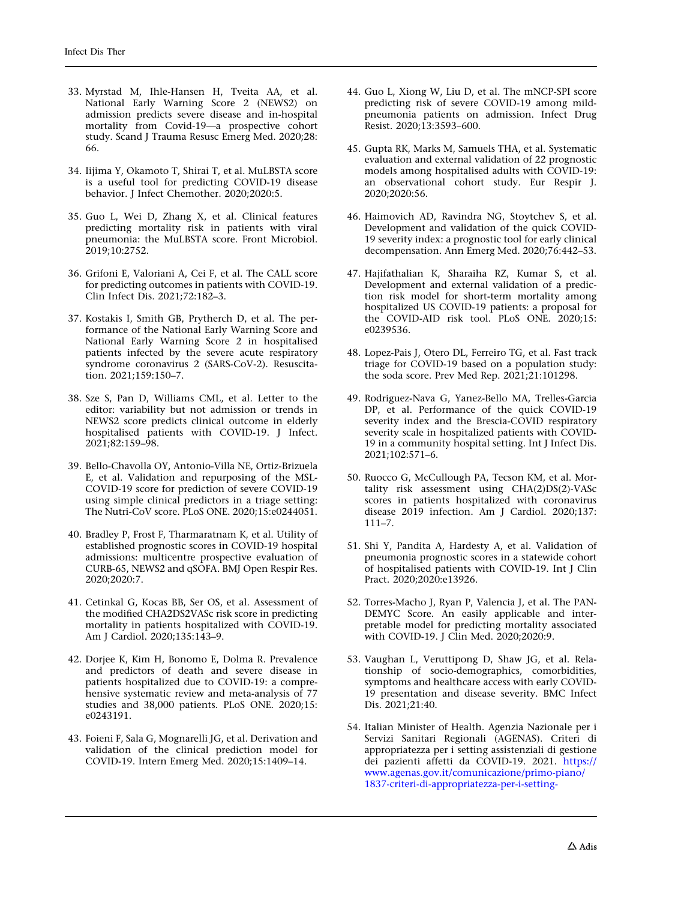- <span id="page-38-0"></span>33. Myrstad M, Ihle-Hansen H, Tveita AA, et al. National Early Warning Score 2 (NEWS2) on admission predicts severe disease and in-hospital mortality from Covid-19—a prospective cohort study. Scand J Trauma Resusc Emerg Med. 2020;28: 66.
- 34. Iijima Y, Okamoto T, Shirai T, et al. MuLBSTA score is a useful tool for predicting COVID-19 disease behavior. J Infect Chemother. 2020;2020:5.
- 35. Guo L, Wei D, Zhang X, et al. Clinical features predicting mortality risk in patients with viral pneumonia: the MuLBSTA score. Front Microbiol. 2019;10:2752.
- 36. Grifoni E, Valoriani A, Cei F, et al. The CALL score for predicting outcomes in patients with COVID-19. Clin Infect Dis. 2021;72:182–3.
- 37. Kostakis I, Smith GB, Prytherch D, et al. The performance of the National Early Warning Score and National Early Warning Score 2 in hospitalised patients infected by the severe acute respiratory syndrome coronavirus 2 (SARS-CoV-2). Resuscitation. 2021;159:150–7.
- 38. Sze S, Pan D, Williams CML, et al. Letter to the editor: variability but not admission or trends in NEWS2 score predicts clinical outcome in elderly hospitalised patients with COVID-19. J Infect. 2021;82:159–98.
- 39. Bello-Chavolla OY, Antonio-Villa NE, Ortiz-Brizuela E, et al. Validation and repurposing of the MSL-COVID-19 score for prediction of severe COVID-19 using simple clinical predictors in a triage setting: The Nutri-CoV score. PLoS ONE. 2020;15:e0244051.
- 40. Bradley P, Frost F, Tharmaratnam K, et al. Utility of established prognostic scores in COVID-19 hospital admissions: multicentre prospective evaluation of CURB-65, NEWS2 and qSOFA. BMJ Open Respir Res. 2020;2020:7.
- 41. Cetinkal G, Kocas BB, Ser OS, et al. Assessment of the modified CHA2DS2VASc risk score in predicting mortality in patients hospitalized with COVID-19. Am J Cardiol. 2020;135:143–9.
- 42. Dorjee K, Kim H, Bonomo E, Dolma R. Prevalence and predictors of death and severe disease in patients hospitalized due to COVID-19: a comprehensive systematic review and meta-analysis of 77 studies and 38,000 patients. PLoS ONE. 2020;15: e0243191.
- 43. Foieni F, Sala G, Mognarelli JG, et al. Derivation and validation of the clinical prediction model for COVID-19. Intern Emerg Med. 2020;15:1409–14.
- 44. Guo L, Xiong W, Liu D, et al. The mNCP-SPI score predicting risk of severe COVID-19 among mildpneumonia patients on admission. Infect Drug Resist. 2020;13:3593–600.
- 45. Gupta RK, Marks M, Samuels THA, et al. Systematic evaluation and external validation of 22 prognostic models among hospitalised adults with COVID-19: an observational cohort study. Eur Respir J. 2020;2020:56.
- 46. Haimovich AD, Ravindra NG, Stoytchev S, et al. Development and validation of the quick COVID-19 severity index: a prognostic tool for early clinical decompensation. Ann Emerg Med. 2020;76:442–53.
- 47. Hajifathalian K, Sharaiha RZ, Kumar S, et al. Development and external validation of a prediction risk model for short-term mortality among hospitalized US COVID-19 patients: a proposal for the COVID-AID risk tool. PLoS ONE. 2020;15: e0239536.
- 48. Lopez-Pais J, Otero DL, Ferreiro TG, et al. Fast track triage for COVID-19 based on a population study: the soda score. Prev Med Rep. 2021;21:101298.
- 49. Rodriguez-Nava G, Yanez-Bello MA, Trelles-Garcia DP, et al. Performance of the quick COVID-19 severity index and the Brescia-COVID respiratory severity scale in hospitalized patients with COVID-19 in a community hospital setting. Int J Infect Dis. 2021;102:571–6.
- 50. Ruocco G, McCullough PA, Tecson KM, et al. Mortality risk assessment using CHA(2)DS(2)-VASc scores in patients hospitalized with coronavirus disease 2019 infection. Am J Cardiol. 2020;137: 111–7.
- 51. Shi Y, Pandita A, Hardesty A, et al. Validation of pneumonia prognostic scores in a statewide cohort of hospitalised patients with COVID-19. Int J Clin Pract. 2020;2020:e13926.
- 52. Torres-Macho J, Ryan P, Valencia J, et al. The PAN-DEMYC Score. An easily applicable and interpretable model for predicting mortality associated with COVID-19. J Clin Med. 2020;2020:9.
- 53. Vaughan L, Veruttipong D, Shaw JG, et al. Relationship of socio-demographics, comorbidities, symptoms and healthcare access with early COVID-19 presentation and disease severity. BMC Infect Dis. 2021;21:40.
- 54. Italian Minister of Health. Agenzia Nazionale per i Servizi Sanitari Regionali (AGENAS). Criteri di appropriatezza per i setting assistenziali di gestione dei pazienti affetti da COVID-19. 2021. [https://](https://www.agenas.gov.it/comunicazione/primo-piano/1837-criteri-di-appropriatezza-per-i-setting-assistenziali-di-gestione-dei-pazienti-affetti-da-covid-19) [www.agenas.gov.it/comunicazione/primo-piano/](https://www.agenas.gov.it/comunicazione/primo-piano/1837-criteri-di-appropriatezza-per-i-setting-assistenziali-di-gestione-dei-pazienti-affetti-da-covid-19) [1837-criteri-di-appropriatezza-per-i-setting-](https://www.agenas.gov.it/comunicazione/primo-piano/1837-criteri-di-appropriatezza-per-i-setting-assistenziali-di-gestione-dei-pazienti-affetti-da-covid-19)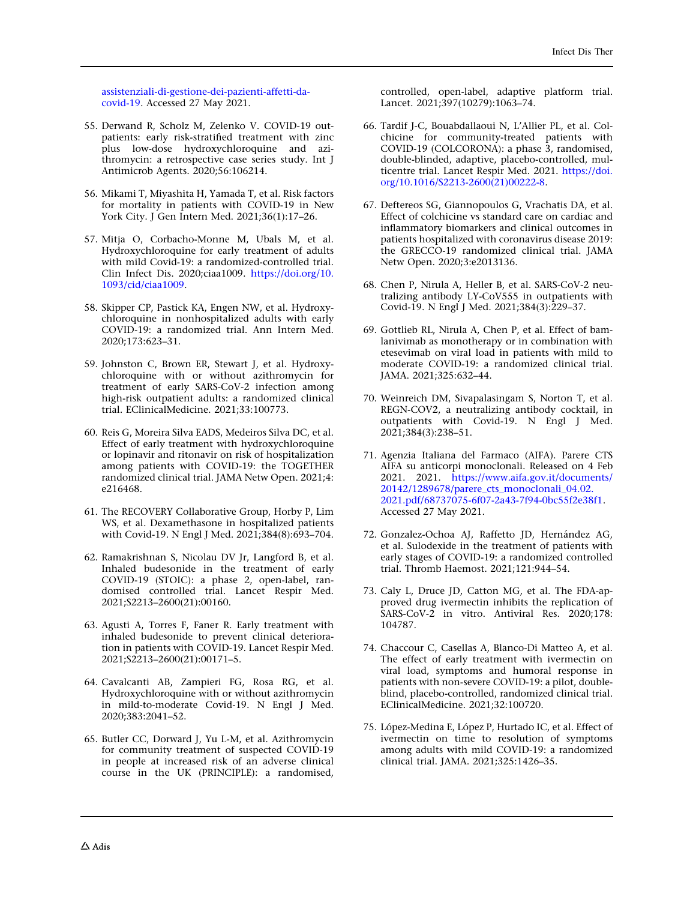<span id="page-39-0"></span>[assistenziali-di-gestione-dei-pazienti-affetti-da](https://www.agenas.gov.it/comunicazione/primo-piano/1837-criteri-di-appropriatezza-per-i-setting-assistenziali-di-gestione-dei-pazienti-affetti-da-covid-19)[covid-19](https://www.agenas.gov.it/comunicazione/primo-piano/1837-criteri-di-appropriatezza-per-i-setting-assistenziali-di-gestione-dei-pazienti-affetti-da-covid-19). Accessed 27 May 2021.

- 55. Derwand R, Scholz M, Zelenko V. COVID-19 outpatients: early risk-stratified treatment with zinc plus low-dose hydroxychloroquine and azithromycin: a retrospective case series study. Int J Antimicrob Agents. 2020;56:106214.
- 56. Mikami T, Miyashita H, Yamada T, et al. Risk factors for mortality in patients with COVID-19 in New York City. J Gen Intern Med. 2021;36(1):17–26.
- 57. Mitja O, Corbacho-Monne M, Ubals M, et al. Hydroxychloroquine for early treatment of adults with mild Covid-19: a randomized-controlled trial. Clin Infect Dis. 2020;ciaa1009. [https://doi.org/10.](https://doi.org/10.1093/cid/ciaa1009) [1093/cid/ciaa1009.](https://doi.org/10.1093/cid/ciaa1009)
- 58. Skipper CP, Pastick KA, Engen NW, et al. Hydroxychloroquine in nonhospitalized adults with early COVID-19: a randomized trial. Ann Intern Med. 2020;173:623–31.
- 59. Johnston C, Brown ER, Stewart J, et al. Hydroxychloroquine with or without azithromycin for treatment of early SARS-CoV-2 infection among high-risk outpatient adults: a randomized clinical trial. EClinicalMedicine. 2021;33:100773.
- 60. Reis G, Moreira Silva EADS, Medeiros Silva DC, et al. Effect of early treatment with hydroxychloroquine or lopinavir and ritonavir on risk of hospitalization among patients with COVID-19: the TOGETHER randomized clinical trial. JAMA Netw Open. 2021;4: e216468.
- 61. The RECOVERY Collaborative Group, Horby P, Lim WS, et al. Dexamethasone in hospitalized patients with Covid-19. N Engl J Med. 2021;384(8):693–704.
- 62. Ramakrishnan S, Nicolau DV Jr, Langford B, et al. Inhaled budesonide in the treatment of early COVID-19 (STOIC): a phase 2, open-label, randomised controlled trial. Lancet Respir Med. 2021;S2213–2600(21):00160.
- 63. Agusti A, Torres F, Faner R. Early treatment with inhaled budesonide to prevent clinical deterioration in patients with COVID-19. Lancet Respir Med. 2021;S2213–2600(21):00171–5.
- 64. Cavalcanti AB, Zampieri FG, Rosa RG, et al. Hydroxychloroquine with or without azithromycin in mild-to-moderate Covid-19. N Engl J Med. 2020;383:2041–52.
- 65. Butler CC, Dorward J, Yu L-M, et al. Azithromycin for community treatment of suspected COVID-19 in people at increased risk of an adverse clinical course in the UK (PRINCIPLE): a randomised,

controlled, open-label, adaptive platform trial. Lancet. 2021;397(10279):1063–74.

- 66. Tardif J-C, Bouabdallaoui N, L'Allier PL, et al. Colchicine for community-treated patients with COVID-19 (COLCORONA): a phase 3, randomised, double-blinded, adaptive, placebo-controlled, multicentre trial. Lancet Respir Med. 2021. [https://doi.](https://doi.org/10.1016/S2213-2600(21)00222-8) [org/10.1016/S2213-2600\(21\)00222-8.](https://doi.org/10.1016/S2213-2600(21)00222-8)
- 67. Deftereos SG, Giannopoulos G, Vrachatis DA, et al. Effect of colchicine vs standard care on cardiac and inflammatory biomarkers and clinical outcomes in patients hospitalized with coronavirus disease 2019: the GRECCO-19 randomized clinical trial. JAMA Netw Open. 2020;3:e2013136.
- 68. Chen P, Nirula A, Heller B, et al. SARS-CoV-2 neutralizing antibody LY-CoV555 in outpatients with Covid-19. N Engl J Med. 2021;384(3):229–37.
- 69. Gottlieb RL, Nirula A, Chen P, et al. Effect of bamlanivimab as monotherapy or in combination with etesevimab on viral load in patients with mild to moderate COVID-19: a randomized clinical trial. JAMA. 2021;325:632–44.
- 70. Weinreich DM, Sivapalasingam S, Norton T, et al. REGN-COV2, a neutralizing antibody cocktail, in outpatients with Covid-19. N Engl J Med. 2021;384(3):238–51.
- 71. Agenzia Italiana del Farmaco (AIFA). Parere CTS AIFA su anticorpi monoclonali. Released on 4 Feb 2021. 2021. [https://www.aifa.gov.it/documents/](https://www.aifa.gov.it/documents/20142/1289678/parere_cts_monoclonali_04.02.2021.pdf/68737075-6f07-2a43-7f94-0bc55f2e38f1) [20142/1289678/parere\\_cts\\_monoclonali\\_04.02.](https://www.aifa.gov.it/documents/20142/1289678/parere_cts_monoclonali_04.02.2021.pdf/68737075-6f07-2a43-7f94-0bc55f2e38f1) [2021.pdf/68737075-6f07-2a43-7f94-0bc55f2e38f1.](https://www.aifa.gov.it/documents/20142/1289678/parere_cts_monoclonali_04.02.2021.pdf/68737075-6f07-2a43-7f94-0bc55f2e38f1) Accessed 27 May 2021.
- 72. Gonzalez-Ochoa AJ, Raffetto JD, Hernández AG, et al. Sulodexide in the treatment of patients with early stages of COVID-19: a randomized controlled trial. Thromb Haemost. 2021;121:944–54.
- 73. Caly L, Druce JD, Catton MG, et al. The FDA-approved drug ivermectin inhibits the replication of SARS-CoV-2 in vitro. Antiviral Res. 2020;178: 104787.
- 74. Chaccour C, Casellas A, Blanco-Di Matteo A, et al. The effect of early treatment with ivermectin on viral load, symptoms and humoral response in patients with non-severe COVID-19: a pilot, doubleblind, placebo-controlled, randomized clinical trial. EClinicalMedicine. 2021;32:100720.
- 75. López-Medina E, López P, Hurtado IC, et al. Effect of ivermectin on time to resolution of symptoms among adults with mild COVID-19: a randomized clinical trial. JAMA. 2021;325:1426–35.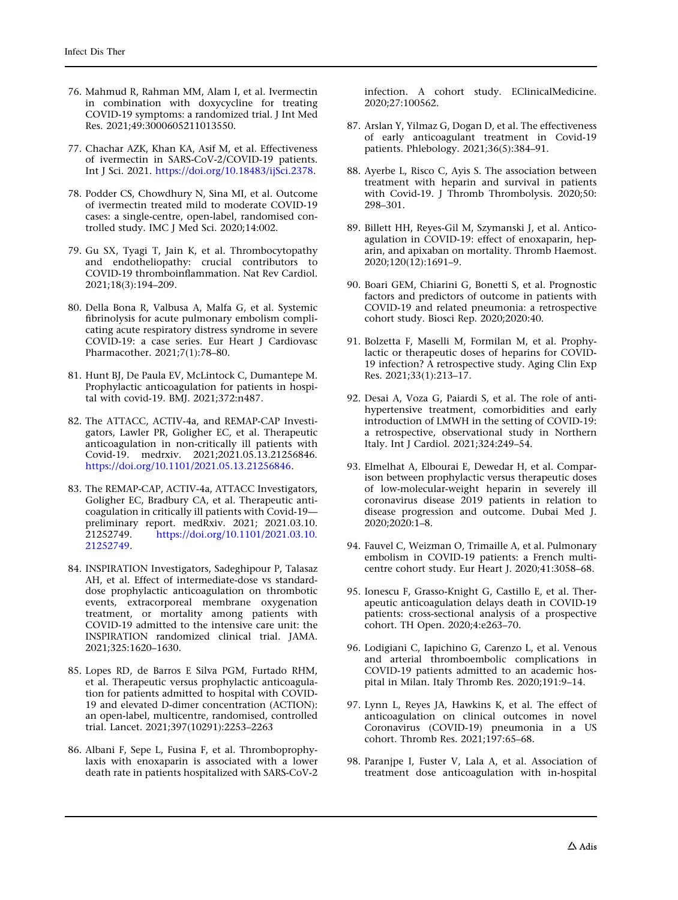- <span id="page-40-0"></span>76. Mahmud R, Rahman MM, Alam I, et al. Ivermectin in combination with doxycycline for treating COVID-19 symptoms: a randomized trial. J Int Med Res. 2021;49:3000605211013550.
- 77. Chachar AZK, Khan KA, Asif M, et al. Effectiveness of ivermectin in SARS-CoV-2/COVID-19 patients. Int J Sci. 2021. <https://doi.org/10.18483/ijSci.2378>.
- 78. Podder CS, Chowdhury N, Sina MI, et al. Outcome of ivermectin treated mild to moderate COVID-19 cases: a single-centre, open-label, randomised controlled study. IMC J Med Sci. 2020;14:002.
- 79. Gu SX, Tyagi T, Jain K, et al. Thrombocytopathy and endotheliopathy: crucial contributors to COVID-19 thromboinflammation. Nat Rev Cardiol. 2021;18(3):194–209.
- 80. Della Bona R, Valbusa A, Malfa G, et al. Systemic fibrinolysis for acute pulmonary embolism complicating acute respiratory distress syndrome in severe COVID-19: a case series. Eur Heart J Cardiovasc Pharmacother. 2021;7(1):78–80.
- 81. Hunt BJ, De Paula EV, McLintock C, Dumantepe M. Prophylactic anticoagulation for patients in hospital with covid-19. BMJ. 2021;372:n487.
- 82. The ATTACC, ACTIV-4a, and REMAP-CAP Investigators, Lawler PR, Goligher EC, et al. Therapeutic anticoagulation in non-critically ill patients with Covid-19. medrxiv. 2021;2021.05.13.21256846. [https://doi.org/10.1101/2021.05.13.21256846.](https://doi.org/10.1101/2021.05.13.21256846)
- 83. The REMAP-CAP, ACTIV-4a, ATTACC Investigators, Goligher EC, Bradbury CA, et al. Therapeutic anticoagulation in critically ill patients with Covid-19 preliminary report. medRxiv. 2021; 2021.03.10.<br>21252749. https://doi.org/10.1101/2021.03.10. 21252749. [https://doi.org/10.1101/2021.03.10.](https://doi.org/10.1101/2021.03.10.21252749) [21252749.](https://doi.org/10.1101/2021.03.10.21252749)
- 84. INSPIRATION Investigators, Sadeghipour P, Talasaz AH, et al. Effect of intermediate-dose vs standarddose prophylactic anticoagulation on thrombotic events, extracorporeal membrane oxygenation treatment, or mortality among patients with COVID-19 admitted to the intensive care unit: the INSPIRATION randomized clinical trial. JAMA. 2021;325:1620–1630.
- 85. Lopes RD, de Barros E Silva PGM, Furtado RHM, et al. Therapeutic versus prophylactic anticoagulation for patients admitted to hospital with COVID-19 and elevated D-dimer concentration (ACTION): an open-label, multicentre, randomised, controlled trial. Lancet. 2021;397(10291):2253–2263
- 86. Albani F, Sepe L, Fusina F, et al. Thromboprophylaxis with enoxaparin is associated with a lower death rate in patients hospitalized with SARS-CoV-2

infection. A cohort study. EClinicalMedicine. 2020;27:100562.

- 87. Arslan Y, Yilmaz G, Dogan D, et al. The effectiveness of early anticoagulant treatment in Covid-19 patients. Phlebology. 2021;36(5):384–91.
- 88. Ayerbe L, Risco C, Ayis S. The association between treatment with heparin and survival in patients with Covid-19. J Thromb Thrombolysis. 2020;50: 298–301.
- 89. Billett HH, Reyes-Gil M, Szymanski J, et al. Anticoagulation in COVID-19: effect of enoxaparin, heparin, and apixaban on mortality. Thromb Haemost. 2020;120(12):1691–9.
- 90. Boari GEM, Chiarini G, Bonetti S, et al. Prognostic factors and predictors of outcome in patients with COVID-19 and related pneumonia: a retrospective cohort study. Biosci Rep. 2020;2020:40.
- 91. Bolzetta F, Maselli M, Formilan M, et al. Prophylactic or therapeutic doses of heparins for COVID-19 infection? A retrospective study. Aging Clin Exp Res. 2021;33(1):213–17.
- 92. Desai A, Voza G, Paiardi S, et al. The role of antihypertensive treatment, comorbidities and early introduction of LMWH in the setting of COVID-19: a retrospective, observational study in Northern Italy. Int J Cardiol. 2021;324:249–54.
- 93. Elmelhat A, Elbourai E, Dewedar H, et al. Comparison between prophylactic versus therapeutic doses of low-molecular-weight heparin in severely ill coronavirus disease 2019 patients in relation to disease progression and outcome. Dubai Med J. 2020;2020:1–8.
- 94. Fauvel C, Weizman O, Trimaille A, et al. Pulmonary embolism in COVID-19 patients: a French multicentre cohort study. Eur Heart J. 2020;41:3058–68.
- 95. Ionescu F, Grasso-Knight G, Castillo E, et al. Therapeutic anticoagulation delays death in COVID-19 patients: cross-sectional analysis of a prospective cohort. TH Open. 2020;4:e263–70.
- 96. Lodigiani C, Iapichino G, Carenzo L, et al. Venous and arterial thromboembolic complications in COVID-19 patients admitted to an academic hospital in Milan. Italy Thromb Res. 2020;191:9–14.
- 97. Lynn L, Reyes JA, Hawkins K, et al. The effect of anticoagulation on clinical outcomes in novel Coronavirus (COVID-19) pneumonia in a US cohort. Thromb Res. 2021;197:65–68.
- 98. Paranjpe I, Fuster V, Lala A, et al. Association of treatment dose anticoagulation with in-hospital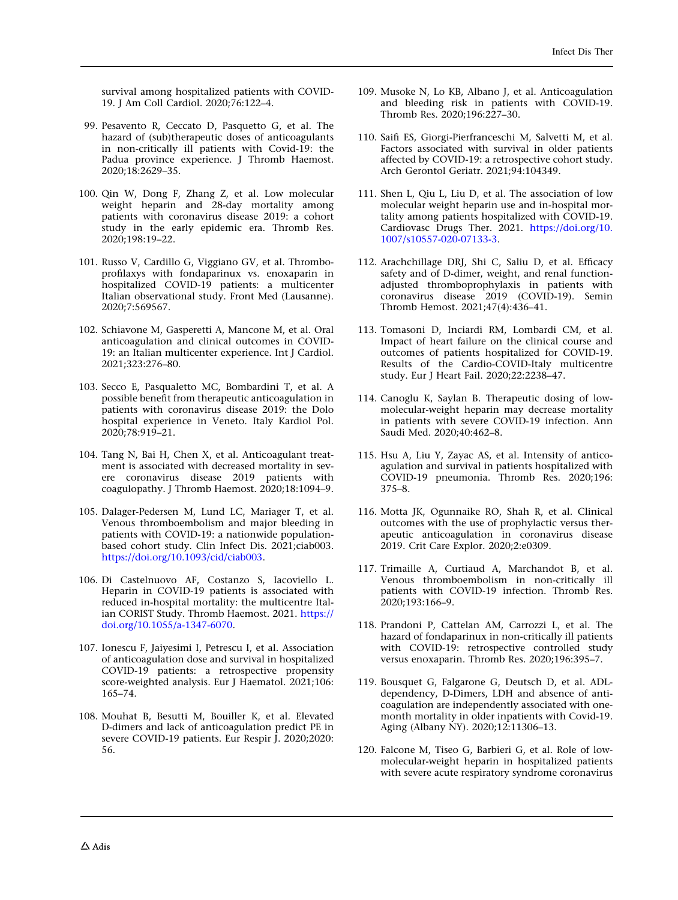<span id="page-41-0"></span>survival among hospitalized patients with COVID-19. J Am Coll Cardiol. 2020;76:122–4.

- 99. Pesavento R, Ceccato D, Pasquetto G, et al. The hazard of (sub)therapeutic doses of anticoagulants in non-critically ill patients with Covid-19: the Padua province experience. J Thromb Haemost. 2020;18:2629–35.
- 100. Qin W, Dong F, Zhang Z, et al. Low molecular weight heparin and 28-day mortality among patients with coronavirus disease 2019: a cohort study in the early epidemic era. Thromb Res. 2020;198:19–22.
- 101. Russo V, Cardillo G, Viggiano GV, et al. Thromboprofilaxys with fondaparinux vs. enoxaparin in hospitalized COVID-19 patients: a multicenter Italian observational study. Front Med (Lausanne). 2020;7:569567.
- 102. Schiavone M, Gasperetti A, Mancone M, et al. Oral anticoagulation and clinical outcomes in COVID-19: an Italian multicenter experience. Int J Cardiol. 2021;323:276–80.
- 103. Secco E, Pasqualetto MC, Bombardini T, et al. A possible benefit from therapeutic anticoagulation in patients with coronavirus disease 2019: the Dolo hospital experience in Veneto. Italy Kardiol Pol. 2020;78:919–21.
- 104. Tang N, Bai H, Chen X, et al. Anticoagulant treatment is associated with decreased mortality in severe coronavirus disease 2019 patients with coagulopathy. J Thromb Haemost. 2020;18:1094–9.
- 105. Dalager-Pedersen M, Lund LC, Mariager T, et al. Venous thromboembolism and major bleeding in patients with COVID-19: a nationwide populationbased cohort study. Clin Infect Dis. 2021;ciab003. [https://doi.org/10.1093/cid/ciab003.](https://doi.org/10.1093/cid/ciab003)
- 106. Di Castelnuovo AF, Costanzo S, Iacoviello L. Heparin in COVID-19 patients is associated with reduced in-hospital mortality: the multicentre Italian CORIST Study. Thromb Haemost. 2021. [https://](https://doi.org/10.1055/a-1347-6070) [doi.org/10.1055/a-1347-6070](https://doi.org/10.1055/a-1347-6070).
- 107. Ionescu F, Jaiyesimi I, Petrescu I, et al. Association of anticoagulation dose and survival in hospitalized COVID-19 patients: a retrospective propensity score-weighted analysis. Eur J Haematol. 2021;106: 165–74.
- 108. Mouhat B, Besutti M, Bouiller K, et al. Elevated D-dimers and lack of anticoagulation predict PE in severe COVID-19 patients. Eur Respir J. 2020;2020: 56.
- 109. Musoke N, Lo KB, Albano J, et al. Anticoagulation and bleeding risk in patients with COVID-19. Thromb Res. 2020;196:227–30.
- 110. Saifi ES, Giorgi-Pierfranceschi M, Salvetti M, et al. Factors associated with survival in older patients affected by COVID-19: a retrospective cohort study. Arch Gerontol Geriatr. 2021;94:104349.
- 111. Shen L, Qiu L, Liu D, et al. The association of low molecular weight heparin use and in-hospital mortality among patients hospitalized with COVID-19. Cardiovasc Drugs Ther. 2021. [https://doi.org/10.](https://doi.org/10.1007/s10557-020-07133-3) [1007/s10557-020-07133-3.](https://doi.org/10.1007/s10557-020-07133-3)
- 112. Arachchillage DRJ, Shi C, Saliu D, et al. Efficacy safety and of D-dimer, weight, and renal functionadjusted thromboprophylaxis in patients with coronavirus disease 2019 (COVID-19). Semin Thromb Hemost. 2021;47(4):436–41.
- 113. Tomasoni D, Inciardi RM, Lombardi CM, et al. Impact of heart failure on the clinical course and outcomes of patients hospitalized for COVID-19. Results of the Cardio-COVID-Italy multicentre study. Eur J Heart Fail. 2020;22:2238–47.
- 114. Canoglu K, Saylan B. Therapeutic dosing of lowmolecular-weight heparin may decrease mortality in patients with severe COVID-19 infection. Ann Saudi Med. 2020;40:462–8.
- 115. Hsu A, Liu Y, Zayac AS, et al. Intensity of anticoagulation and survival in patients hospitalized with COVID-19 pneumonia. Thromb Res. 2020;196: 375–8.
- 116. Motta JK, Ogunnaike RO, Shah R, et al. Clinical outcomes with the use of prophylactic versus therapeutic anticoagulation in coronavirus disease 2019. Crit Care Explor. 2020;2:e0309.
- 117. Trimaille A, Curtiaud A, Marchandot B, et al. Venous thromboembolism in non-critically ill patients with COVID-19 infection. Thromb Res. 2020;193:166–9.
- 118. Prandoni P, Cattelan AM, Carrozzi L, et al. The hazard of fondaparinux in non-critically ill patients with COVID-19: retrospective controlled study versus enoxaparin. Thromb Res. 2020;196:395–7.
- 119. Bousquet G, Falgarone G, Deutsch D, et al. ADLdependency, D-Dimers, LDH and absence of anticoagulation are independently associated with onemonth mortality in older inpatients with Covid-19. Aging (Albany NY). 2020;12:11306–13.
- 120. Falcone M, Tiseo G, Barbieri G, et al. Role of lowmolecular-weight heparin in hospitalized patients with severe acute respiratory syndrome coronavirus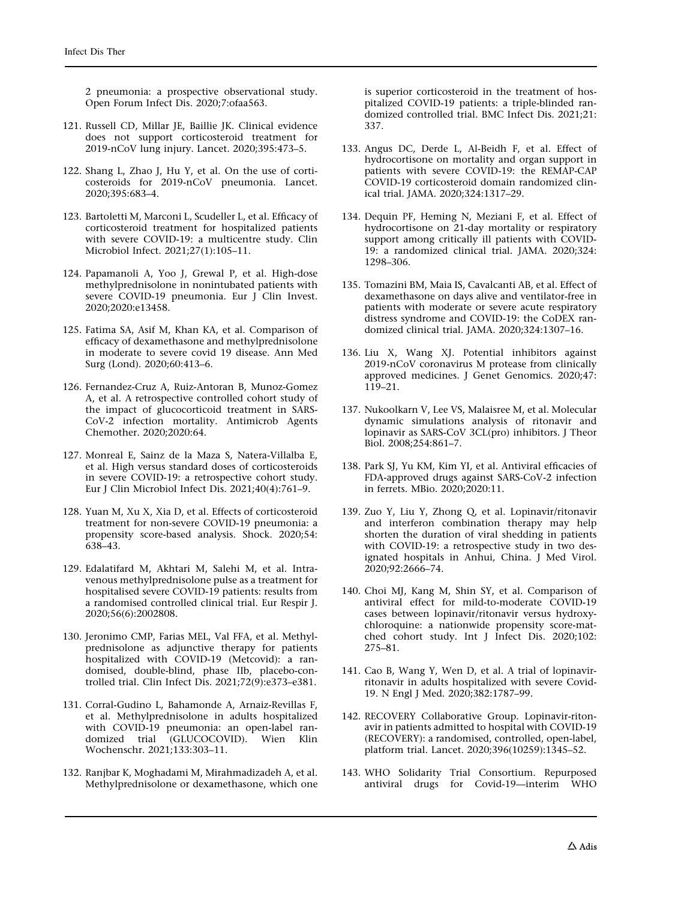<span id="page-42-0"></span>2 pneumonia: a prospective observational study. Open Forum Infect Dis. 2020;7:ofaa563.

- 121. Russell CD, Millar JE, Baillie JK. Clinical evidence does not support corticosteroid treatment for 2019-nCoV lung injury. Lancet. 2020;395:473–5.
- 122. Shang L, Zhao J, Hu Y, et al. On the use of corticosteroids for 2019-nCoV pneumonia. Lancet. 2020;395:683–4.
- 123. Bartoletti M, Marconi L, Scudeller L, et al. Efficacy of corticosteroid treatment for hospitalized patients with severe COVID-19: a multicentre study. Clin Microbiol Infect. 2021;27(1):105–11.
- 124. Papamanoli A, Yoo J, Grewal P, et al. High-dose methylprednisolone in nonintubated patients with severe COVID-19 pneumonia. Eur J Clin Invest. 2020;2020:e13458.
- 125. Fatima SA, Asif M, Khan KA, et al. Comparison of efficacy of dexamethasone and methylprednisolone in moderate to severe covid 19 disease. Ann Med Surg (Lond). 2020;60:413–6.
- 126. Fernandez-Cruz A, Ruiz-Antoran B, Munoz-Gomez A, et al. A retrospective controlled cohort study of the impact of glucocorticoid treatment in SARS-CoV-2 infection mortality. Antimicrob Agents Chemother. 2020;2020:64.
- 127. Monreal E, Sainz de la Maza S, Natera-Villalba E, et al. High versus standard doses of corticosteroids in severe COVID-19: a retrospective cohort study. Eur J Clin Microbiol Infect Dis. 2021;40(4):761–9.
- 128. Yuan M, Xu X, Xia D, et al. Effects of corticosteroid treatment for non-severe COVID-19 pneumonia: a propensity score-based analysis. Shock. 2020;54: 638–43.
- 129. Edalatifard M, Akhtari M, Salehi M, et al. Intravenous methylprednisolone pulse as a treatment for hospitalised severe COVID-19 patients: results from a randomised controlled clinical trial. Eur Respir J. 2020;56(6):2002808.
- 130. Jeronimo CMP, Farias MEL, Val FFA, et al. Methylprednisolone as adjunctive therapy for patients hospitalized with COVID-19 (Metcovid): a randomised, double-blind, phase IIb, placebo-controlled trial. Clin Infect Dis. 2021;72(9):e373–e381.
- 131. Corral-Gudino L, Bahamonde A, Arnaiz-Revillas F, et al. Methylprednisolone in adults hospitalized with COVID-19 pneumonia: an open-label randomized trial (GLUCOCOVID). Wien Klin Wochenschr. 2021;133:303–11.
- 132. Ranjbar K, Moghadami M, Mirahmadizadeh A, et al. Methylprednisolone or dexamethasone, which one

is superior corticosteroid in the treatment of hospitalized COVID-19 patients: a triple-blinded randomized controlled trial. BMC Infect Dis. 2021;21: 337.

- 133. Angus DC, Derde L, Al-Beidh F, et al. Effect of hydrocortisone on mortality and organ support in patients with severe COVID-19: the REMAP-CAP COVID-19 corticosteroid domain randomized clinical trial. JAMA. 2020;324:1317–29.
- 134. Dequin PF, Heming N, Meziani F, et al. Effect of hydrocortisone on 21-day mortality or respiratory support among critically ill patients with COVID-19: a randomized clinical trial. JAMA. 2020;324: 1298–306.
- 135. Tomazini BM, Maia IS, Cavalcanti AB, et al. Effect of dexamethasone on days alive and ventilator-free in patients with moderate or severe acute respiratory distress syndrome and COVID-19: the CoDEX randomized clinical trial. JAMA. 2020;324:1307–16.
- 136. Liu X, Wang XJ. Potential inhibitors against 2019-nCoV coronavirus M protease from clinically approved medicines. J Genet Genomics. 2020;47: 119–21.
- 137. Nukoolkarn V, Lee VS, Malaisree M, et al. Molecular dynamic simulations analysis of ritonavir and lopinavir as SARS-CoV 3CL(pro) inhibitors. J Theor Biol. 2008;254:861–7.
- 138. Park SJ, Yu KM, Kim YI, et al. Antiviral efficacies of FDA-approved drugs against SARS-CoV-2 infection in ferrets. MBio. 2020;2020:11.
- 139. Zuo Y, Liu Y, Zhong Q, et al. Lopinavir/ritonavir and interferon combination therapy may help shorten the duration of viral shedding in patients with COVID-19: a retrospective study in two designated hospitals in Anhui, China. J Med Virol. 2020;92:2666–74.
- 140. Choi MJ, Kang M, Shin SY, et al. Comparison of antiviral effect for mild-to-moderate COVID-19 cases between lopinavir/ritonavir versus hydroxychloroquine: a nationwide propensity score-matched cohort study. Int J Infect Dis. 2020;102: 275–81.
- 141. Cao B, Wang Y, Wen D, et al. A trial of lopinavirritonavir in adults hospitalized with severe Covid-19. N Engl J Med. 2020;382:1787–99.
- 142. RECOVERY Collaborative Group. Lopinavir-ritonavir in patients admitted to hospital with COVID-19 (RECOVERY): a randomised, controlled, open-label, platform trial. Lancet. 2020;396(10259):1345–52.
- 143. WHO Solidarity Trial Consortium. Repurposed antiviral drugs for Covid-19—interim WHO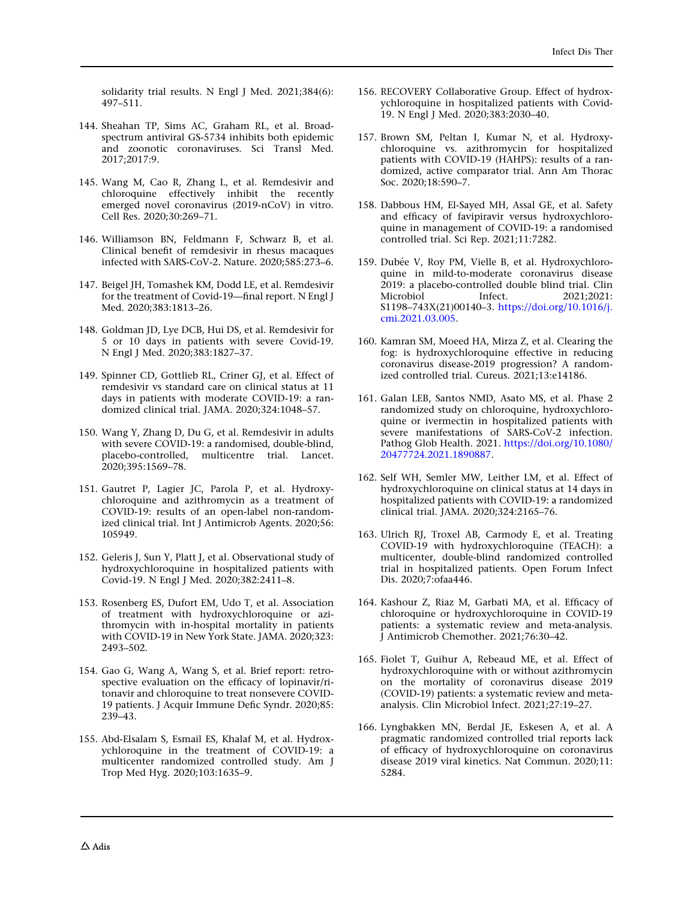<span id="page-43-0"></span>solidarity trial results. N Engl J Med. 2021;384(6): 497–511.

- 144. Sheahan TP, Sims AC, Graham RL, et al. Broadspectrum antiviral GS-5734 inhibits both epidemic and zoonotic coronaviruses. Sci Transl Med. 2017;2017:9.
- 145. Wang M, Cao R, Zhang L, et al. Remdesivir and chloroquine effectively inhibit the recently emerged novel coronavirus (2019-nCoV) in vitro. Cell Res. 2020;30:269–71.
- 146. Williamson BN, Feldmann F, Schwarz B, et al. Clinical benefit of remdesivir in rhesus macaques infected with SARS-CoV-2. Nature. 2020;585:273–6.
- 147. Beigel JH, Tomashek KM, Dodd LE, et al. Remdesivir for the treatment of Covid-19—final report. N Engl J Med. 2020;383:1813–26.
- 148. Goldman JD, Lye DCB, Hui DS, et al. Remdesivir for 5 or 10 days in patients with severe Covid-19. N Engl J Med. 2020;383:1827–37.
- 149. Spinner CD, Gottlieb RL, Criner GJ, et al. Effect of remdesivir vs standard care on clinical status at 11 days in patients with moderate COVID-19: a randomized clinical trial. JAMA. 2020;324:1048–57.
- 150. Wang Y, Zhang D, Du G, et al. Remdesivir in adults with severe COVID-19: a randomised, double-blind, placebo-controlled, multicentre trial. Lancet. 2020;395:1569–78.
- 151. Gautret P, Lagier JC, Parola P, et al. Hydroxychloroquine and azithromycin as a treatment of COVID-19: results of an open-label non-randomized clinical trial. Int J Antimicrob Agents. 2020;56: 105949.
- 152. Geleris J, Sun Y, Platt J, et al. Observational study of hydroxychloroquine in hospitalized patients with Covid-19. N Engl J Med. 2020;382:2411–8.
- 153. Rosenberg ES, Dufort EM, Udo T, et al. Association of treatment with hydroxychloroquine or azithromycin with in-hospital mortality in patients with COVID-19 in New York State. JAMA. 2020;323: 2493–502.
- 154. Gao G, Wang A, Wang S, et al. Brief report: retrospective evaluation on the efficacy of lopinavir/ritonavir and chloroquine to treat nonsevere COVID-19 patients. J Acquir Immune Defic Syndr. 2020;85: 239–43.
- 155. Abd-Elsalam S, Esmail ES, Khalaf M, et al. Hydroxychloroquine in the treatment of COVID-19: a multicenter randomized controlled study. Am J Trop Med Hyg. 2020;103:1635–9.
- 156. RECOVERY Collaborative Group. Effect of hydroxychloroquine in hospitalized patients with Covid-19. N Engl J Med. 2020;383:2030–40.
- 157. Brown SM, Peltan I, Kumar N, et al. Hydroxychloroquine vs. azithromycin for hospitalized patients with COVID-19 (HAHPS): results of a randomized, active comparator trial. Ann Am Thorac Soc. 2020;18:590–7.
- 158. Dabbous HM, El-Sayed MH, Assal GE, et al. Safety and efficacy of favipiravir versus hydroxychloroquine in management of COVID-19: a randomised controlled trial. Sci Rep. 2021;11:7282.
- 159. Dubée V, Roy PM, Vielle B, et al. Hydroxychloroquine in mild-to-moderate coronavirus disease 2019: a placebo-controlled double blind trial. Clin Microbiol Infect. 2021;2021: S1198–743X(21)00140–3. [https://doi.org/10.1016/j.](https://doi.org/10.1016/j.cmi.2021.03.005) [cmi.2021.03.005](https://doi.org/10.1016/j.cmi.2021.03.005).
- 160. Kamran SM, Moeed HA, Mirza Z, et al. Clearing the fog: is hydroxychloroquine effective in reducing coronavirus disease-2019 progression? A randomized controlled trial. Cureus. 2021;13:e14186.
- 161. Galan LEB, Santos NMD, Asato MS, et al. Phase 2 randomized study on chloroquine, hydroxychloroquine or ivermectin in hospitalized patients with severe manifestations of SARS-CoV-2 infection. Pathog Glob Health. 2021. [https://doi.org/10.1080/](https://doi.org/10.1080/20477724.2021.1890887) [20477724.2021.1890887.](https://doi.org/10.1080/20477724.2021.1890887)
- 162. Self WH, Semler MW, Leither LM, et al. Effect of hydroxychloroquine on clinical status at 14 days in hospitalized patients with COVID-19: a randomized clinical trial. JAMA. 2020;324:2165–76.
- 163. Ulrich RJ, Troxel AB, Carmody E, et al. Treating COVID-19 with hydroxychloroquine (TEACH): a multicenter, double-blind randomized controlled trial in hospitalized patients. Open Forum Infect Dis. 2020;7:ofaa446.
- 164. Kashour Z, Riaz M, Garbati MA, et al. Efficacy of chloroquine or hydroxychloroquine in COVID-19 patients: a systematic review and meta-analysis. J Antimicrob Chemother. 2021;76:30–42.
- 165. Fiolet T, Guihur A, Rebeaud ME, et al. Effect of hydroxychloroquine with or without azithromycin on the mortality of coronavirus disease 2019 (COVID-19) patients: a systematic review and metaanalysis. Clin Microbiol Infect. 2021;27:19–27.
- 166. Lyngbakken MN, Berdal JE, Eskesen A, et al. A pragmatic randomized controlled trial reports lack of efficacy of hydroxychloroquine on coronavirus disease 2019 viral kinetics. Nat Commun. 2020;11: 5284.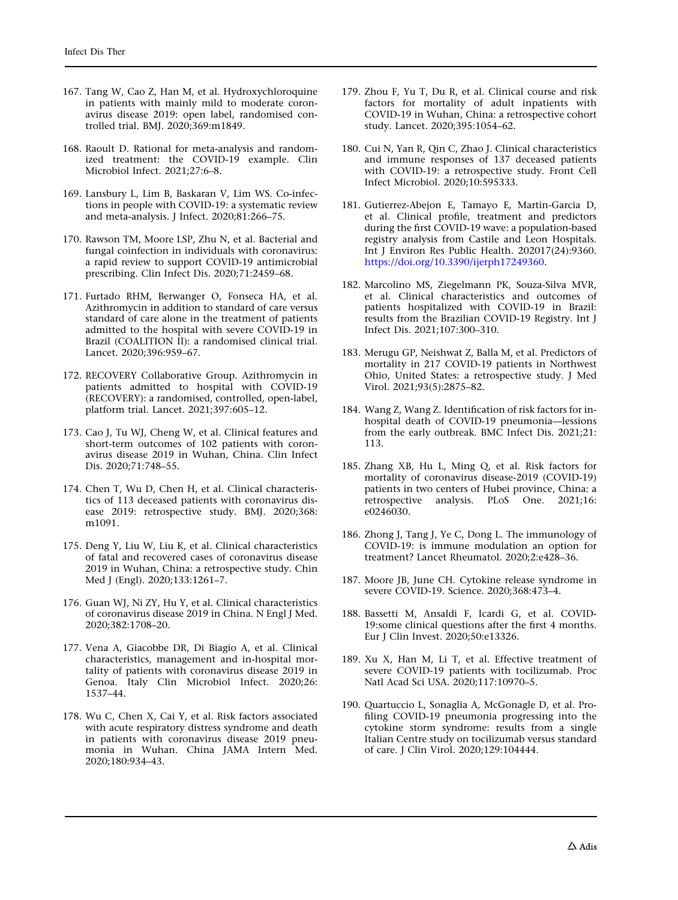- <span id="page-44-0"></span>167. Tang W, Cao Z, Han M, et al. Hydroxychloroquine in patients with mainly mild to moderate coronavirus disease 2019: open label, randomised controlled trial. BMJ. 2020;369:m1849.
- 168. Raoult D. Rational for meta-analysis and randomized treatment: the COVID-19 example. Clin Microbiol Infect. 2021;27:6–8.
- 169. Lansbury L, Lim B, Baskaran V, Lim WS. Co-infections in people with COVID-19: a systematic review and meta-analysis. J Infect. 2020;81:266–75.
- 170. Rawson TM, Moore LSP, Zhu N, et al. Bacterial and fungal coinfection in individuals with coronavirus: a rapid review to support COVID-19 antimicrobial prescribing. Clin Infect Dis. 2020;71:2459–68.
- 171. Furtado RHM, Berwanger O, Fonseca HA, et al. Azithromycin in addition to standard of care versus standard of care alone in the treatment of patients admitted to the hospital with severe COVID-19 in Brazil (COALITION II): a randomised clinical trial. Lancet. 2020;396:959–67.
- 172. RECOVERY Collaborative Group. Azithromycin in patients admitted to hospital with COVID-19 (RECOVERY): a randomised, controlled, open-label, platform trial. Lancet. 2021;397:605–12.
- 173. Cao J, Tu WJ, Cheng W, et al. Clinical features and short-term outcomes of 102 patients with coronavirus disease 2019 in Wuhan, China. Clin Infect Dis. 2020;71:748–55.
- 174. Chen T, Wu D, Chen H, et al. Clinical characteristics of 113 deceased patients with coronavirus disease 2019: retrospective study. BMJ. 2020;368: m1091.
- 175. Deng Y, Liu W, Liu K, et al. Clinical characteristics of fatal and recovered cases of coronavirus disease 2019 in Wuhan, China: a retrospective study. Chin Med J (Engl). 2020;133:1261–7.
- 176. Guan WJ, Ni ZY, Hu Y, et al. Clinical characteristics of coronavirus disease 2019 in China. N Engl J Med. 2020;382:1708–20.
- 177. Vena A, Giacobbe DR, Di Biagio A, et al. Clinical characteristics, management and in-hospital mortality of patients with coronavirus disease 2019 in Genoa. Italy Clin Microbiol Infect. 2020;26: 1537–44.
- 178. Wu C, Chen X, Cai Y, et al. Risk factors associated with acute respiratory distress syndrome and death in patients with coronavirus disease 2019 pneumonia in Wuhan. China JAMA Intern Med. 2020;180:934–43.
- 179. Zhou F, Yu T, Du R, et al. Clinical course and risk factors for mortality of adult inpatients with COVID-19 in Wuhan, China: a retrospective cohort study. Lancet. 2020;395:1054–62.
- 180. Cui N, Yan R, Qin C, Zhao J. Clinical characteristics and immune responses of 137 deceased patients with COVID-19: a retrospective study. Front Cell Infect Microbiol. 2020;10:595333.
- 181. Gutierrez-Abejon E, Tamayo E, Martin-Garcia D, et al. Clinical profile, treatment and predictors during the first COVID-19 wave: a population-based registry analysis from Castile and Leon Hospitals. Int J Environ Res Public Health. 202017(24):9360. <https://doi.org/10.3390/ijerph17249360>.
- 182. Marcolino MS, Ziegelmann PK, Souza-Silva MVR, et al. Clinical characteristics and outcomes of patients hospitalized with COVID-19 in Brazil: results from the Brazilian COVID-19 Registry. Int J Infect Dis. 2021;107:300–310.
- 183. Merugu GP, Neishwat Z, Balla M, et al. Predictors of mortality in 217 COVID-19 patients in Northwest Ohio, United States: a retrospective study. J Med Virol. 2021;93(5):2875–82.
- 184. Wang Z, Wang Z. Identification of risk factors for inhospital death of COVID-19 pneumonia—lessions from the early outbreak. BMC Infect Dis. 2021;21: 113.
- 185. Zhang XB, Hu L, Ming Q, et al. Risk factors for mortality of coronavirus disease-2019 (COVID-19) patients in two centers of Hubei province, China: a retrospective analysis. PLoS One. 2021;16: e0246030.
- 186. Zhong J, Tang J, Ye C, Dong L. The immunology of COVID-19: is immune modulation an option for treatment? Lancet Rheumatol. 2020;2:e428–36.
- 187. Moore JB, June CH. Cytokine release syndrome in severe COVID-19. Science. 2020;368:473–4.
- 188. Bassetti M, Ansaldi F, Icardi G, et al. COVID-19:some clinical questions after the first 4 months. Eur J Clin Invest. 2020;50:e13326.
- 189. Xu X, Han M, Li T, et al. Effective treatment of severe COVID-19 patients with tocilizumab. Proc Natl Acad Sci USA. 2020;117:10970–5.
- 190. Quartuccio L, Sonaglia A, McGonagle D, et al. Profiling COVID-19 pneumonia progressing into the cytokine storm syndrome: results from a single Italian Centre study on tocilizumab versus standard of care. J Clin Virol. 2020;129:104444.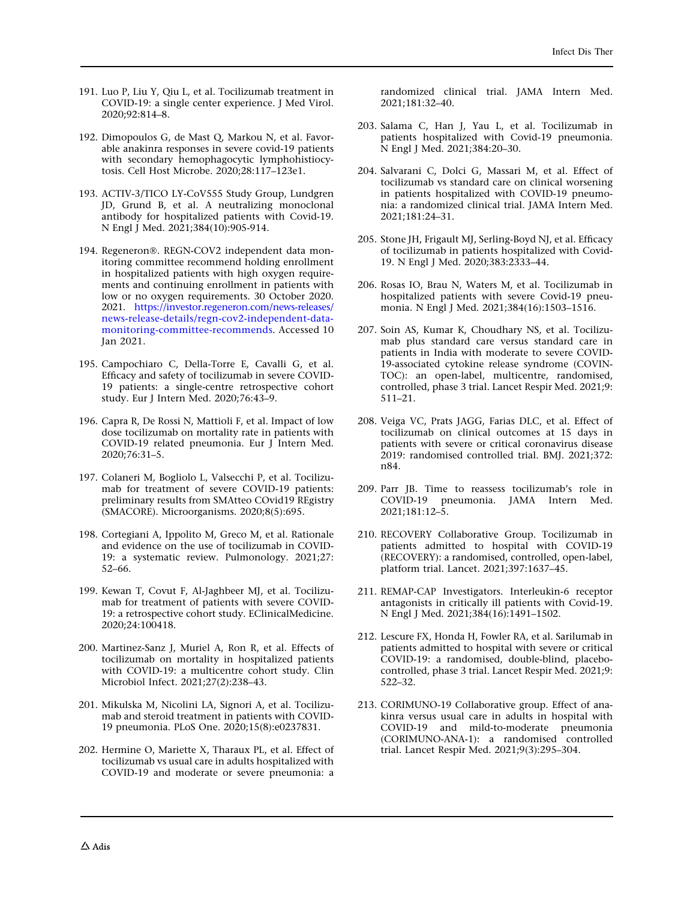- <span id="page-45-0"></span>191. Luo P, Liu Y, Qiu L, et al. Tocilizumab treatment in COVID-19: a single center experience. J Med Virol. 2020;92:814–8.
- 192. Dimopoulos G, de Mast Q, Markou N, et al. Favorable anakinra responses in severe covid-19 patients with secondary hemophagocytic lymphohistiocytosis. Cell Host Microbe. 2020;28:117–123e1.
- 193. ACTIV-3/TICO LY-CoV555 Study Group, Lundgren JD, Grund B, et al. A neutralizing monoclonal antibody for hospitalized patients with Covid-19. N Engl J Med. 2021;384(10):905-914.
- 194. Regeneron®. REGN-COV2 independent data monitoring committee recommend holding enrollment in hospitalized patients with high oxygen requirements and continuing enrollment in patients with low or no oxygen requirements. 30 October 2020. 2021. [https://investor.regeneron.com/news-releases/](https://investor.regeneron.com/news-releases/news-release-details/regn-cov2-independent-data-monitoring-committee-recommends) [news-release-details/regn-cov2-independent-data](https://investor.regeneron.com/news-releases/news-release-details/regn-cov2-independent-data-monitoring-committee-recommends)[monitoring-committee-recommends](https://investor.regeneron.com/news-releases/news-release-details/regn-cov2-independent-data-monitoring-committee-recommends). Accessed 10 Jan 2021.
- 195. Campochiaro C, Della-Torre E, Cavalli G, et al. Efficacy and safety of tocilizumab in severe COVID-19 patients: a single-centre retrospective cohort study. Eur J Intern Med. 2020;76:43–9.
- 196. Capra R, De Rossi N, Mattioli F, et al. Impact of low dose tocilizumab on mortality rate in patients with COVID-19 related pneumonia. Eur J Intern Med. 2020;76:31–5.
- 197. Colaneri M, Bogliolo L, Valsecchi P, et al. Tocilizumab for treatment of severe COVID-19 patients: preliminary results from SMAtteo COvid19 REgistry (SMACORE). Microorganisms. 2020;8(5):695.
- 198. Cortegiani A, Ippolito M, Greco M, et al. Rationale and evidence on the use of tocilizumab in COVID-19: a systematic review. Pulmonology. 2021;27: 52–66.
- 199. Kewan T, Covut F, Al-Jaghbeer MJ, et al. Tocilizumab for treatment of patients with severe COVID-19: a retrospective cohort study. EClinicalMedicine. 2020;24:100418.
- 200. Martinez-Sanz J, Muriel A, Ron R, et al. Effects of tocilizumab on mortality in hospitalized patients with COVID-19: a multicentre cohort study. Clin Microbiol Infect. 2021;27(2):238–43.
- 201. Mikulska M, Nicolini LA, Signori A, et al. Tocilizumab and steroid treatment in patients with COVID-19 pneumonia. PLoS One. 2020;15(8):e0237831.
- 202. Hermine O, Mariette X, Tharaux PL, et al. Effect of tocilizumab vs usual care in adults hospitalized with COVID-19 and moderate or severe pneumonia: a

randomized clinical trial. JAMA Intern Med. 2021;181:32–40.

- 203. Salama C, Han J, Yau L, et al. Tocilizumab in patients hospitalized with Covid-19 pneumonia. N Engl J Med. 2021;384:20–30.
- 204. Salvarani C, Dolci G, Massari M, et al. Effect of tocilizumab vs standard care on clinical worsening in patients hospitalized with COVID-19 pneumonia: a randomized clinical trial. JAMA Intern Med. 2021;181:24–31.
- 205. Stone JH, Frigault MJ, Serling-Boyd NJ, et al. Efficacy of tocilizumab in patients hospitalized with Covid-19. N Engl J Med. 2020;383:2333–44.
- 206. Rosas IO, Brau N, Waters M, et al. Tocilizumab in hospitalized patients with severe Covid-19 pneumonia. N Engl J Med. 2021;384(16):1503–1516.
- 207. Soin AS, Kumar K, Choudhary NS, et al. Tocilizumab plus standard care versus standard care in patients in India with moderate to severe COVID-19-associated cytokine release syndrome (COVIN-TOC): an open-label, multicentre, randomised, controlled, phase 3 trial. Lancet Respir Med. 2021;9: 511–21.
- 208. Veiga VC, Prats JAGG, Farias DLC, et al. Effect of tocilizumab on clinical outcomes at 15 days in patients with severe or critical coronavirus disease 2019: randomised controlled trial. BMJ. 2021;372: n84.
- 209. Parr JB. Time to reassess tocilizumab's role in COVID-19 pneumonia. JAMA Intern Med. 2021;181:12–5.
- 210. RECOVERY Collaborative Group. Tocilizumab in patients admitted to hospital with COVID-19 (RECOVERY): a randomised, controlled, open-label, platform trial. Lancet. 2021;397:1637–45.
- 211. REMAP-CAP Investigators. Interleukin-6 receptor antagonists in critically ill patients with Covid-19. N Engl J Med. 2021;384(16):1491–1502.
- 212. Lescure FX, Honda H, Fowler RA, et al. Sarilumab in patients admitted to hospital with severe or critical COVID-19: a randomised, double-blind, placebocontrolled, phase 3 trial. Lancet Respir Med. 2021;9: 522–32.
- 213. CORIMUNO-19 Collaborative group. Effect of anakinra versus usual care in adults in hospital with COVID-19 and mild-to-moderate pneumonia (CORIMUNO-ANA-1): a randomised controlled trial. Lancet Respir Med. 2021;9(3):295–304.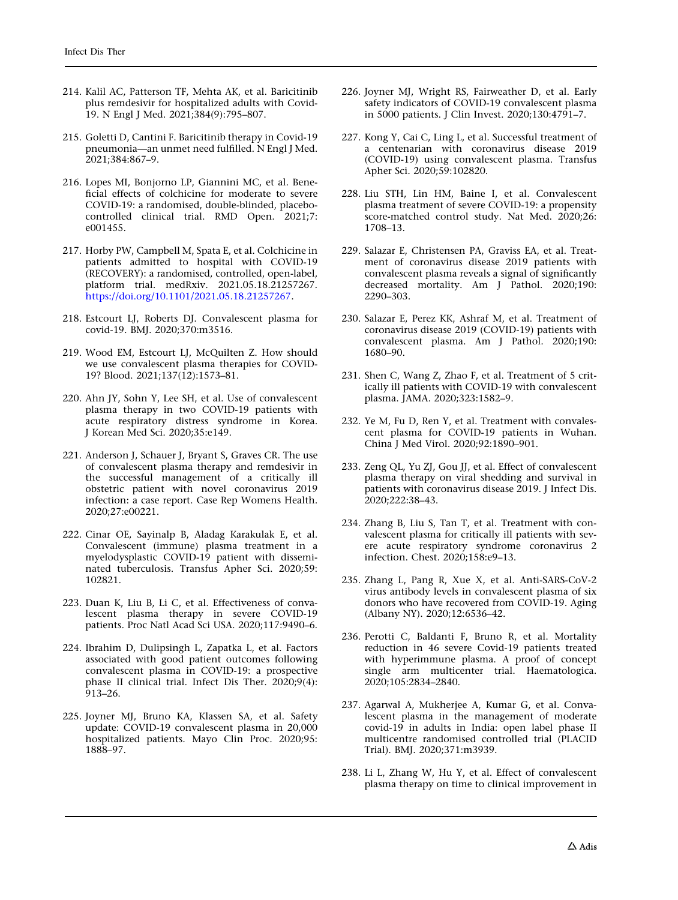- <span id="page-46-0"></span>214. Kalil AC, Patterson TF, Mehta AK, et al. Baricitinib plus remdesivir for hospitalized adults with Covid-19. N Engl J Med. 2021;384(9):795–807.
- 215. Goletti D, Cantini F. Baricitinib therapy in Covid-19 pneumonia—an unmet need fulfilled. N Engl J Med. 2021;384:867–9.
- 216. Lopes MI, Bonjorno LP, Giannini MC, et al. Beneficial effects of colchicine for moderate to severe COVID-19: a randomised, double-blinded, placebocontrolled clinical trial. RMD Open. 2021;7: e001455.
- 217. Horby PW, Campbell M, Spata E, et al. Colchicine in patients admitted to hospital with COVID-19 (RECOVERY): a randomised, controlled, open-label, platform trial. medRxiv. 2021.05.18.21257267. [https://doi.org/10.1101/2021.05.18.21257267.](https://doi.org/10.1101/2021.05.18.21257267)
- 218. Estcourt LJ, Roberts DJ. Convalescent plasma for covid-19. BMJ. 2020;370:m3516.
- 219. Wood EM, Estcourt LJ, McQuilten Z. How should we use convalescent plasma therapies for COVID-19? Blood. 2021;137(12):1573–81.
- 220. Ahn JY, Sohn Y, Lee SH, et al. Use of convalescent plasma therapy in two COVID-19 patients with acute respiratory distress syndrome in Korea. J Korean Med Sci. 2020;35:e149.
- 221. Anderson J, Schauer J, Bryant S, Graves CR. The use of convalescent plasma therapy and remdesivir in the successful management of a critically ill obstetric patient with novel coronavirus 2019 infection: a case report. Case Rep Womens Health. 2020;27:e00221.
- 222. Cinar OE, Sayinalp B, Aladag Karakulak E, et al. Convalescent (immune) plasma treatment in a myelodysplastic COVID-19 patient with disseminated tuberculosis. Transfus Apher Sci. 2020;59: 102821.
- 223. Duan K, Liu B, Li C, et al. Effectiveness of convalescent plasma therapy in severe COVID-19 patients. Proc Natl Acad Sci USA. 2020;117:9490–6.
- 224. Ibrahim D, Dulipsingh L, Zapatka L, et al. Factors associated with good patient outcomes following convalescent plasma in COVID-19: a prospective phase II clinical trial. Infect Dis Ther. 2020;9(4): 913–26.
- 225. Joyner MJ, Bruno KA, Klassen SA, et al. Safety update: COVID-19 convalescent plasma in 20,000 hospitalized patients. Mayo Clin Proc. 2020;95: 1888–97.
- 226. Joyner MJ, Wright RS, Fairweather D, et al. Early safety indicators of COVID-19 convalescent plasma in 5000 patients. J Clin Invest. 2020;130:4791–7.
- 227. Kong Y, Cai C, Ling L, et al. Successful treatment of a centenarian with coronavirus disease 2019 (COVID-19) using convalescent plasma. Transfus Apher Sci. 2020;59:102820.
- 228. Liu STH, Lin HM, Baine I, et al. Convalescent plasma treatment of severe COVID-19: a propensity score-matched control study. Nat Med. 2020;26: 1708–13.
- 229. Salazar E, Christensen PA, Graviss EA, et al. Treatment of coronavirus disease 2019 patients with convalescent plasma reveals a signal of significantly decreased mortality. Am J Pathol. 2020;190: 2290–303.
- 230. Salazar E, Perez KK, Ashraf M, et al. Treatment of coronavirus disease 2019 (COVID-19) patients with convalescent plasma. Am J Pathol. 2020;190: 1680–90.
- 231. Shen C, Wang Z, Zhao F, et al. Treatment of 5 critically ill patients with COVID-19 with convalescent plasma. JAMA. 2020;323:1582–9.
- 232. Ye M, Fu D, Ren Y, et al. Treatment with convalescent plasma for COVID-19 patients in Wuhan. China J Med Virol. 2020;92:1890–901.
- 233. Zeng QL, Yu ZJ, Gou JJ, et al. Effect of convalescent plasma therapy on viral shedding and survival in patients with coronavirus disease 2019. J Infect Dis. 2020;222:38–43.
- 234. Zhang B, Liu S, Tan T, et al. Treatment with convalescent plasma for critically ill patients with severe acute respiratory syndrome coronavirus 2 infection. Chest. 2020;158:e9–13.
- 235. Zhang L, Pang R, Xue X, et al. Anti-SARS-CoV-2 virus antibody levels in convalescent plasma of six donors who have recovered from COVID-19. Aging (Albany NY). 2020;12:6536–42.
- 236. Perotti C, Baldanti F, Bruno R, et al. Mortality reduction in 46 severe Covid-19 patients treated with hyperimmune plasma. A proof of concept single arm multicenter trial. Haematologica. 2020;105:2834–2840.
- 237. Agarwal A, Mukherjee A, Kumar G, et al. Convalescent plasma in the management of moderate covid-19 in adults in India: open label phase II multicentre randomised controlled trial (PLACID Trial). BMJ. 2020;371:m3939.
- 238. Li L, Zhang W, Hu Y, et al. Effect of convalescent plasma therapy on time to clinical improvement in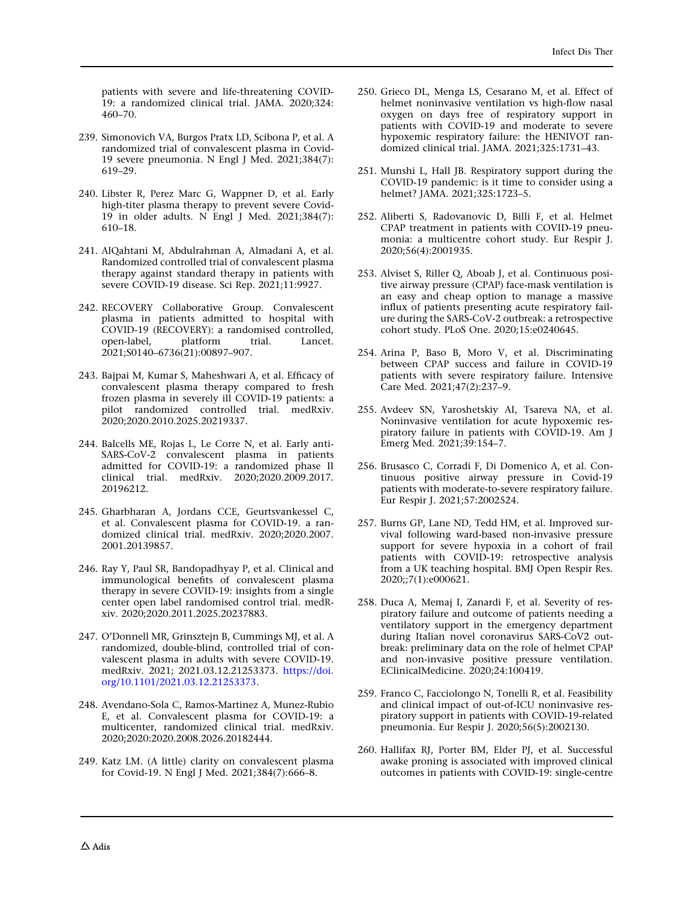<span id="page-47-0"></span>patients with severe and life-threatening COVID-19: a randomized clinical trial. JAMA. 2020;324: 460–70.

- 239. Simonovich VA, Burgos Pratx LD, Scibona P, et al. A randomized trial of convalescent plasma in Covid-19 severe pneumonia. N Engl J Med. 2021;384(7): 619–29.
- 240. Libster R, Perez Marc G, Wappner D, et al. Early high-titer plasma therapy to prevent severe Covid-19 in older adults. N Engl J Med. 2021;384(7): 610–18.
- 241. AlQahtani M, Abdulrahman A, Almadani A, et al. Randomized controlled trial of convalescent plasma therapy against standard therapy in patients with severe COVID-19 disease. Sci Rep. 2021;11:9927.
- 242. RECOVERY Collaborative Group. Convalescent plasma in patients admitted to hospital with COVID-19 (RECOVERY): a randomised controlled, open-label, platform trial. Lancet. 2021;S0140–6736(21):00897–907.
- 243. Bajpai M, Kumar S, Maheshwari A, et al. Efficacy of convalescent plasma therapy compared to fresh frozen plasma in severely ill COVID-19 patients: a pilot randomized controlled trial. medRxiv. 2020;2020.2010.2025.20219337.
- 244. Balcells ME, Rojas L, Le Corre N, et al. Early anti-SARS-CoV-2 convalescent plasma in patients admitted for COVID-19: a randomized phase II clinical trial. medRxiv. 2020;2020.2009.2017. 20196212.
- 245. Gharbharan A, Jordans CCE, Geurtsvankessel C, et al. Convalescent plasma for COVID-19. a randomized clinical trial. medRxiv. 2020;2020.2007. 2001.20139857.
- 246. Ray Y, Paul SR, Bandopadhyay P, et al. Clinical and immunological benefits of convalescent plasma therapy in severe COVID-19: insights from a single center open label randomised control trial. medRxiv. 2020;2020.2011.2025.20237883.
- 247. O'Donnell MR, Grinsztejn B, Cummings MJ, et al. A randomized, double-blind, controlled trial of convalescent plasma in adults with severe COVID-19. medRxiv. 2021; 2021.03.12.21253373. [https://doi.](https://doi.org/10.1101/2021.03.12.21253373) [org/10.1101/2021.03.12.21253373](https://doi.org/10.1101/2021.03.12.21253373).
- 248. Avendano-Sola C, Ramos-Martinez A, Munez-Rubio E, et al. Convalescent plasma for COVID-19: a multicenter, randomized clinical trial. medRxiv. 2020;2020:2020.2008.2026.20182444.
- 249. Katz LM. (A little) clarity on convalescent plasma for Covid-19. N Engl J Med. 2021;384(7):666–8.
- 250. Grieco DL, Menga LS, Cesarano M, et al. Effect of helmet noninvasive ventilation vs high-flow nasal oxygen on days free of respiratory support in patients with COVID-19 and moderate to severe hypoxemic respiratory failure: the HENIVOT randomized clinical trial. JAMA. 2021;325:1731–43.
- 251. Munshi L, Hall JB. Respiratory support during the COVID-19 pandemic: is it time to consider using a helmet? JAMA. 2021;325:1723–5.
- 252. Aliberti S, Radovanovic D, Billi F, et al. Helmet CPAP treatment in patients with COVID-19 pneumonia: a multicentre cohort study. Eur Respir J. 2020;56(4):2001935.
- 253. Alviset S, Riller Q, Aboab J, et al. Continuous positive airway pressure (CPAP) face-mask ventilation is an easy and cheap option to manage a massive influx of patients presenting acute respiratory failure during the SARS-CoV-2 outbreak: a retrospective cohort study. PLoS One. 2020;15:e0240645.
- 254. Arina P, Baso B, Moro V, et al. Discriminating between CPAP success and failure in COVID-19 patients with severe respiratory failure. Intensive Care Med. 2021;47(2):237–9.
- 255. Avdeev SN, Yaroshetskiy AI, Tsareva NA, et al. Noninvasive ventilation for acute hypoxemic respiratory failure in patients with COVID-19. Am J Emerg Med. 2021;39:154–7.
- 256. Brusasco C, Corradi F, Di Domenico A, et al. Continuous positive airway pressure in Covid-19 patients with moderate-to-severe respiratory failure. Eur Respir J. 2021;57:2002524.
- 257. Burns GP, Lane ND, Tedd HM, et al. Improved survival following ward-based non-invasive pressure support for severe hypoxia in a cohort of frail patients with COVID-19: retrospective analysis from a UK teaching hospital. BMJ Open Respir Res. 2020;;7(1):e000621.
- 258. Duca A, Memaj I, Zanardi F, et al. Severity of respiratory failure and outcome of patients needing a ventilatory support in the emergency department during Italian novel coronavirus SARS-CoV2 outbreak: preliminary data on the role of helmet CPAP and non-invasive positive pressure ventilation. EClinicalMedicine. 2020;24:100419.
- 259. Franco C, Facciolongo N, Tonelli R, et al. Feasibility and clinical impact of out-of-ICU noninvasive respiratory support in patients with COVID-19-related pneumonia. Eur Respir J. 2020;56(5):2002130.
- 260. Hallifax RJ, Porter BM, Elder PJ, et al. Successful awake proning is associated with improved clinical outcomes in patients with COVID-19: single-centre